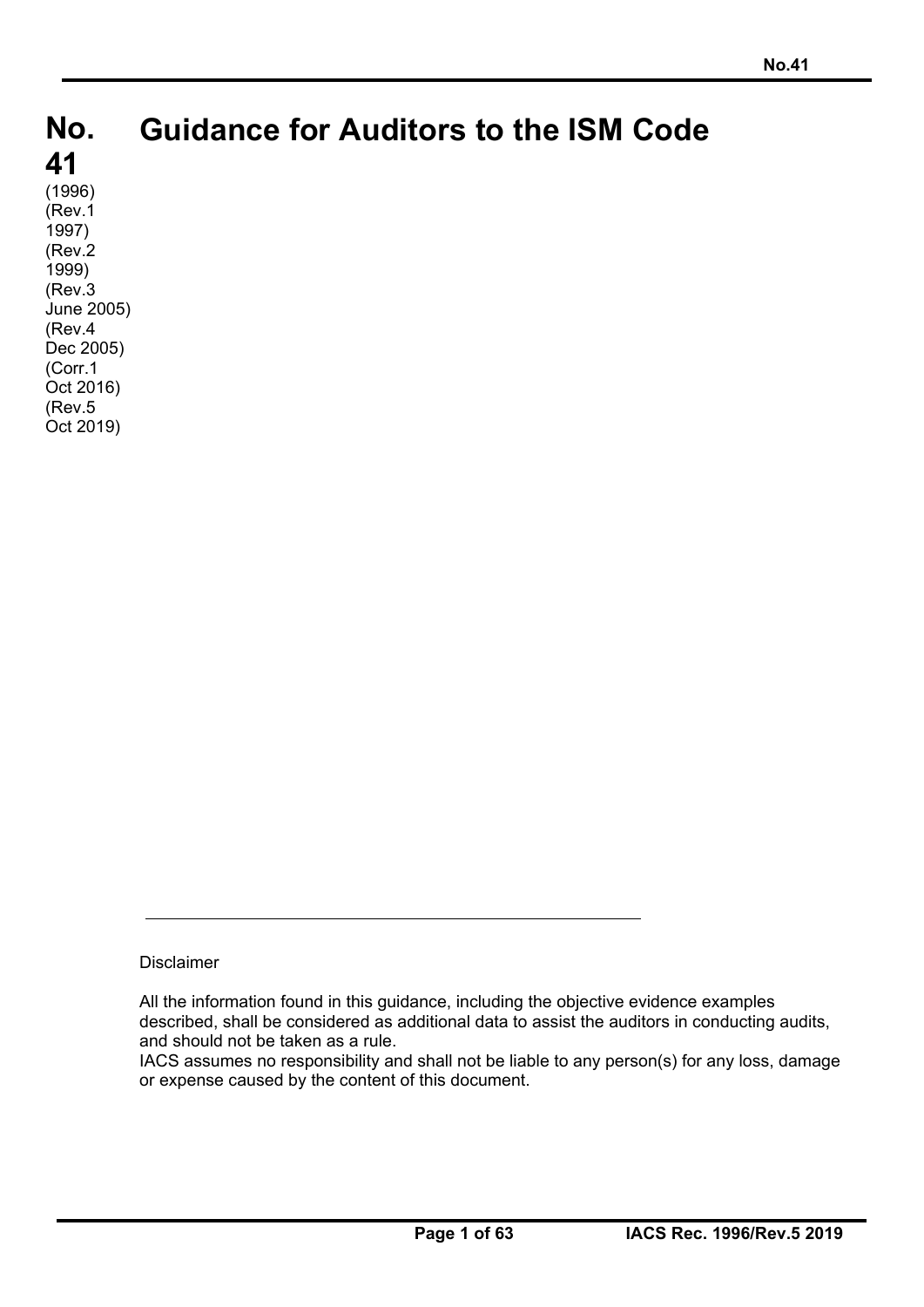# **No. No. 41 41 Guidance for Auditors to the ISM Code**

 $(1996)$ (Rev.1 1997) (Rev.2 1999) (Rev.3 June 2005) (Rev.4 Dec 2005) (Corr.1 Oct 2016) (Rev.5 Oct 2019)

Disclaimer

All the information found in this guidance, including the objective evidence examples described, shall be considered as additional data to assist the auditors in conducting audits, and should not be taken as a rule.

IACS assumes no responsibility and shall not be liable to any person(s) for any loss, damage or expense caused by the content of this document.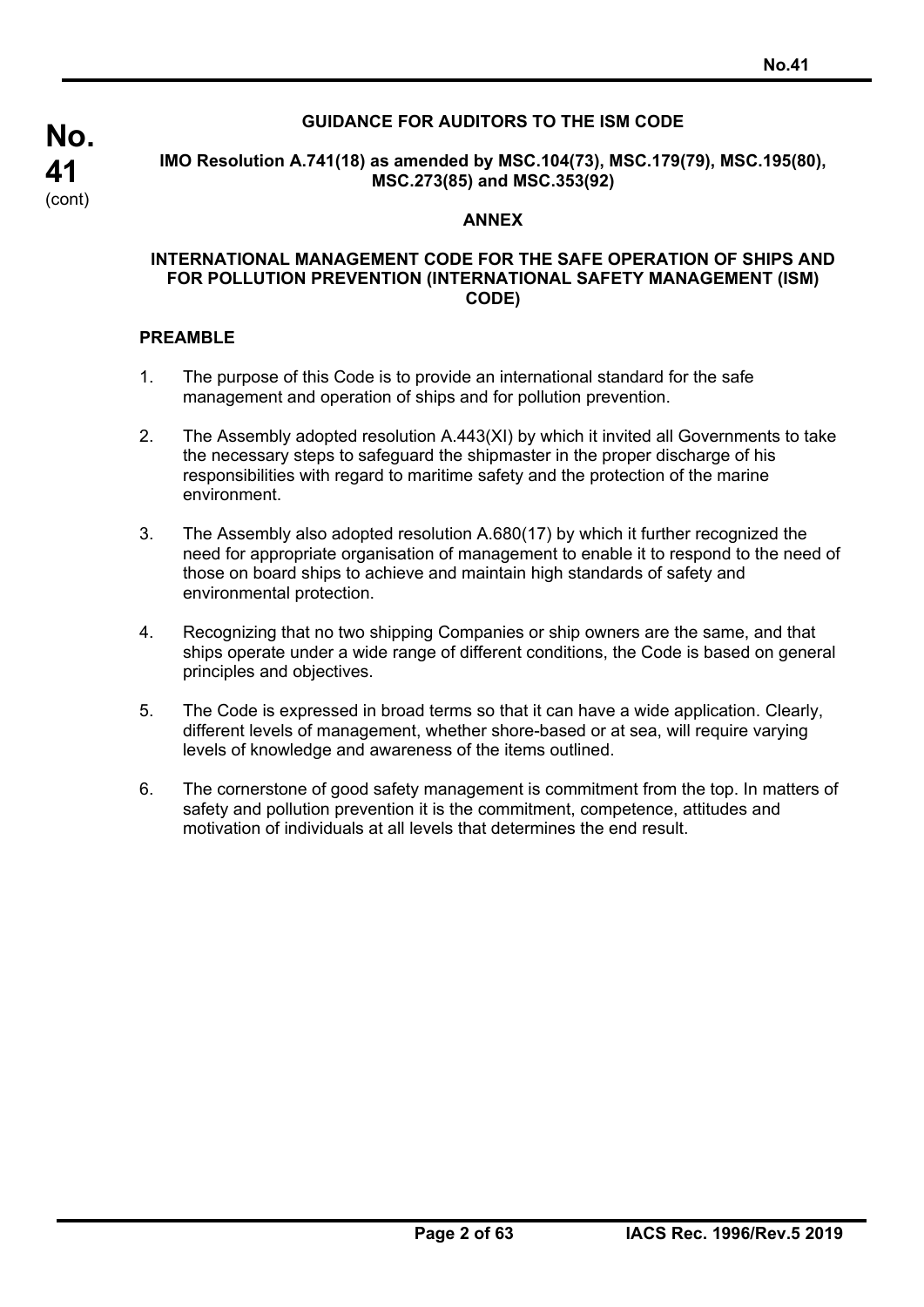## **GUIDANCE FOR AUDITORS TO THE ISM CODE**

**IMO Resolution A.741(18) as amended by MSC.104(73), MSC.179(79), MSC.195(80), MSC.273(85) and MSC.353(92)** 

### **ANNEX**

### **INTERNATIONAL MANAGEMENT CODE FOR THE SAFE OPERATION OF SHIPS AND FOR POLLUTION PREVENTION (INTERNATIONAL SAFETY MANAGEMENT (ISM) CODE)**

### **PREAMBLE**

- 1. The purpose of this Code is to provide an international standard for the safe management and operation of ships and for pollution prevention.
- 2. The Assembly adopted resolution A.443(XI) by which it invited all Governments to take the necessary steps to safeguard the shipmaster in the proper discharge of his responsibilities with regard to maritime safety and the protection of the marine environment.
- 3. The Assembly also adopted resolution A.680(17) by which it further recognized the need for appropriate organisation of management to enable it to respond to the need of those on board ships to achieve and maintain high standards of safety and environmental protection.
- 4. Recognizing that no two shipping Companies or ship owners are the same, and that ships operate under a wide range of different conditions, the Code is based on general principles and objectives.
- 5. The Code is expressed in broad terms so that it can have a wide application. Clearly, different levels of management, whether shore-based or at sea, will require varying levels of knowledge and awareness of the items outlined.
- 6. The cornerstone of good safety management is commitment from the top. In matters of safety and pollution prevention it is the commitment, competence, attitudes and motivation of individuals at all levels that determines the end result.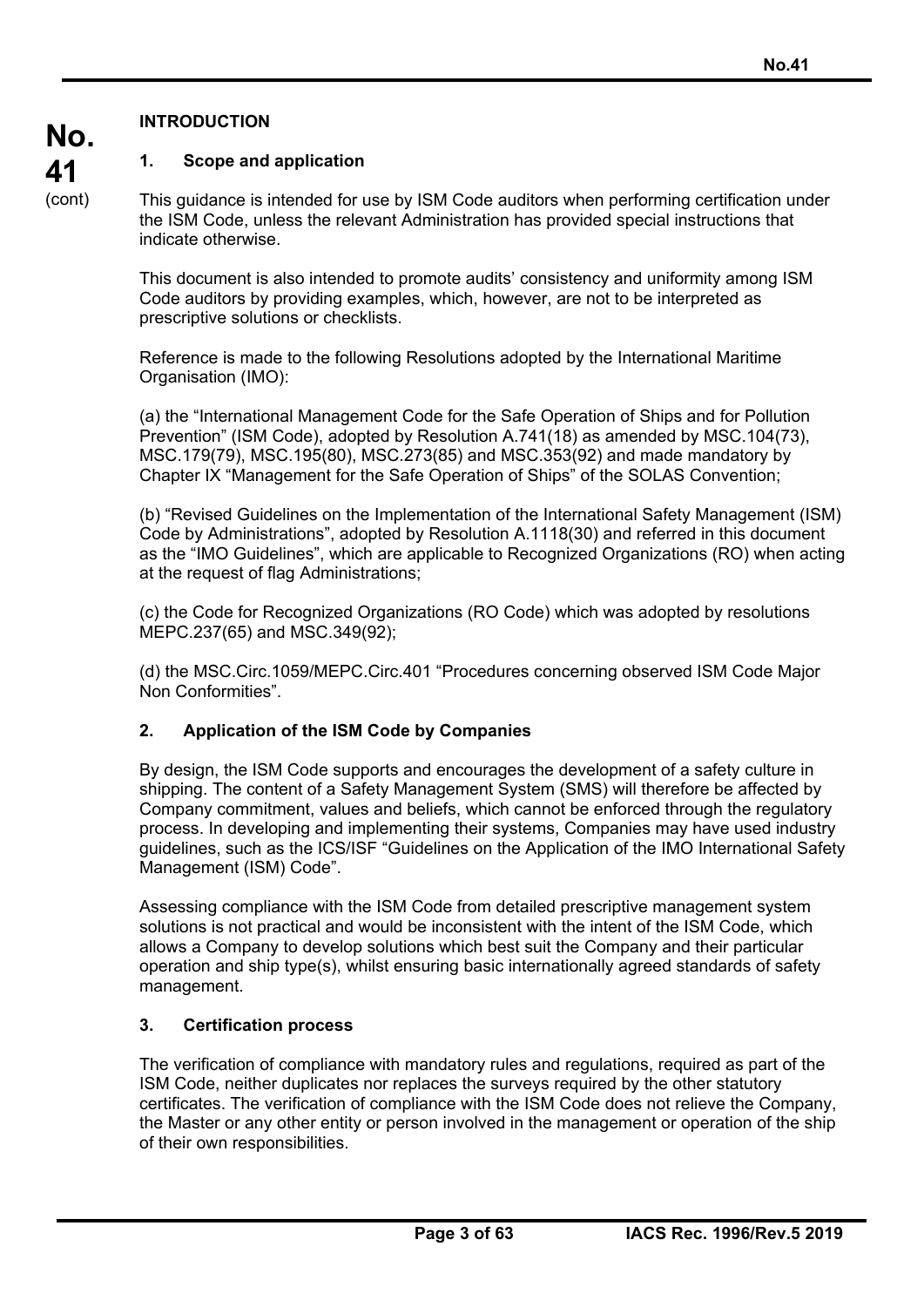## **INTRODUCTION**

## **1. Scope and application**

This guidance is intended for use by ISM Code auditors when performing certification under the ISM Code, unless the relevant Administration has provided special instructions that indicate otherwise.

This document is also intended to promote audits' consistency and uniformity among ISM Code auditors by providing examples, which, however, are not to be interpreted as prescriptive solutions or checklists.

Reference is made to the following Resolutions adopted by the International Maritime Organisation (IMO):

(a) the "International Management Code for the Safe Operation of Ships and for Pollution Prevention" (ISM Code), adopted by Resolution A.741(18) as amended by MSC.104(73), MSC.179(79), MSC.195(80), MSC.273(85) and MSC.353(92) and made mandatory by Chapter IX "Management for the Safe Operation of Ships" of the SOLAS Convention;

(b) "Revised Guidelines on the Implementation of the International Safety Management (ISM) Code by Administrations", adopted by Resolution A.1118(30) and referred in this document as the "IMO Guidelines", which are applicable to Recognized Organizations (RO) when acting at the request of flag Administrations;

(c) the Code for Recognized Organizations (RO Code) which was adopted by resolutions MEPC.237(65) and MSC.349(92);

(d) the MSC.Circ.1059/MEPC.Circ.401 "Procedures concerning observed ISM Code Major Non Conformities".

## **2. Application of the ISM Code by Companies**

By design, the ISM Code supports and encourages the development of a safety culture in shipping. The content of a Safety Management System (SMS) will therefore be affected by Company commitment, values and beliefs, which cannot be enforced through the regulatory process. In developing and implementing their systems, Companies may have used industry guidelines, such as the ICS/ISF "Guidelines on the Application of the IMO International Safety Management (ISM) Code".

Assessing compliance with the ISM Code from detailed prescriptive management system solutions is not practical and would be inconsistent with the intent of the ISM Code, which allows a Company to develop solutions which best suit the Company and their particular operation and ship type(s), whilst ensuring basic internationally agreed standards of safety management.

## **3. Certification process**

The verification of compliance with mandatory rules and regulations, required as part of the ISM Code, neither duplicates nor replaces the surveys required by the other statutory certificates. The verification of compliance with the ISM Code does not relieve the Company, the Master or any other entity or person involved in the management or operation of the ship of their own responsibilities.

**No. 41**  (cont)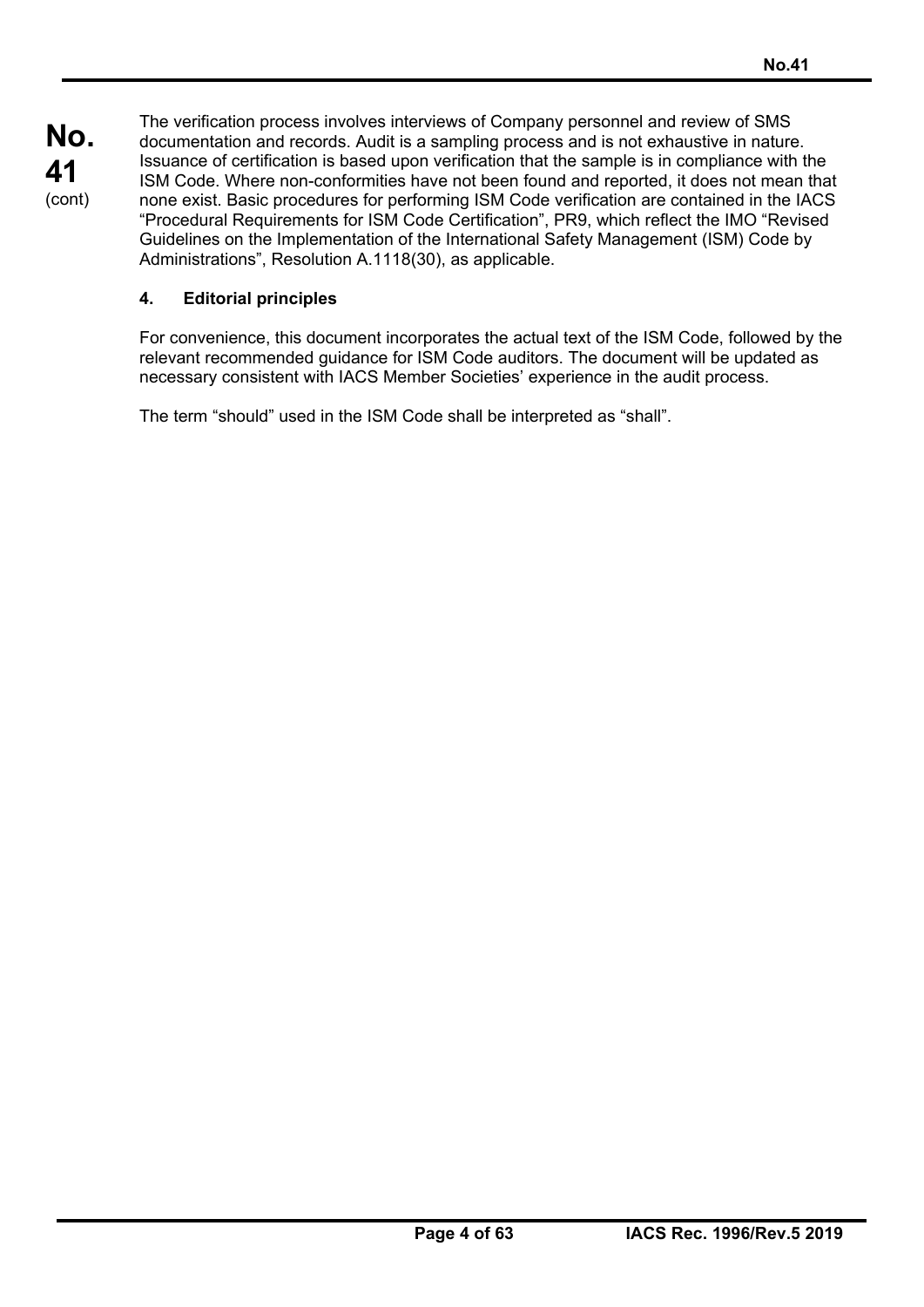The verification process involves interviews of Company personnel and review of SMS documentation and records. Audit is a sampling process and is not exhaustive in nature. Issuance of certification is based upon verification that the sample is in compliance with the ISM Code. Where non-conformities have not been found and reported, it does not mean that none exist. Basic procedures for performing ISM Code verification are contained in the IACS "Procedural Requirements for ISM Code Certification", PR9, which reflect the IMO "Revised Guidelines on the Implementation of the International Safety Management (ISM) Code by Administrations", Resolution A.1118(30), as applicable.

## **4. Editorial principles**

For convenience, this document incorporates the actual text of the ISM Code, followed by the relevant recommended guidance for ISM Code auditors. The document will be updated as necessary consistent with IACS Member Societies' experience in the audit process.

The term "should" used in the ISM Code shall be interpreted as "shall".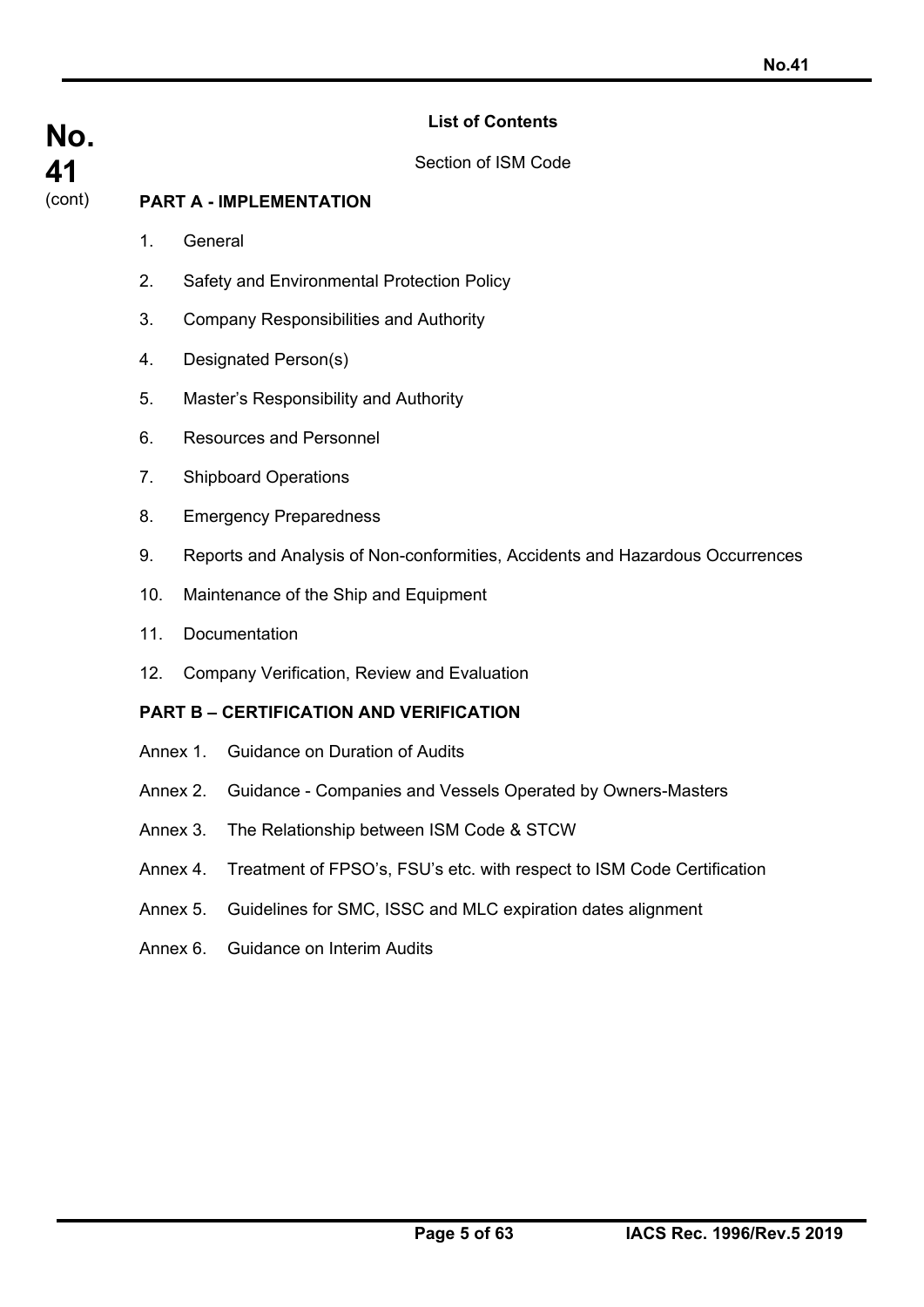## **List of Contents**

Section of ISM Code

## **PART A - IMPLEMENTATION**

1. General

**No.** 

**41**  (cont)

- 2. Safety and Environmental Protection Policy
- 3. Company Responsibilities and Authority
- 4. Designated Person(s)
- 5. Master's Responsibility and Authority
- 6. Resources and Personnel
- 7. Shipboard Operations
- 8. Emergency Preparedness
- 9. Reports and Analysis of Non-conformities, Accidents and Hazardous Occurrences
- 10. Maintenance of the Ship and Equipment
- 11. Documentation
- 12. Company Verification, Review and Evaluation

## **PART B – CERTIFICATION AND VERIFICATION**

- Annex 1. Guidance on Duration of Audits
- Annex 2. Guidance Companies and Vessels Operated by Owners-Masters
- Annex 3. The Relationship between ISM Code & STCW
- Annex 4. Treatment of FPSO's, FSU's etc. with respect to ISM Code Certification
- Annex 5. Guidelines for SMC, ISSC and MLC expiration dates alignment
- Annex 6. Guidance on Interim Audits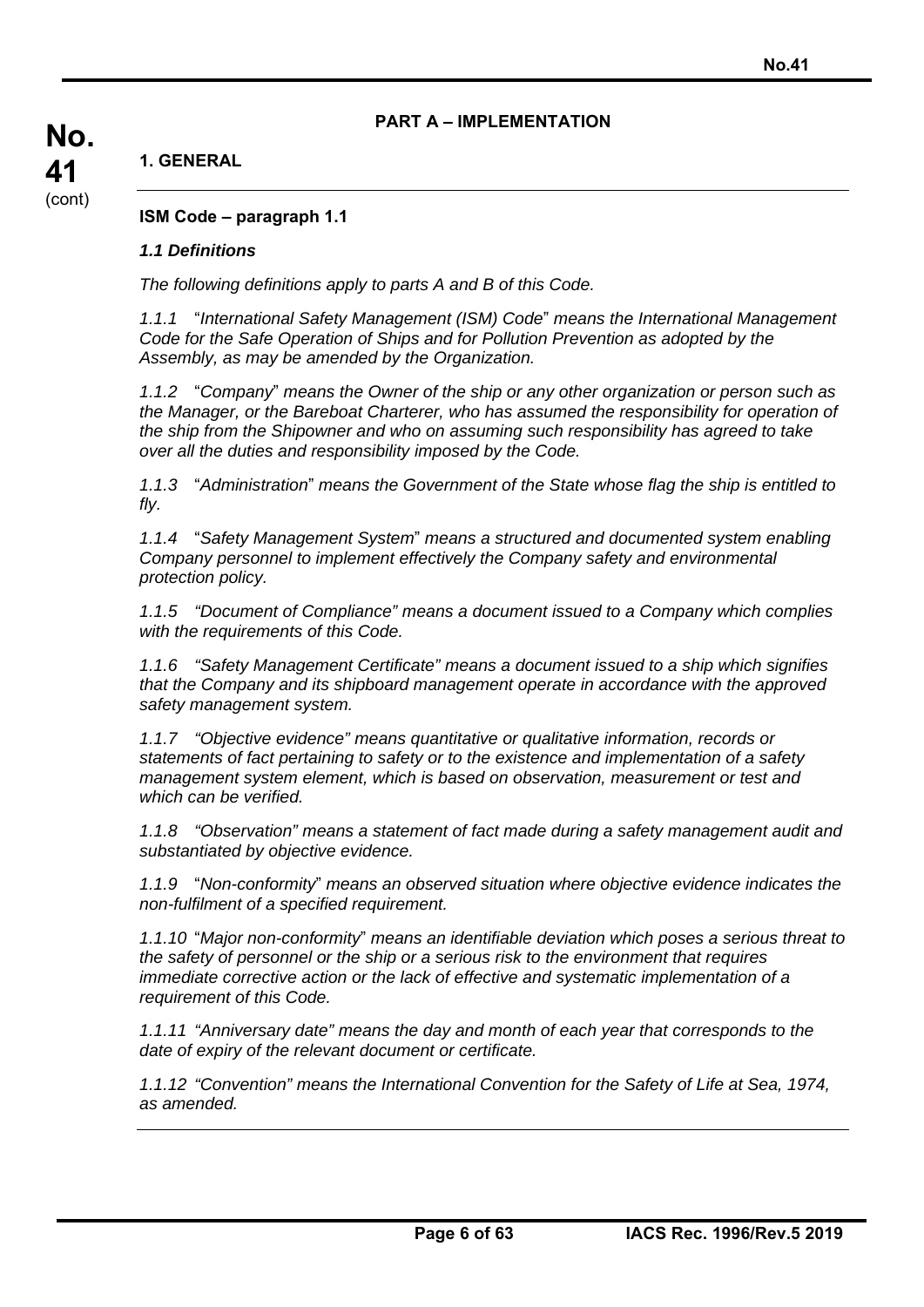## **PART A – IMPLEMENTATION**

## **1. GENERAL**

**ISM Code – paragraph 1.1** 

## *1.1 Definitions*

*The following definitions apply to parts A and B of this Code.* 

*1.1.1* "*International Safety Management (ISM) Code*" *means the International Management Code for the Safe Operation of Ships and for Pollution Prevention as adopted by the Assembly, as may be amended by the Organization.* 

*1.1.2* "*Company*" *means the Owner of the ship or any other organization or person such as the Manager, or the Bareboat Charterer, who has assumed the responsibility for operation of the ship from the Shipowner and who on assuming such responsibility has agreed to take over all the duties and responsibility imposed by the Code.* 

*1.1.3* "*Administration*" *means the Government of the State whose flag the ship is entitled to fly.* 

*1.1.4* "*Safety Management System*" *means a structured and documented system enabling Company personnel to implement effectively the Company safety and environmental protection policy.* 

*1.1.5 "Document of Compliance" means a document issued to a Company which complies with the requirements of this Code.* 

*1.1.6 "Safety Management Certificate" means a document issued to a ship which signifies that the Company and its shipboard management operate in accordance with the approved safety management system.* 

*1.1.7 "Objective evidence" means quantitative or qualitative information, records or statements of fact pertaining to safety or to the existence and implementation of a safety management system element, which is based on observation, measurement or test and which can be verified.* 

*1.1.8 "Observation" means a statement of fact made during a safety management audit and substantiated by objective evidence.* 

*1.1.9* "*Non-conformity*" *means an observed situation where objective evidence indicates the non-fulfilment of a specified requirement.* 

*1.1.10* "*Major non-conformity*" *means an identifiable deviation which poses a serious threat to the safety of personnel or the ship or a serious risk to the environment that requires immediate corrective action or the lack of effective and systematic implementation of a requirement of this Code.* 

*1.1.11 "Anniversary date" means the day and month of each year that corresponds to the date of expiry of the relevant document or certificate.* 

*1.1.12 "Convention" means the International Convention for the Safety of Life at Sea, 1974, as amended.* 

**No. 41**  (cont)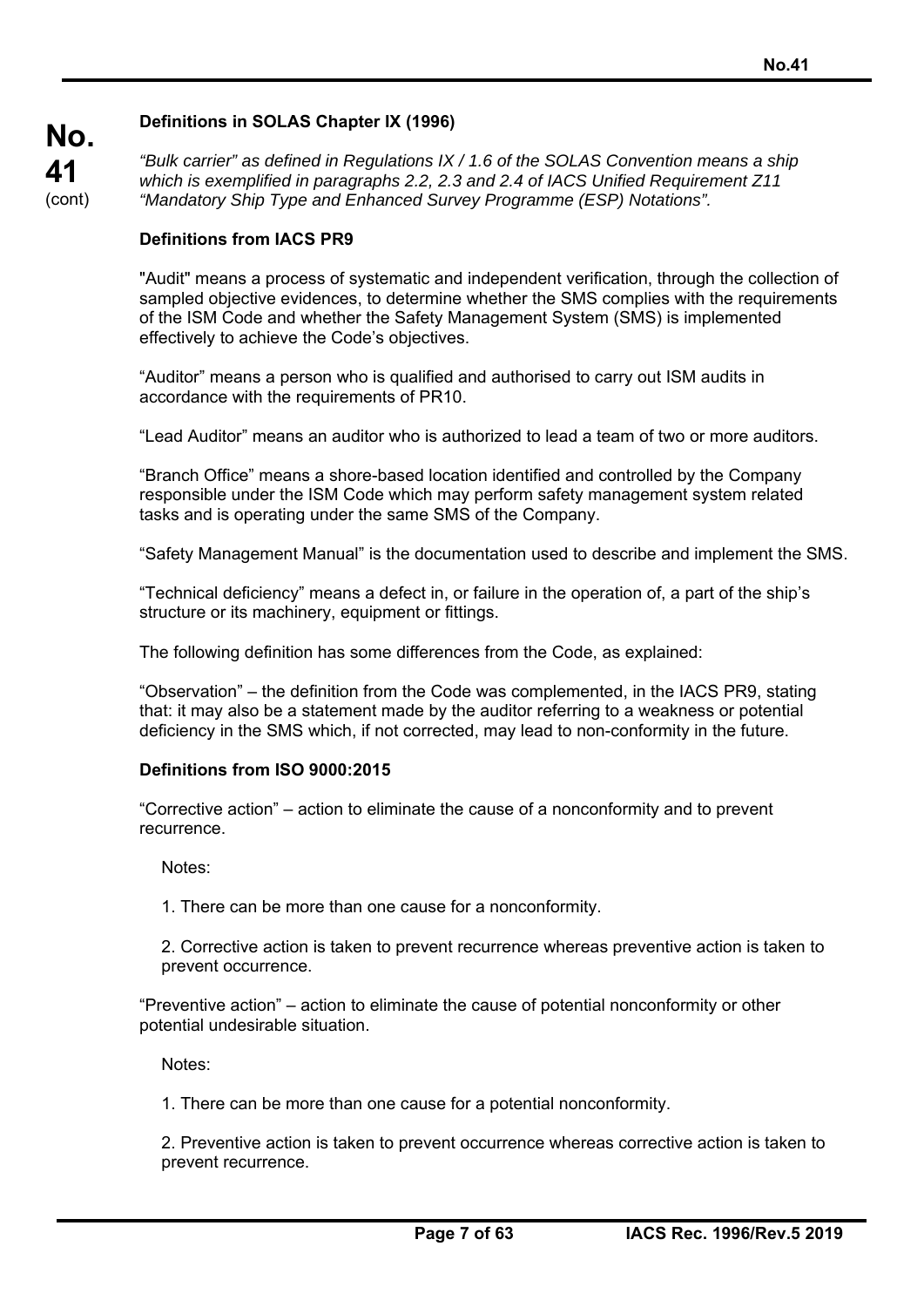## **Definitions in SOLAS Chapter IX (1996)**

*"Bulk carrier" as defined in Regulations IX / 1.6 of the SOLAS Convention means a ship which is exemplified in paragraphs 2.2, 2.3 and 2.4 of IACS Unified Requirement Z11 "Mandatory Ship Type and Enhanced Survey Programme (ESP) Notations".* 

### **Definitions from IACS PR9**

**No.** 

**41**  (cont)

> "Audit" means a process of systematic and independent verification, through the collection of sampled objective evidences, to determine whether the SMS complies with the requirements of the ISM Code and whether the Safety Management System (SMS) is implemented effectively to achieve the Code's objectives.

"Auditor" means a person who is qualified and authorised to carry out ISM audits in accordance with the requirements of PR10.

"Lead Auditor" means an auditor who is authorized to lead a team of two or more auditors.

"Branch Office" means a shore-based location identified and controlled by the Company responsible under the ISM Code which may perform safety management system related tasks and is operating under the same SMS of the Company.

"Safety Management Manual" is the documentation used to describe and implement the SMS.

"Technical deficiency" means a defect in, or failure in the operation of, a part of the ship's structure or its machinery, equipment or fittings.

The following definition has some differences from the Code, as explained:

"Observation" – the definition from the Code was complemented, in the IACS PR9, stating that: it may also be a statement made by the auditor referring to a weakness or potential deficiency in the SMS which, if not corrected, may lead to non-conformity in the future.

#### **Definitions from ISO 9000:2015**

"Corrective action" – action to eliminate the cause of a nonconformity and to prevent recurrence.

Notes:

1. There can be more than one cause for a nonconformity.

2. Corrective action is taken to prevent recurrence whereas preventive action is taken to prevent occurrence.

"Preventive action" – action to eliminate the cause of potential nonconformity or other potential undesirable situation.

Notes:

1. There can be more than one cause for a potential nonconformity.

2. Preventive action is taken to prevent occurrence whereas corrective action is taken to prevent recurrence.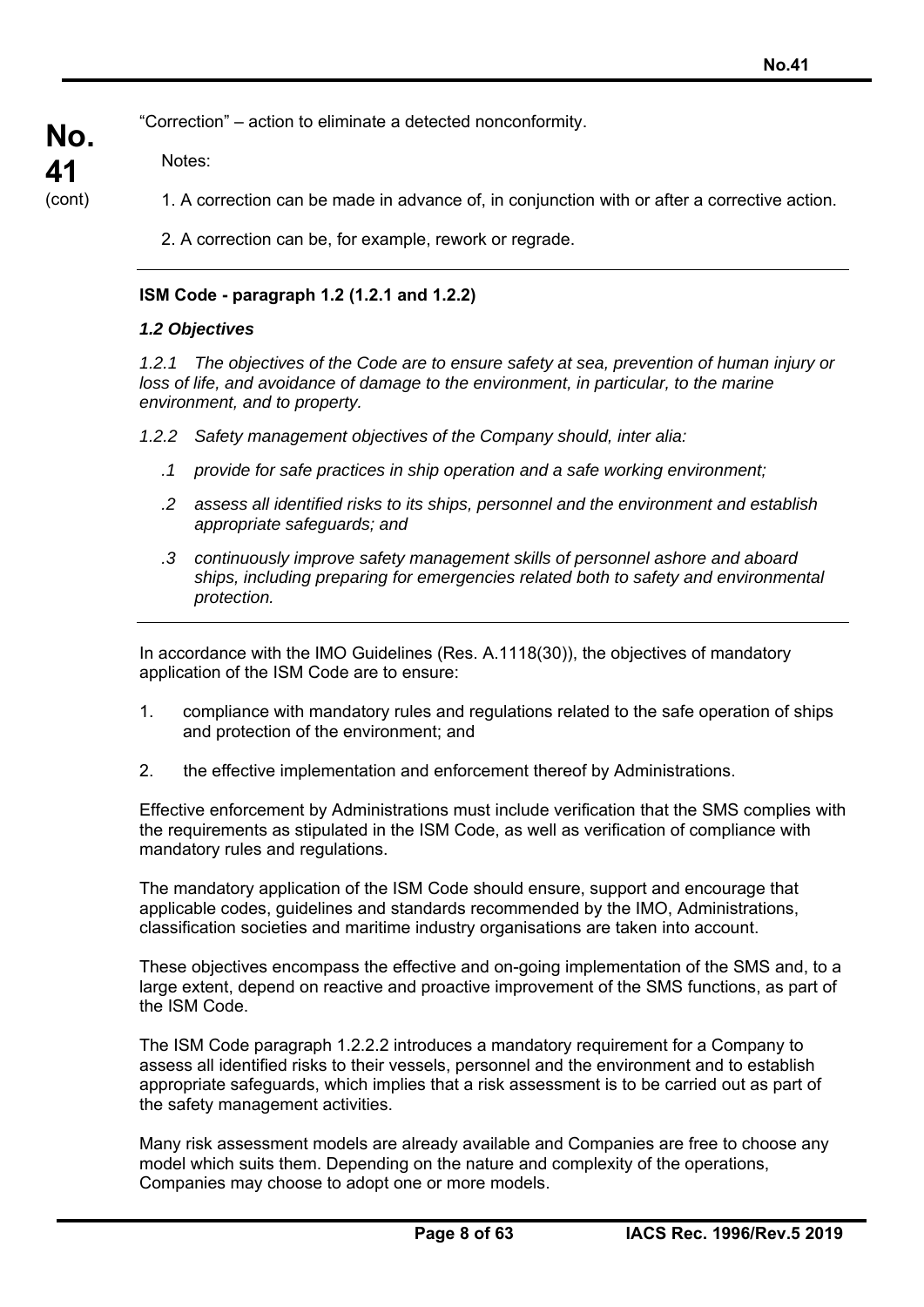"Correction" – action to eliminate a detected nonconformity.

Notes:

**No.** 

**41**  (cont)

- 1. A correction can be made in advance of, in conjunction with or after a corrective action.
	- 2. A correction can be, for example, rework or regrade.

## **ISM Code - paragraph 1.2 (1.2.1 and 1.2.2)**

## *1.2 Objectives*

*1.2.1 The objectives of the Code are to ensure safety at sea, prevention of human injury or*  loss of life, and avoidance of damage to the environment, in particular, to the marine *environment, and to property.* 

*1.2.2 Safety management objectives of the Company should, inter alia:* 

- *.1 provide for safe practices in ship operation and a safe working environment;*
- *.2 assess all identified risks to its ships, personnel and the environment and establish appropriate safeguards; and*
- *.3 continuously improve safety management skills of personnel ashore and aboard ships, including preparing for emergencies related both to safety and environmental protection.*

In accordance with the IMO Guidelines (Res. A.1118(30)), the objectives of mandatory application of the ISM Code are to ensure:

- 1. compliance with mandatory rules and regulations related to the safe operation of ships and protection of the environment; and
- 2. the effective implementation and enforcement thereof by Administrations.

Effective enforcement by Administrations must include verification that the SMS complies with the requirements as stipulated in the ISM Code, as well as verification of compliance with mandatory rules and regulations.

The mandatory application of the ISM Code should ensure, support and encourage that applicable codes, guidelines and standards recommended by the IMO, Administrations, classification societies and maritime industry organisations are taken into account.

These objectives encompass the effective and on-going implementation of the SMS and, to a large extent, depend on reactive and proactive improvement of the SMS functions, as part of the ISM Code.

The ISM Code paragraph 1.2.2.2 introduces a mandatory requirement for a Company to assess all identified risks to their vessels, personnel and the environment and to establish appropriate safeguards, which implies that a risk assessment is to be carried out as part of the safety management activities.

Many risk assessment models are already available and Companies are free to choose any model which suits them. Depending on the nature and complexity of the operations, Companies may choose to adopt one or more models.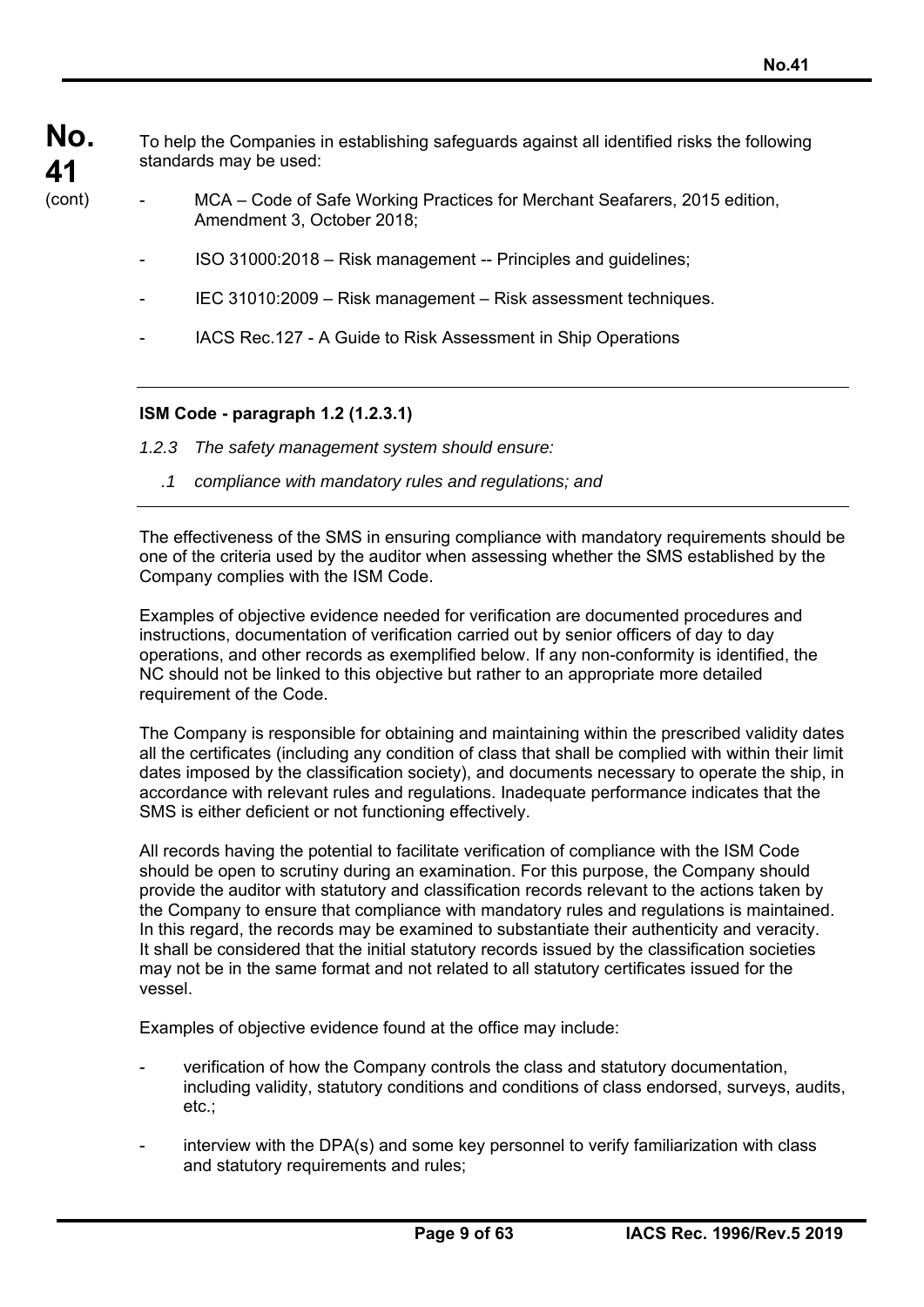To help the Companies in establishing safeguards against all identified risks the following standards may be used:

- MCA Code of Safe Working Practices for Merchant Seafarers, 2015 edition, Amendment 3, October 2018;
	- ISO 31000:2018 Risk management -- Principles and guidelines;
	- IEC 31010:2009 Risk management Risk assessment techniques.
	- IACS Rec.127 A Guide to Risk Assessment in Ship Operations

### **ISM Code - paragraph 1.2 (1.2.3.1)**

- *1.2.3 The safety management system should ensure:* 
	- *.1 compliance with mandatory rules and regulations; and*

The effectiveness of the SMS in ensuring compliance with mandatory requirements should be one of the criteria used by the auditor when assessing whether the SMS established by the Company complies with the ISM Code.

Examples of objective evidence needed for verification are documented procedures and instructions, documentation of verification carried out by senior officers of day to day operations, and other records as exemplified below. If any non-conformity is identified, the NC should not be linked to this objective but rather to an appropriate more detailed requirement of the Code.

The Company is responsible for obtaining and maintaining within the prescribed validity dates all the certificates (including any condition of class that shall be complied with within their limit dates imposed by the classification society), and documents necessary to operate the ship, in accordance with relevant rules and regulations. Inadequate performance indicates that the SMS is either deficient or not functioning effectively.

All records having the potential to facilitate verification of compliance with the ISM Code should be open to scrutiny during an examination. For this purpose, the Company should provide the auditor with statutory and classification records relevant to the actions taken by the Company to ensure that compliance with mandatory rules and regulations is maintained. In this regard, the records may be examined to substantiate their authenticity and veracity. It shall be considered that the initial statutory records issued by the classification societies may not be in the same format and not related to all statutory certificates issued for the vessel.

Examples of objective evidence found at the office may include:

- verification of how the Company controls the class and statutory documentation, including validity, statutory conditions and conditions of class endorsed, surveys, audits, etc.;
- interview with the DPA(s) and some key personnel to verify familiarization with class and statutory requirements and rules;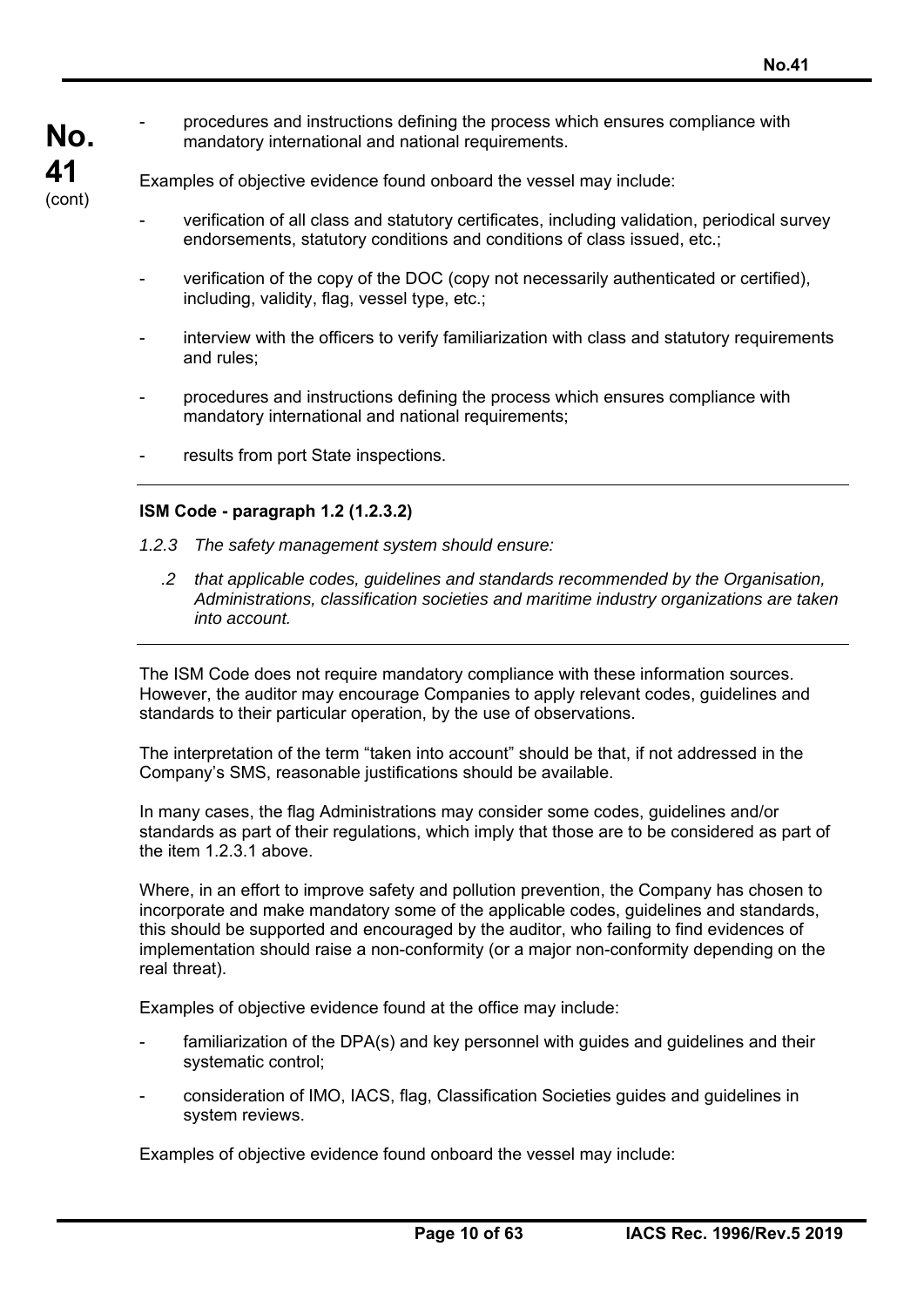**No.**  - procedures and instructions defining the process which ensures compliance with mandatory international and national requirements.

Examples of objective evidence found onboard the vessel may include:

- verification of all class and statutory certificates, including validation, periodical survey endorsements, statutory conditions and conditions of class issued, etc.;
- verification of the copy of the DOC (copy not necessarily authenticated or certified), including, validity, flag, vessel type, etc.;
- interview with the officers to verify familiarization with class and statutory requirements and rules;
- procedures and instructions defining the process which ensures compliance with mandatory international and national requirements;
- results from port State inspections.

## **ISM Code - paragraph 1.2 (1.2.3.2)**

**41**  (cont)

- *1.2.3 The safety management system should ensure:* 
	- *.2 that applicable codes, guidelines and standards recommended by the Organisation, Administrations, classification societies and maritime industry organizations are taken into account.*

The ISM Code does not require mandatory compliance with these information sources. However, the auditor may encourage Companies to apply relevant codes, guidelines and standards to their particular operation, by the use of observations.

The interpretation of the term "taken into account" should be that, if not addressed in the Company's SMS, reasonable justifications should be available.

In many cases, the flag Administrations may consider some codes, guidelines and/or standards as part of their regulations, which imply that those are to be considered as part of the item 1.2.3.1 above.

Where, in an effort to improve safety and pollution prevention, the Company has chosen to incorporate and make mandatory some of the applicable codes, guidelines and standards, this should be supported and encouraged by the auditor, who failing to find evidences of implementation should raise a non-conformity (or a major non-conformity depending on the real threat).

Examples of objective evidence found at the office may include:

- familiarization of the DPA(s) and key personnel with guides and guidelines and their systematic control;
- consideration of IMO, IACS, flag, Classification Societies guides and guidelines in system reviews.

Examples of objective evidence found onboard the vessel may include: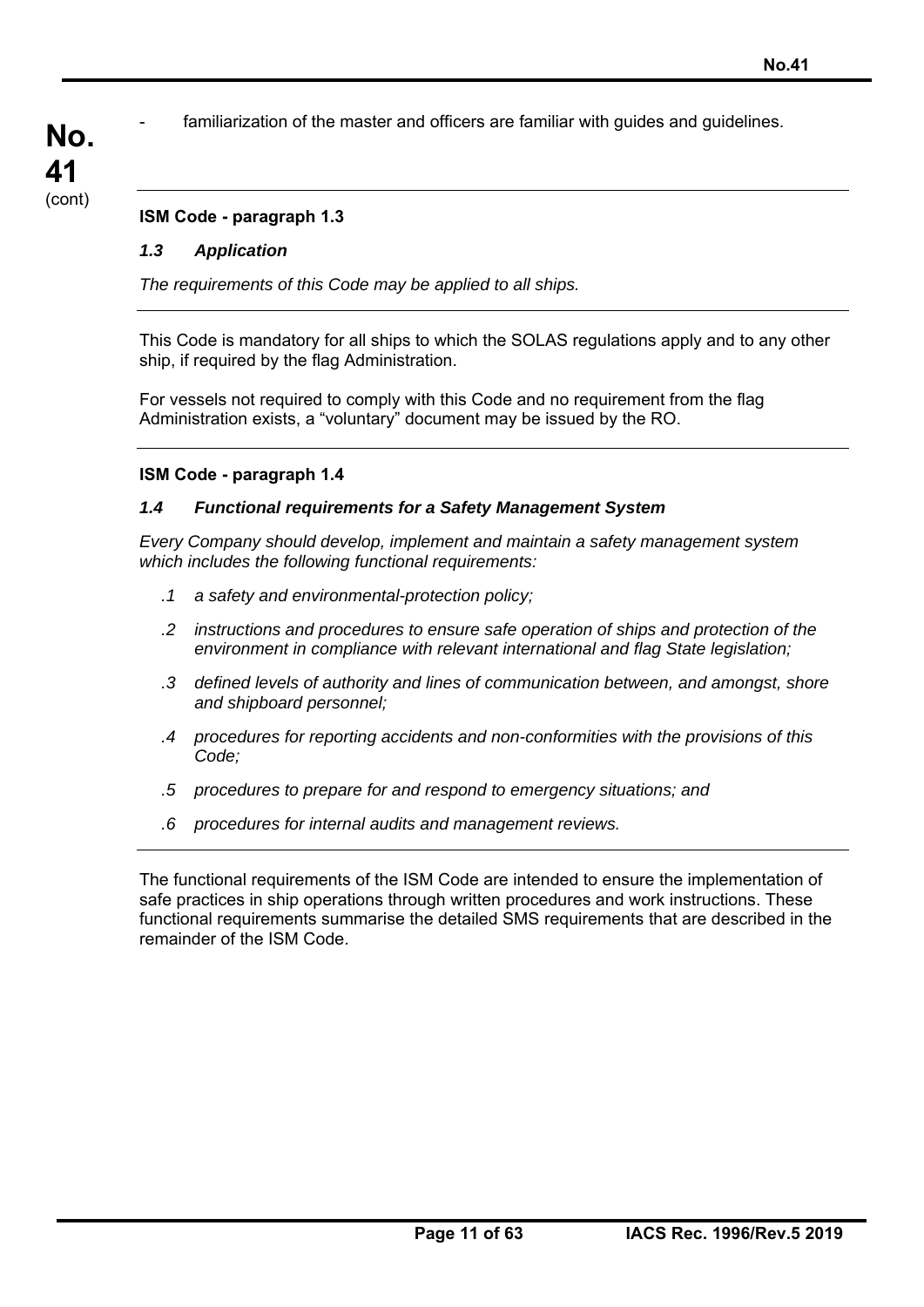familiarization of the master and officers are familiar with guides and guidelines.

## **ISM Code - paragraph 1.3**

## *1.3 Application*

**No.** 

**41**  (cont)

*The requirements of this Code may be applied to all ships.* 

This Code is mandatory for all ships to which the SOLAS regulations apply and to any other ship, if required by the flag Administration.

For vessels not required to comply with this Code and no requirement from the flag Administration exists, a "voluntary" document may be issued by the RO.

### **ISM Code - paragraph 1.4**

### *1.4 Functional requirements for a Safety Management System*

*Every Company should develop, implement and maintain a safety management system which includes the following functional requirements:* 

- *.1 a safety and environmental-protection policy;*
- *.2 instructions and procedures to ensure safe operation of ships and protection of the environment in compliance with relevant international and flag State legislation;*
- *.3 defined levels of authority and lines of communication between, and amongst, shore and shipboard personnel;*
- *.4 procedures for reporting accidents and non-conformities with the provisions of this Code;*
- *.5 procedures to prepare for and respond to emergency situations; and*
- *.6 procedures for internal audits and management reviews.*

The functional requirements of the ISM Code are intended to ensure the implementation of safe practices in ship operations through written procedures and work instructions. These functional requirements summarise the detailed SMS requirements that are described in the remainder of the ISM Code.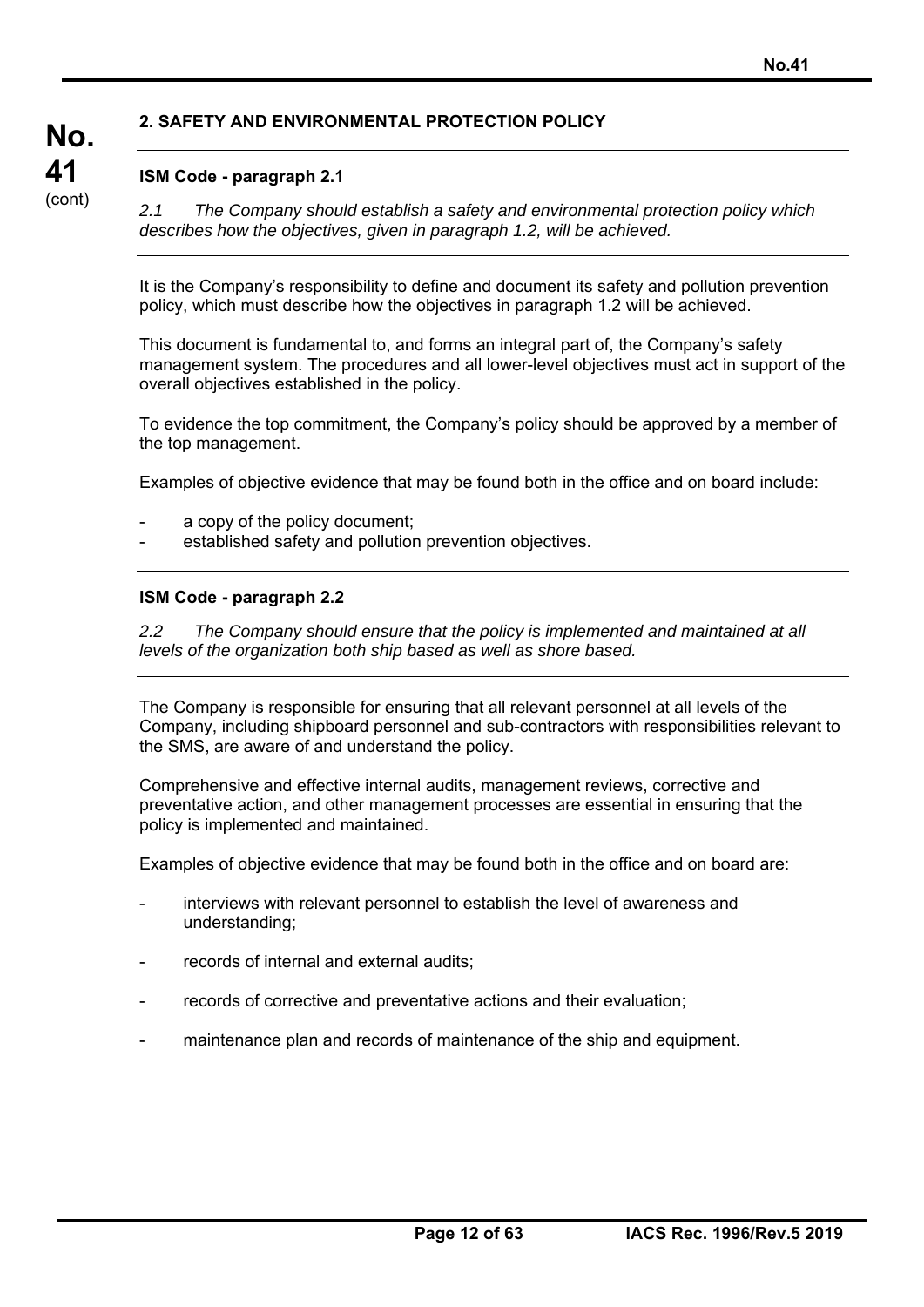## **2. SAFETY AND ENVIRONMENTAL PROTECTION POLICY**

## **ISM Code - paragraph 2.1**

**No.** 

**41**  (cont)

*2.1 The Company should establish a safety and environmental protection policy which describes how the objectives, given in paragraph 1.2, will be achieved.* 

It is the Company's responsibility to define and document its safety and pollution prevention policy, which must describe how the objectives in paragraph 1.2 will be achieved.

This document is fundamental to, and forms an integral part of, the Company's safety management system. The procedures and all lower-level objectives must act in support of the overall objectives established in the policy.

To evidence the top commitment, the Company's policy should be approved by a member of the top management.

Examples of objective evidence that may be found both in the office and on board include:

- a copy of the policy document:
- established safety and pollution prevention objectives.

### **ISM Code - paragraph 2.2**

*2.2 The Company should ensure that the policy is implemented and maintained at all levels of the organization both ship based as well as shore based.* 

The Company is responsible for ensuring that all relevant personnel at all levels of the Company, including shipboard personnel and sub-contractors with responsibilities relevant to the SMS, are aware of and understand the policy.

Comprehensive and effective internal audits, management reviews, corrective and preventative action, and other management processes are essential in ensuring that the policy is implemented and maintained.

Examples of objective evidence that may be found both in the office and on board are:

- interviews with relevant personnel to establish the level of awareness and understanding;
- records of internal and external audits;
- records of corrective and preventative actions and their evaluation:
- maintenance plan and records of maintenance of the ship and equipment.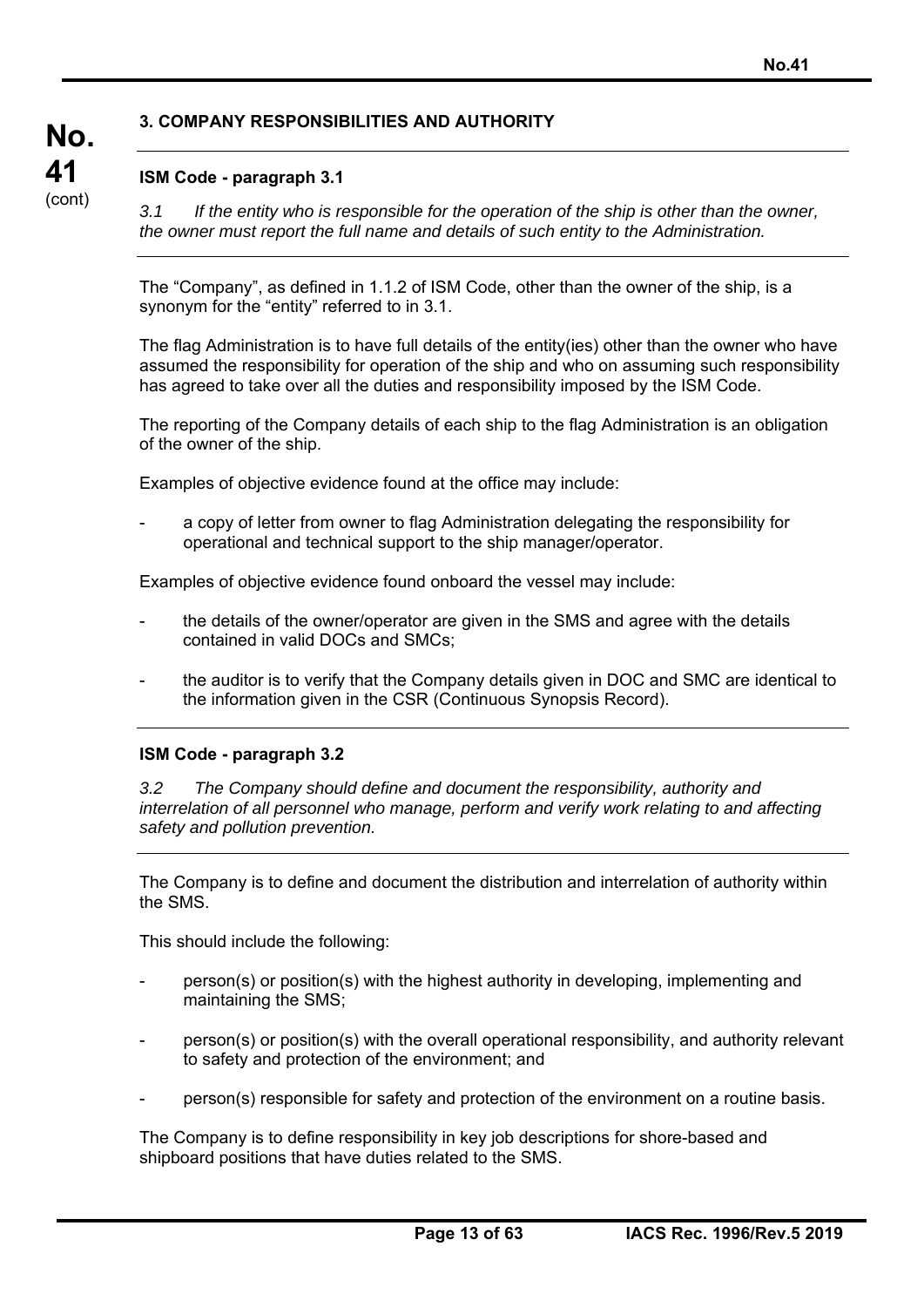## **3. COMPANY RESPONSIBILITIES AND AUTHORITY**

## **ISM Code - paragraph 3.1**

**No.** 

**41**  (cont)

*3.1 If the entity who is responsible for the operation of the ship is other than the owner, the owner must report the full name and details of such entity to the Administration.* 

The "Company", as defined in 1.1.2 of ISM Code, other than the owner of the ship, is a synonym for the "entity" referred to in 3.1.

The flag Administration is to have full details of the entity(ies) other than the owner who have assumed the responsibility for operation of the ship and who on assuming such responsibility has agreed to take over all the duties and responsibility imposed by the ISM Code.

The reporting of the Company details of each ship to the flag Administration is an obligation of the owner of the ship.

Examples of objective evidence found at the office may include:

a copy of letter from owner to flag Administration delegating the responsibility for operational and technical support to the ship manager/operator.

Examples of objective evidence found onboard the vessel may include:

- the details of the owner/operator are given in the SMS and agree with the details contained in valid DOCs and SMCs;
- the auditor is to verify that the Company details given in DOC and SMC are identical to the information given in the CSR (Continuous Synopsis Record).

### **ISM Code - paragraph 3.2**

*3.2 The Company should define and document the responsibility, authority and interrelation of all personnel who manage, perform and verify work relating to and affecting safety and pollution prevention.* 

The Company is to define and document the distribution and interrelation of authority within the SMS.

This should include the following:

- person(s) or position(s) with the highest authority in developing, implementing and maintaining the SMS;
- person(s) or position(s) with the overall operational responsibility, and authority relevant to safety and protection of the environment; and
- person(s) responsible for safety and protection of the environment on a routine basis.

The Company is to define responsibility in key job descriptions for shore-based and shipboard positions that have duties related to the SMS.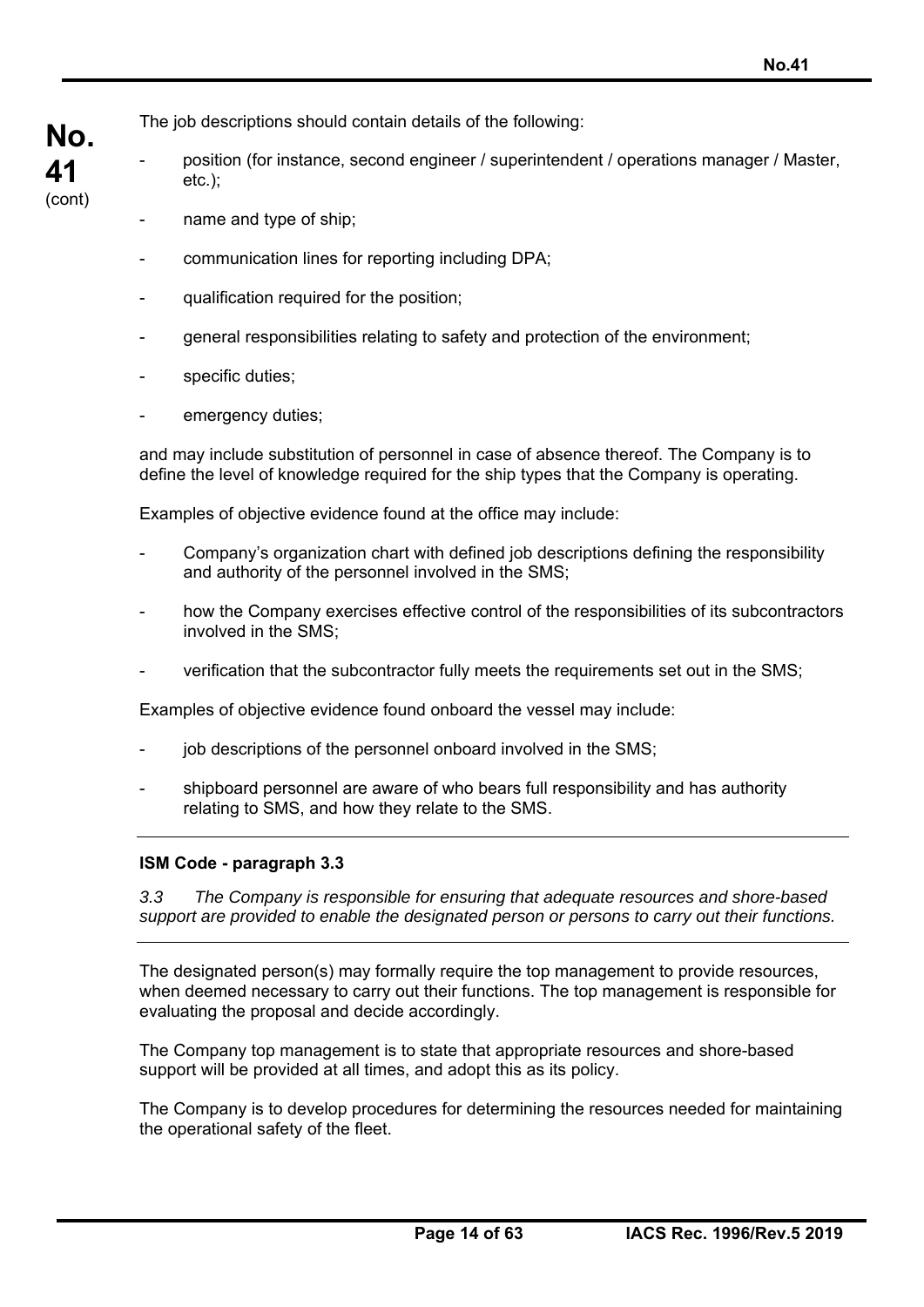The job descriptions should contain details of the following:

- position (for instance, second engineer / superintendent / operations manager / Master, etc.);
	- name and type of ship;

**No.** 

**41**  (cont)

- communication lines for reporting including DPA;
- qualification required for the position;
- general responsibilities relating to safety and protection of the environment;
- specific duties;
- emergency duties;

and may include substitution of personnel in case of absence thereof. The Company is to define the level of knowledge required for the ship types that the Company is operating.

Examples of objective evidence found at the office may include:

- Company's organization chart with defined job descriptions defining the responsibility and authority of the personnel involved in the SMS;
- how the Company exercises effective control of the responsibilities of its subcontractors involved in the SMS;
- verification that the subcontractor fully meets the requirements set out in the SMS;

Examples of objective evidence found onboard the vessel may include:

- job descriptions of the personnel onboard involved in the SMS;
- shipboard personnel are aware of who bears full responsibility and has authority relating to SMS, and how they relate to the SMS.

## **ISM Code - paragraph 3.3**

*3.3 The Company is responsible for ensuring that adequate resources and shore-based support are provided to enable the designated person or persons to carry out their functions.* 

The designated person(s) may formally require the top management to provide resources, when deemed necessary to carry out their functions. The top management is responsible for evaluating the proposal and decide accordingly.

The Company top management is to state that appropriate resources and shore-based support will be provided at all times, and adopt this as its policy.

The Company is to develop procedures for determining the resources needed for maintaining the operational safety of the fleet.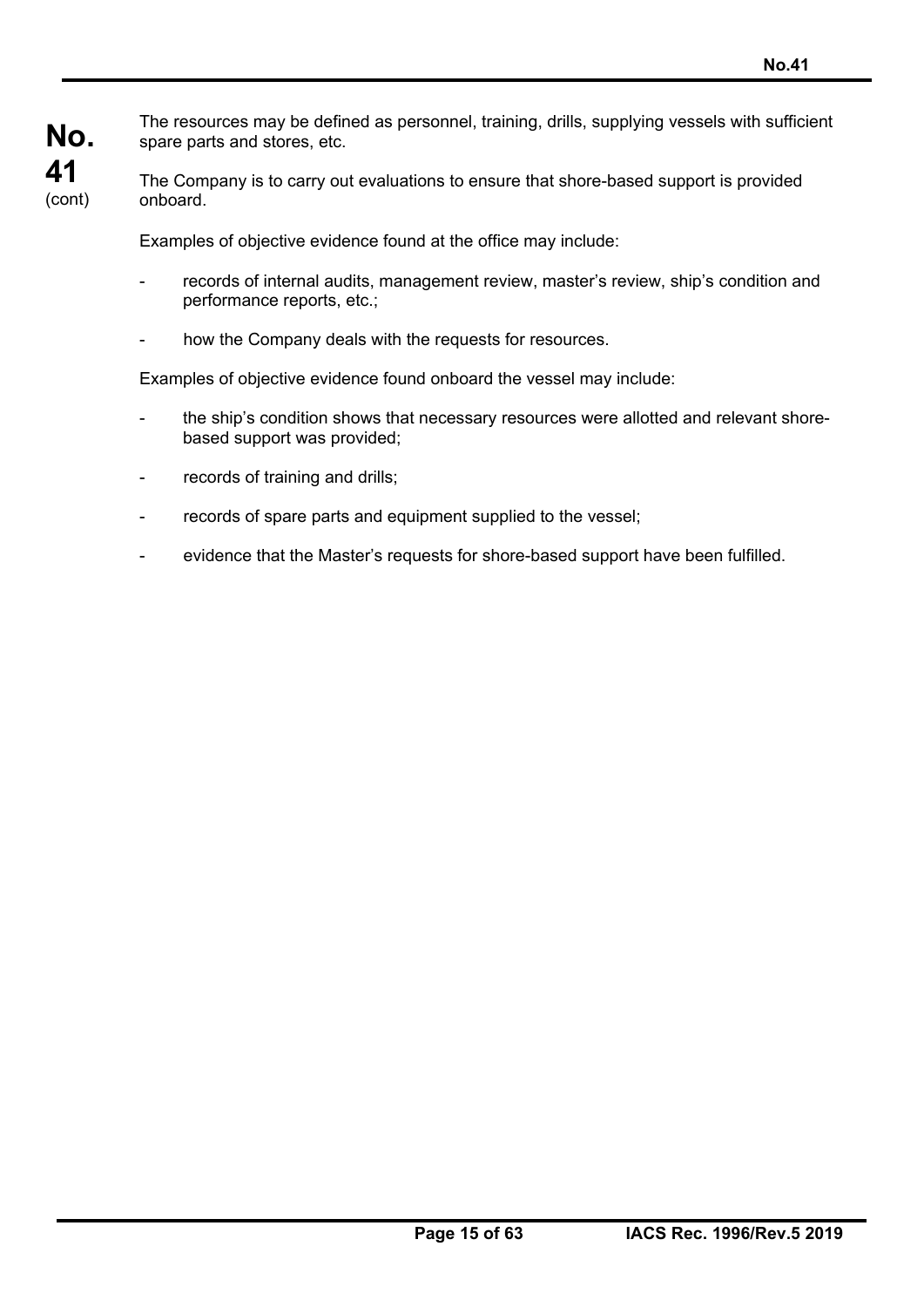The resources may be defined as personnel, training, drills, supplying vessels with sufficient spare parts and stores, etc.

The Company is to carry out evaluations to ensure that shore-based support is provided onboard.

Examples of objective evidence found at the office may include:

- records of internal audits, management review, master's review, ship's condition and performance reports, etc.;
- how the Company deals with the requests for resources.

Examples of objective evidence found onboard the vessel may include:

- the ship's condition shows that necessary resources were allotted and relevant shorebased support was provided;
- records of training and drills;
- records of spare parts and equipment supplied to the vessel;
- evidence that the Master's requests for shore-based support have been fulfilled.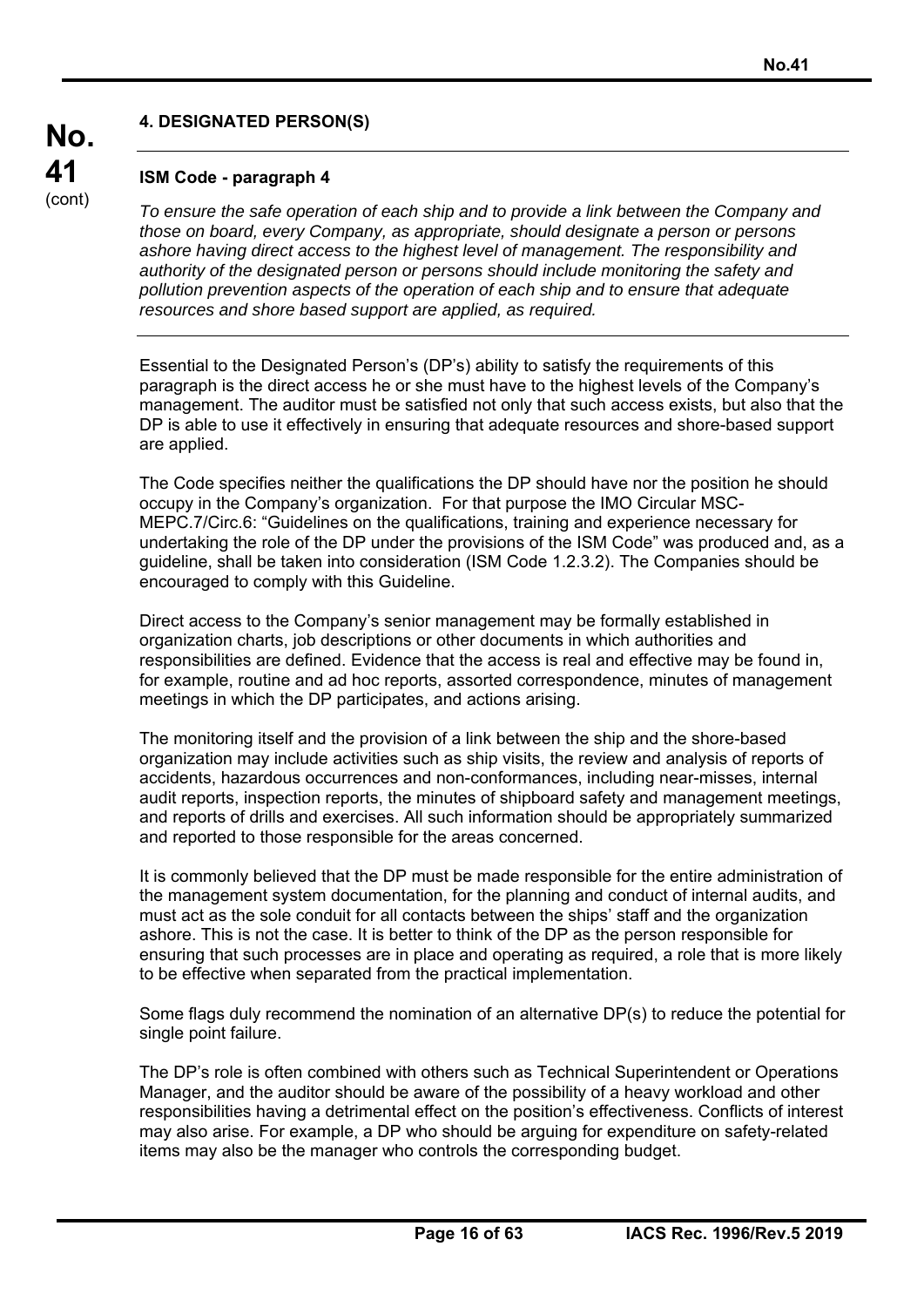## **4. DESIGNATED PERSON(S)**

## **ISM Code - paragraph 4**

**No.** 

**41**  (cont)

*To ensure the safe operation of each ship and to provide a link between the Company and those on board, every Company, as appropriate, should designate a person or persons ashore having direct access to the highest level of management. The responsibility and authority of the designated person or persons should include monitoring the safety and pollution prevention aspects of the operation of each ship and to ensure that adequate resources and shore based support are applied, as required.* 

Essential to the Designated Person's (DP's) ability to satisfy the requirements of this paragraph is the direct access he or she must have to the highest levels of the Company's management. The auditor must be satisfied not only that such access exists, but also that the DP is able to use it effectively in ensuring that adequate resources and shore-based support are applied.

The Code specifies neither the qualifications the DP should have nor the position he should occupy in the Company's organization. For that purpose the IMO Circular MSC-MEPC.7/Circ.6: "Guidelines on the qualifications, training and experience necessary for undertaking the role of the DP under the provisions of the ISM Code" was produced and, as a guideline, shall be taken into consideration (ISM Code 1.2.3.2). The Companies should be encouraged to comply with this Guideline.

Direct access to the Company's senior management may be formally established in organization charts, job descriptions or other documents in which authorities and responsibilities are defined. Evidence that the access is real and effective may be found in, for example, routine and ad hoc reports, assorted correspondence, minutes of management meetings in which the DP participates, and actions arising.

The monitoring itself and the provision of a link between the ship and the shore-based organization may include activities such as ship visits, the review and analysis of reports of accidents, hazardous occurrences and non-conformances, including near-misses, internal audit reports, inspection reports, the minutes of shipboard safety and management meetings, and reports of drills and exercises. All such information should be appropriately summarized and reported to those responsible for the areas concerned.

It is commonly believed that the DP must be made responsible for the entire administration of the management system documentation, for the planning and conduct of internal audits, and must act as the sole conduit for all contacts between the ships' staff and the organization ashore. This is not the case. It is better to think of the DP as the person responsible for ensuring that such processes are in place and operating as required, a role that is more likely to be effective when separated from the practical implementation.

Some flags duly recommend the nomination of an alternative DP(s) to reduce the potential for single point failure.

The DP's role is often combined with others such as Technical Superintendent or Operations Manager, and the auditor should be aware of the possibility of a heavy workload and other responsibilities having a detrimental effect on the position's effectiveness. Conflicts of interest may also arise. For example, a DP who should be arguing for expenditure on safety-related items may also be the manager who controls the corresponding budget.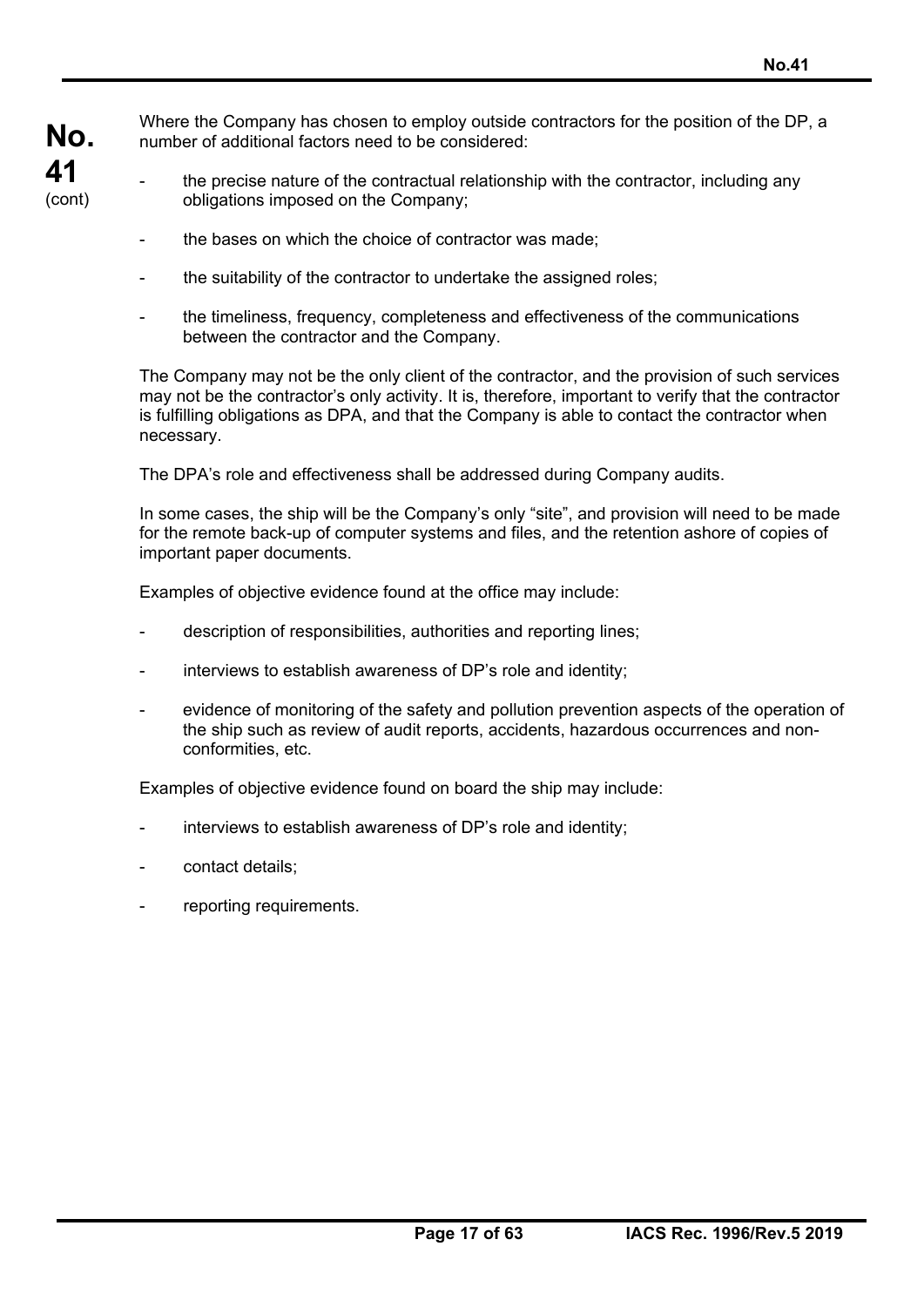Where the Company has chosen to employ outside contractors for the position of the DP, a number of additional factors need to be considered:

- the precise nature of the contractual relationship with the contractor, including any obligations imposed on the Company;
	- the bases on which the choice of contractor was made;
	- the suitability of the contractor to undertake the assigned roles;
	- the timeliness, frequency, completeness and effectiveness of the communications between the contractor and the Company.

The Company may not be the only client of the contractor, and the provision of such services may not be the contractor's only activity. It is, therefore, important to verify that the contractor is fulfilling obligations as DPA, and that the Company is able to contact the contractor when necessary.

The DPA's role and effectiveness shall be addressed during Company audits.

In some cases, the ship will be the Company's only "site", and provision will need to be made for the remote back-up of computer systems and files, and the retention ashore of copies of important paper documents.

Examples of objective evidence found at the office may include:

- description of responsibilities, authorities and reporting lines;
- interviews to establish awareness of DP's role and identity;
- evidence of monitoring of the safety and pollution prevention aspects of the operation of the ship such as review of audit reports, accidents, hazardous occurrences and nonconformities, etc.

Examples of objective evidence found on board the ship may include:

- interviews to establish awareness of DP's role and identity;
- contact details:
- reporting requirements.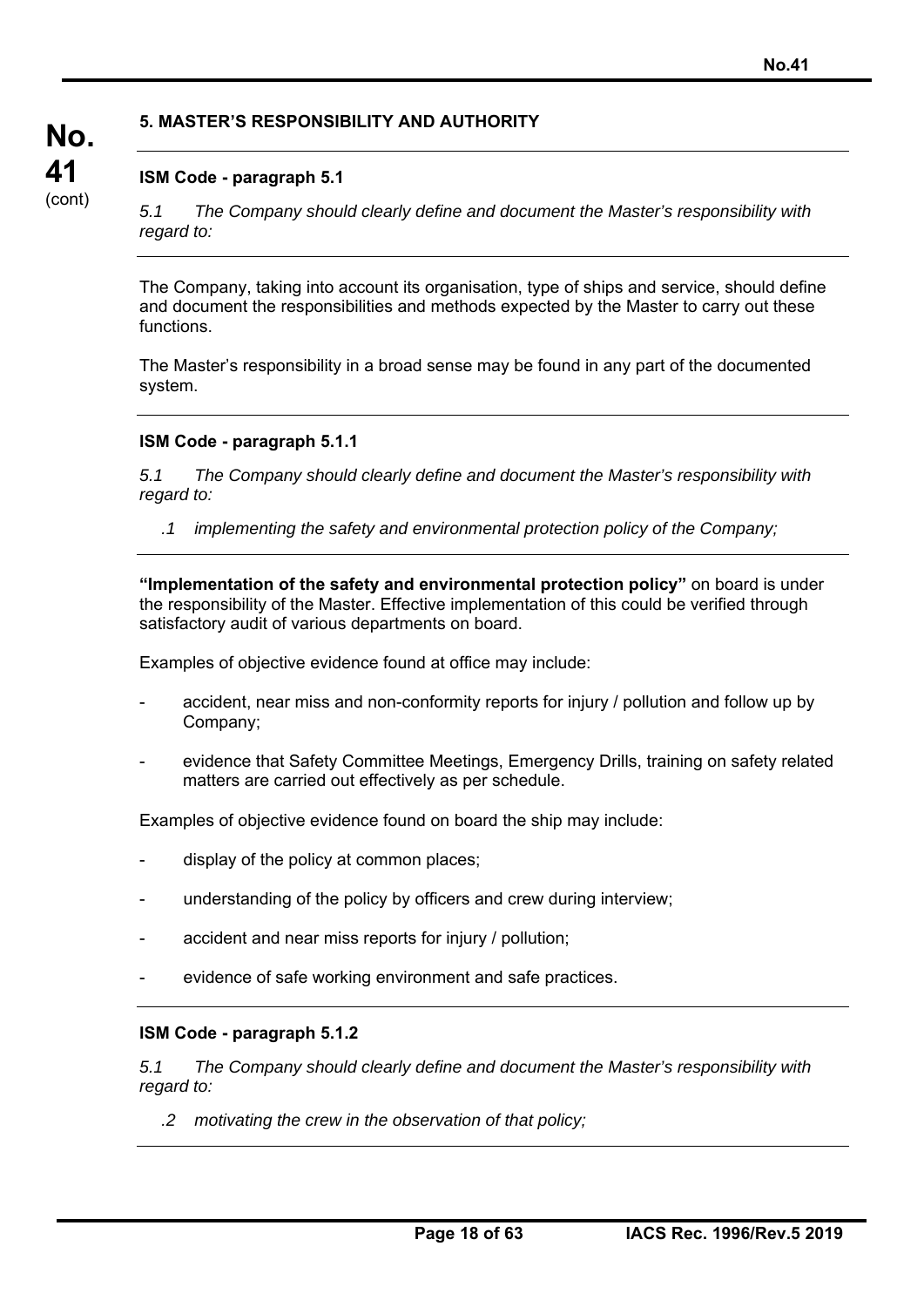## **5. MASTER'S RESPONSIBILITY AND AUTHORITY**

## **ISM Code - paragraph 5.1**

*5.1 The Company should clearly define and document the Master's responsibility with regard to:* 

The Company, taking into account its organisation, type of ships and service, should define and document the responsibilities and methods expected by the Master to carry out these functions.

The Master's responsibility in a broad sense may be found in any part of the documented system.

### **ISM Code - paragraph 5.1.1**

*5.1 The Company should clearly define and document the Master's responsibility with regard to:* 

*.1 implementing the safety and environmental protection policy of the Company;* 

**"Implementation of the safety and environmental protection policy"** on board is under the responsibility of the Master. Effective implementation of this could be verified through satisfactory audit of various departments on board.

Examples of objective evidence found at office may include:

- accident, near miss and non-conformity reports for injury / pollution and follow up by Company;
- evidence that Safety Committee Meetings, Emergency Drills, training on safety related matters are carried out effectively as per schedule.

Examples of objective evidence found on board the ship may include:

- display of the policy at common places;
- understanding of the policy by officers and crew during interview;
- accident and near miss reports for injury / pollution;
- evidence of safe working environment and safe practices.

### **ISM Code - paragraph 5.1.2**

*5.1 The Company should clearly define and document the Master's responsibility with regard to:* 

*.2 motivating the crew in the observation of that policy;*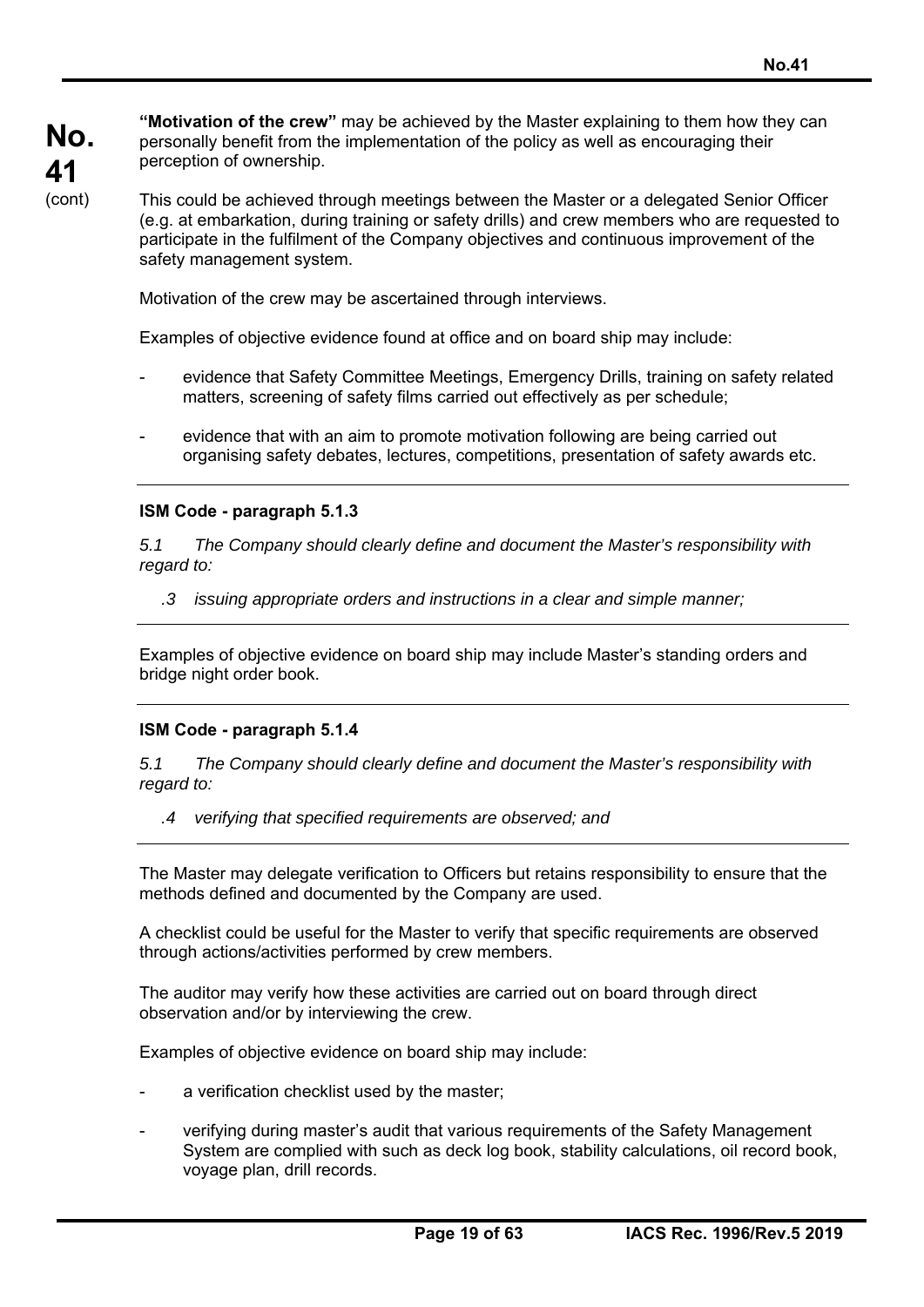**"Motivation of the crew"** may be achieved by the Master explaining to them how they can personally benefit from the implementation of the policy as well as encouraging their perception of ownership.

This could be achieved through meetings between the Master or a delegated Senior Officer (e.g. at embarkation, during training or safety drills) and crew members who are requested to participate in the fulfilment of the Company objectives and continuous improvement of the safety management system.

Motivation of the crew may be ascertained through interviews.

Examples of objective evidence found at office and on board ship may include:

- evidence that Safety Committee Meetings, Emergency Drills, training on safety related matters, screening of safety films carried out effectively as per schedule;
- evidence that with an aim to promote motivation following are being carried out organising safety debates, lectures, competitions, presentation of safety awards etc.

### **ISM Code - paragraph 5.1.3**

*5.1 The Company should clearly define and document the Master's responsibility with regard to:* 

*.3 issuing appropriate orders and instructions in a clear and simple manner;* 

Examples of objective evidence on board ship may include Master's standing orders and bridge night order book.

### **ISM Code - paragraph 5.1.4**

*5.1 The Company should clearly define and document the Master's responsibility with regard to:* 

*.4 verifying that specified requirements are observed; and* 

The Master may delegate verification to Officers but retains responsibility to ensure that the methods defined and documented by the Company are used.

A checklist could be useful for the Master to verify that specific requirements are observed through actions/activities performed by crew members.

The auditor may verify how these activities are carried out on board through direct observation and/or by interviewing the crew.

Examples of objective evidence on board ship may include:

- a verification checklist used by the master;
- verifying during master's audit that various requirements of the Safety Management System are complied with such as deck log book, stability calculations, oil record book, voyage plan, drill records.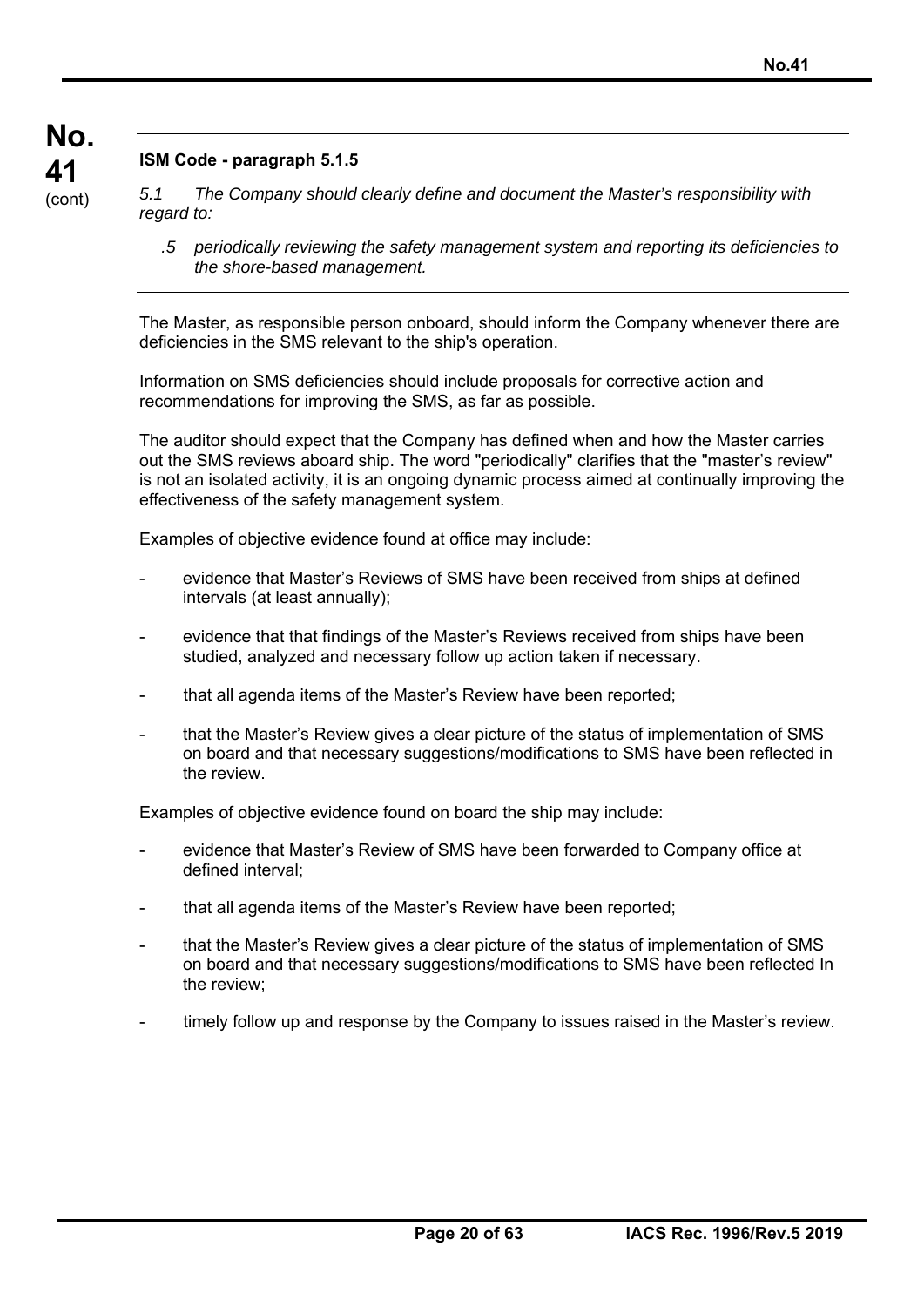# **ISM Code - paragraph 5.1.5**

*5.1 The Company should clearly define and document the Master's responsibility with regard to:* 

*.5 periodically reviewing the safety management system and reporting its deficiencies to the shore-based management.* 

The Master, as responsible person onboard, should inform the Company whenever there are deficiencies in the SMS relevant to the ship's operation.

Information on SMS deficiencies should include proposals for corrective action and recommendations for improving the SMS, as far as possible.

The auditor should expect that the Company has defined when and how the Master carries out the SMS reviews aboard ship. The word "periodically" clarifies that the "master's review" is not an isolated activity, it is an ongoing dynamic process aimed at continually improving the effectiveness of the safety management system.

Examples of objective evidence found at office may include:

- evidence that Master's Reviews of SMS have been received from ships at defined intervals (at least annually);
- evidence that that findings of the Master's Reviews received from ships have been studied, analyzed and necessary follow up action taken if necessary.
- that all agenda items of the Master's Review have been reported;
- that the Master's Review gives a clear picture of the status of implementation of SMS on board and that necessary suggestions/modifications to SMS have been reflected in the review.

Examples of objective evidence found on board the ship may include:

- evidence that Master's Review of SMS have been forwarded to Company office at defined interval;
- that all agenda items of the Master's Review have been reported;
- that the Master's Review gives a clear picture of the status of implementation of SMS on board and that necessary suggestions/modifications to SMS have been reflected In the review;
- timely follow up and response by the Company to issues raised in the Master's review.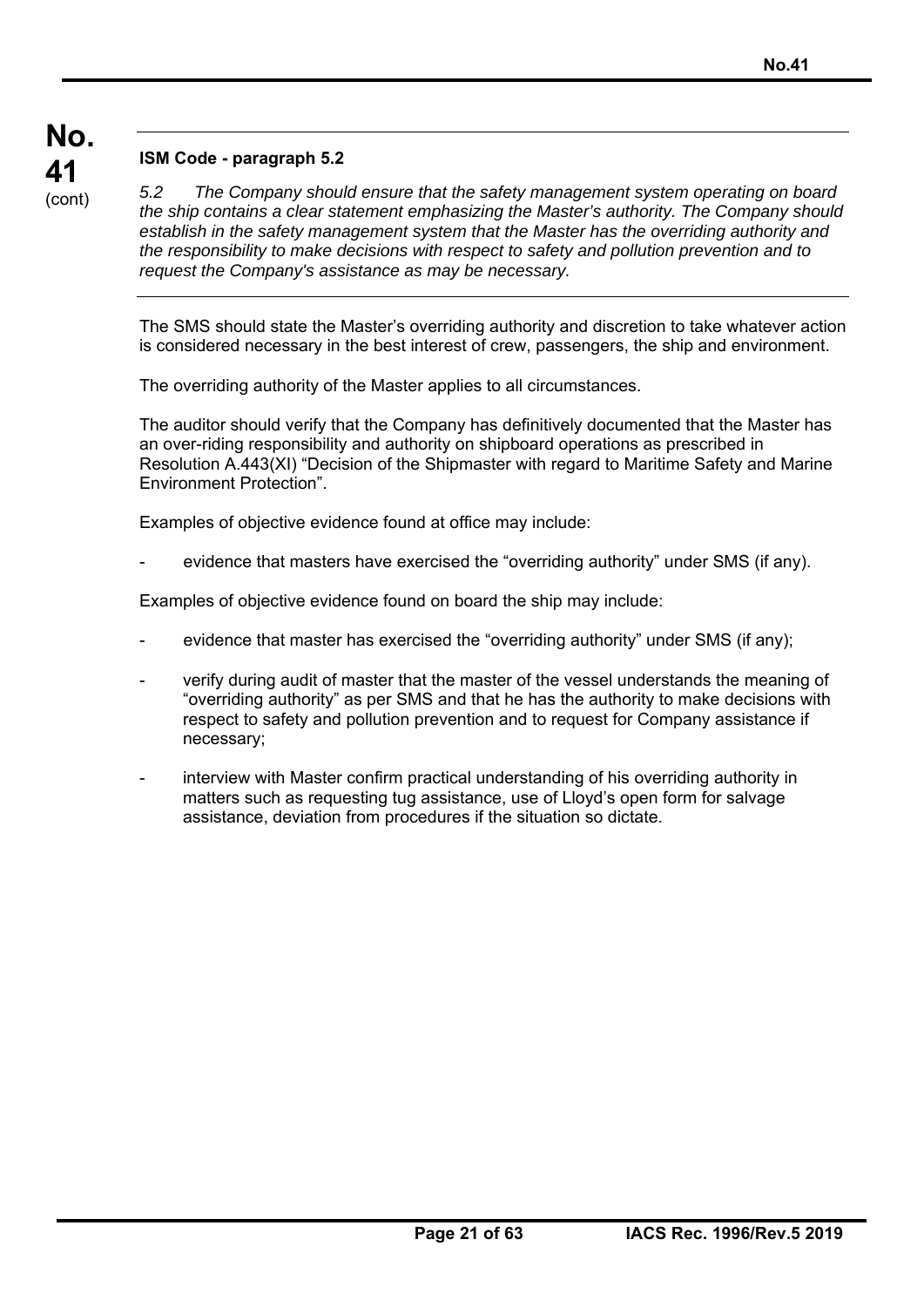# **ISM Code - paragraph 5.2**

*5.2 The Company should ensure that the safety management system operating on board the ship contains a clear statement emphasizing the Master's authority. The Company should establish in the safety management system that the Master has the overriding authority and the responsibility to make decisions with respect to safety and pollution prevention and to request the Company's assistance as may be necessary.* 

The SMS should state the Master's overriding authority and discretion to take whatever action is considered necessary in the best interest of crew, passengers, the ship and environment.

The overriding authority of the Master applies to all circumstances.

The auditor should verify that the Company has definitively documented that the Master has an over-riding responsibility and authority on shipboard operations as prescribed in Resolution A.443(XI) "Decision of the Shipmaster with regard to Maritime Safety and Marine Environment Protection".

Examples of objective evidence found at office may include:

evidence that masters have exercised the "overriding authority" under SMS (if any).

Examples of objective evidence found on board the ship may include:

- evidence that master has exercised the "overriding authority" under SMS (if any);
- verify during audit of master that the master of the vessel understands the meaning of "overriding authority" as per SMS and that he has the authority to make decisions with respect to safety and pollution prevention and to request for Company assistance if necessary;
- interview with Master confirm practical understanding of his overriding authority in matters such as requesting tug assistance, use of Lloyd's open form for salvage assistance, deviation from procedures if the situation so dictate.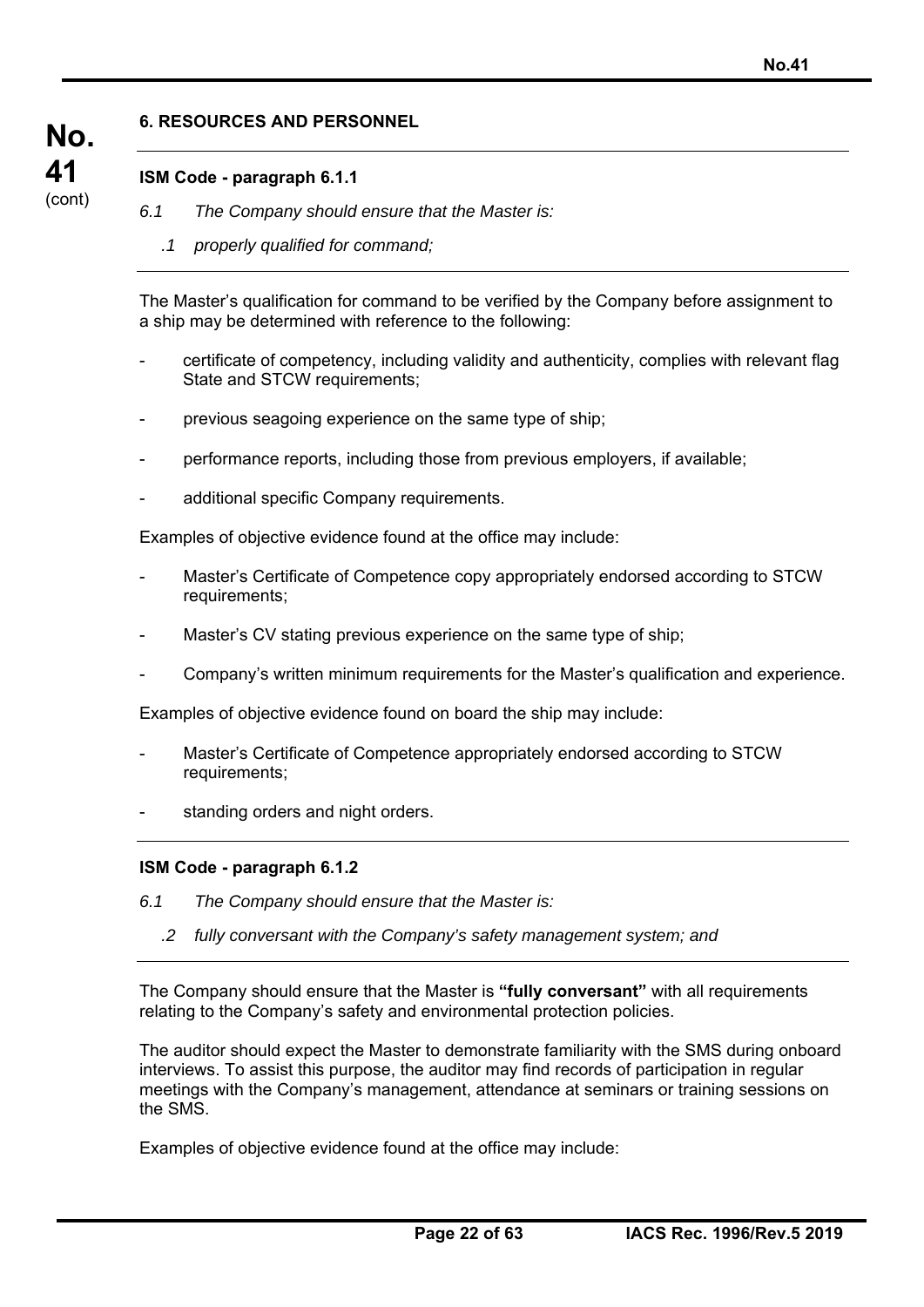## **6. RESOURCES AND PERSONNEL**

## **ISM Code - paragraph 6.1.1**

**No.** 

**41**  (cont)

- *6.1 The Company should ensure that the Master is:* 
	- *.1 properly qualified for command;*

The Master's qualification for command to be verified by the Company before assignment to a ship may be determined with reference to the following:

- certificate of competency, including validity and authenticity, complies with relevant flag State and STCW requirements;
- previous seagoing experience on the same type of ship;
- performance reports, including those from previous employers, if available;
- additional specific Company requirements.

Examples of objective evidence found at the office may include:

- Master's Certificate of Competence copy appropriately endorsed according to STCW requirements;
- Master's CV stating previous experience on the same type of ship;
- Company's written minimum requirements for the Master's qualification and experience.

Examples of objective evidence found on board the ship may include:

- Master's Certificate of Competence appropriately endorsed according to STCW requirements;
- standing orders and night orders.

### **ISM Code - paragraph 6.1.2**

- *6.1 The Company should ensure that the Master is:* 
	- *.2 fully conversant with the Company's safety management system; and*

The Company should ensure that the Master is **"fully conversant"** with all requirements relating to the Company's safety and environmental protection policies.

The auditor should expect the Master to demonstrate familiarity with the SMS during onboard interviews. To assist this purpose, the auditor may find records of participation in regular meetings with the Company's management, attendance at seminars or training sessions on the SMS.

Examples of objective evidence found at the office may include: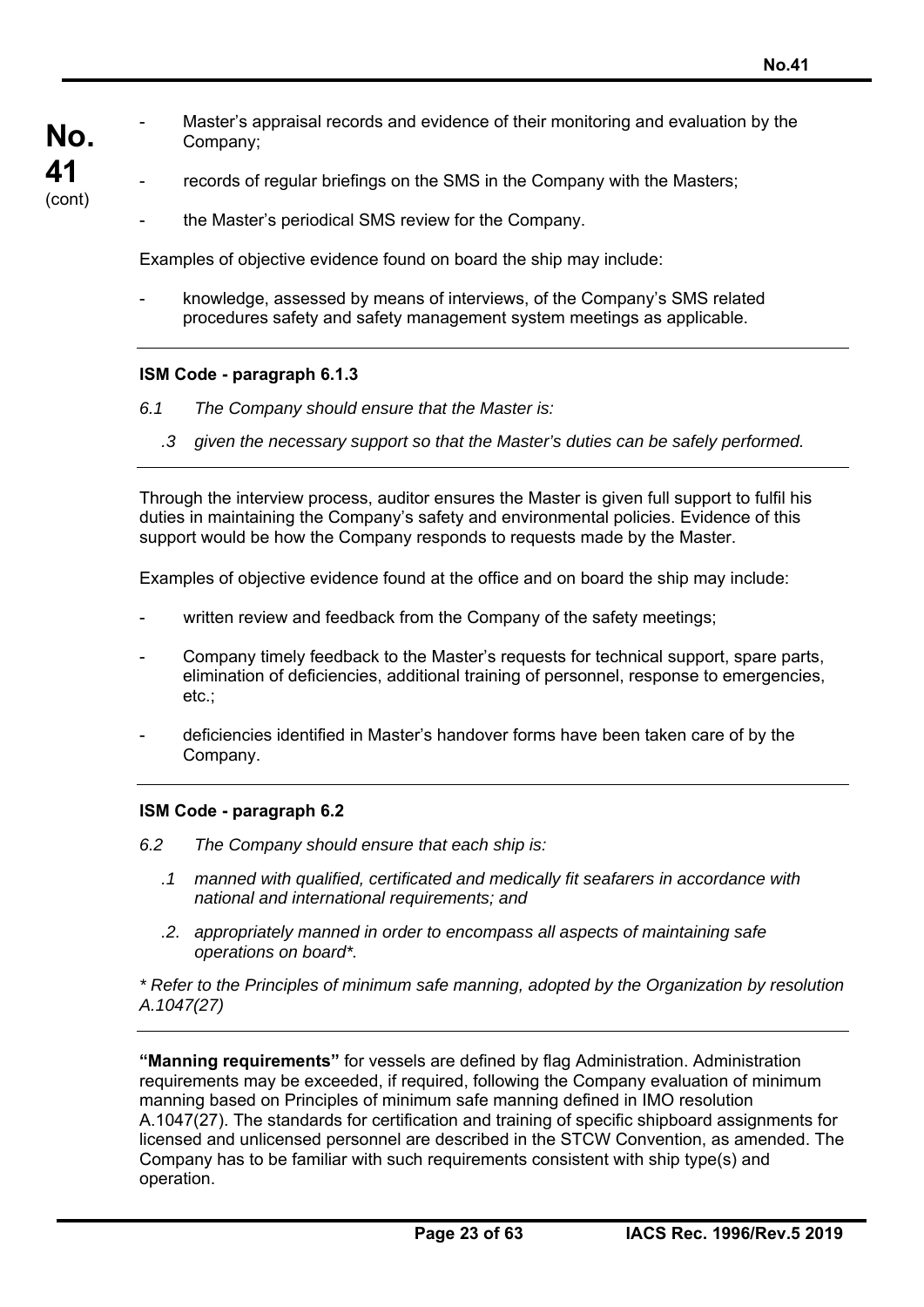- **No.**  - Master's appraisal records and evidence of their monitoring and evaluation by the Company;
	- records of regular briefings on the SMS in the Company with the Masters;
		- the Master's periodical SMS review for the Company.

Examples of objective evidence found on board the ship may include:

knowledge, assessed by means of interviews, of the Company's SMS related procedures safety and safety management system meetings as applicable.

### **ISM Code - paragraph 6.1.3**

**41**  (cont)

- *6.1 The Company should ensure that the Master is:* 
	- *.3 given the necessary support so that the Master's duties can be safely performed.*

Through the interview process, auditor ensures the Master is given full support to fulfil his duties in maintaining the Company's safety and environmental policies. Evidence of this support would be how the Company responds to requests made by the Master.

Examples of objective evidence found at the office and on board the ship may include:

- written review and feedback from the Company of the safety meetings;
- Company timely feedback to the Master's requests for technical support, spare parts, elimination of deficiencies, additional training of personnel, response to emergencies, etc.;
- deficiencies identified in Master's handover forms have been taken care of by the Company.

#### **ISM Code - paragraph 6.2**

- *6.2 The Company should ensure that each ship is:* 
	- *.1 manned with qualified, certificated and medically fit seafarers in accordance with national and international requirements; and*
	- *.2. appropriately manned in order to encompass all aspects of maintaining safe operations on board\*.*

*\* Refer to the Principles of minimum safe manning, adopted by the Organization by resolution A.1047(27)* 

**"Manning requirements"** for vessels are defined by flag Administration. Administration requirements may be exceeded, if required, following the Company evaluation of minimum manning based on Principles of minimum safe manning defined in IMO resolution A.1047(27). The standards for certification and training of specific shipboard assignments for licensed and unlicensed personnel are described in the STCW Convention, as amended. The Company has to be familiar with such requirements consistent with ship type(s) and operation.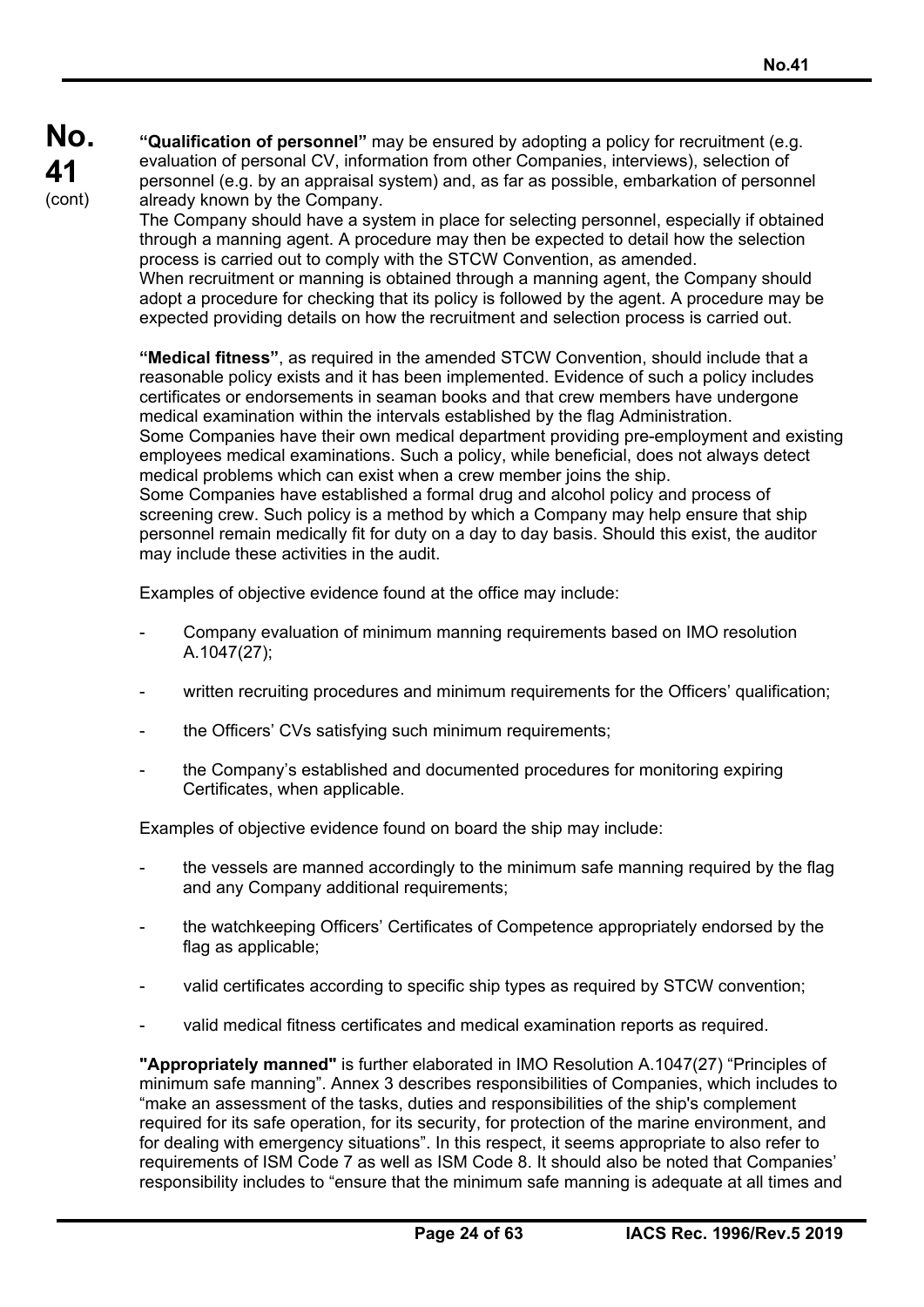**"Qualification of personnel"** may be ensured by adopting a policy for recruitment (e.g. evaluation of personal CV, information from other Companies, interviews), selection of personnel (e.g. by an appraisal system) and, as far as possible, embarkation of personnel already known by the Company.

The Company should have a system in place for selecting personnel, especially if obtained through a manning agent. A procedure may then be expected to detail how the selection process is carried out to comply with the STCW Convention, as amended. When recruitment or manning is obtained through a manning agent, the Company should adopt a procedure for checking that its policy is followed by the agent. A procedure may be expected providing details on how the recruitment and selection process is carried out.

**"Medical fitness"**, as required in the amended STCW Convention, should include that a reasonable policy exists and it has been implemented. Evidence of such a policy includes certificates or endorsements in seaman books and that crew members have undergone medical examination within the intervals established by the flag Administration. Some Companies have their own medical department providing pre-employment and existing employees medical examinations. Such a policy, while beneficial, does not always detect medical problems which can exist when a crew member joins the ship. Some Companies have established a formal drug and alcohol policy and process of screening crew. Such policy is a method by which a Company may help ensure that ship personnel remain medically fit for duty on a day to day basis. Should this exist, the auditor may include these activities in the audit.

Examples of objective evidence found at the office may include:

- Company evaluation of minimum manning requirements based on IMO resolution A.1047(27);
- written recruiting procedures and minimum requirements for the Officers' qualification;
- the Officers' CVs satisfying such minimum requirements;
- the Company's established and documented procedures for monitoring expiring Certificates, when applicable.

Examples of objective evidence found on board the ship may include:

- the vessels are manned accordingly to the minimum safe manning required by the flag and any Company additional requirements;
- the watchkeeping Officers' Certificates of Competence appropriately endorsed by the flag as applicable;
- valid certificates according to specific ship types as required by STCW convention;
- valid medical fitness certificates and medical examination reports as required.

**"Appropriately manned"** is further elaborated in IMO Resolution A.1047(27) "Principles of minimum safe manning". Annex 3 describes responsibilities of Companies, which includes to "make an assessment of the tasks, duties and responsibilities of the ship's complement required for its safe operation, for its security, for protection of the marine environment, and for dealing with emergency situations". In this respect, it seems appropriate to also refer to requirements of ISM Code 7 as well as ISM Code 8. It should also be noted that Companies' responsibility includes to "ensure that the minimum safe manning is adequate at all times and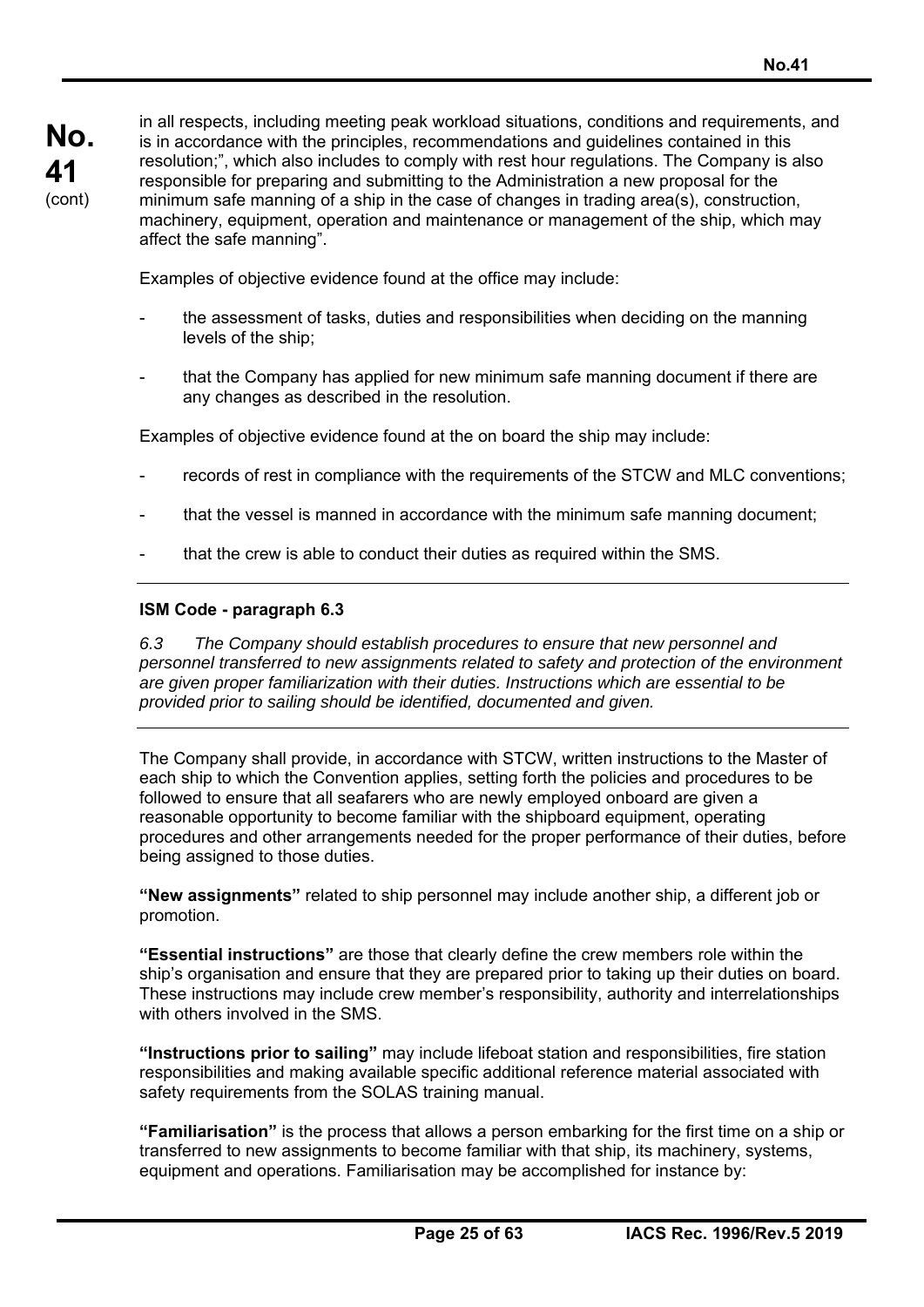in all respects, including meeting peak workload situations, conditions and requirements, and is in accordance with the principles, recommendations and guidelines contained in this resolution;", which also includes to comply with rest hour regulations. The Company is also responsible for preparing and submitting to the Administration a new proposal for the minimum safe manning of a ship in the case of changes in trading area(s), construction, machinery, equipment, operation and maintenance or management of the ship, which may affect the safe manning".

Examples of objective evidence found at the office may include:

- the assessment of tasks, duties and responsibilities when deciding on the manning levels of the ship;
- that the Company has applied for new minimum safe manning document if there are any changes as described in the resolution.

Examples of objective evidence found at the on board the ship may include:

- records of rest in compliance with the requirements of the STCW and MLC conventions:
- that the vessel is manned in accordance with the minimum safe manning document;
- that the crew is able to conduct their duties as required within the SMS.

### **ISM Code - paragraph 6.3**

*6.3 The Company should establish procedures to ensure that new personnel and personnel transferred to new assignments related to safety and protection of the environment are given proper familiarization with their duties. Instructions which are essential to be provided prior to sailing should be identified, documented and given.* 

The Company shall provide, in accordance with STCW, written instructions to the Master of each ship to which the Convention applies, setting forth the policies and procedures to be followed to ensure that all seafarers who are newly employed onboard are given a reasonable opportunity to become familiar with the shipboard equipment, operating procedures and other arrangements needed for the proper performance of their duties, before being assigned to those duties.

**"New assignments"** related to ship personnel may include another ship, a different job or promotion.

**"Essential instructions"** are those that clearly define the crew members role within the ship's organisation and ensure that they are prepared prior to taking up their duties on board. These instructions may include crew member's responsibility, authority and interrelationships with others involved in the SMS

**"Instructions prior to sailing"** may include lifeboat station and responsibilities, fire station responsibilities and making available specific additional reference material associated with safety requirements from the SOLAS training manual.

**"Familiarisation"** is the process that allows a person embarking for the first time on a ship or transferred to new assignments to become familiar with that ship, its machinery, systems, equipment and operations. Familiarisation may be accomplished for instance by: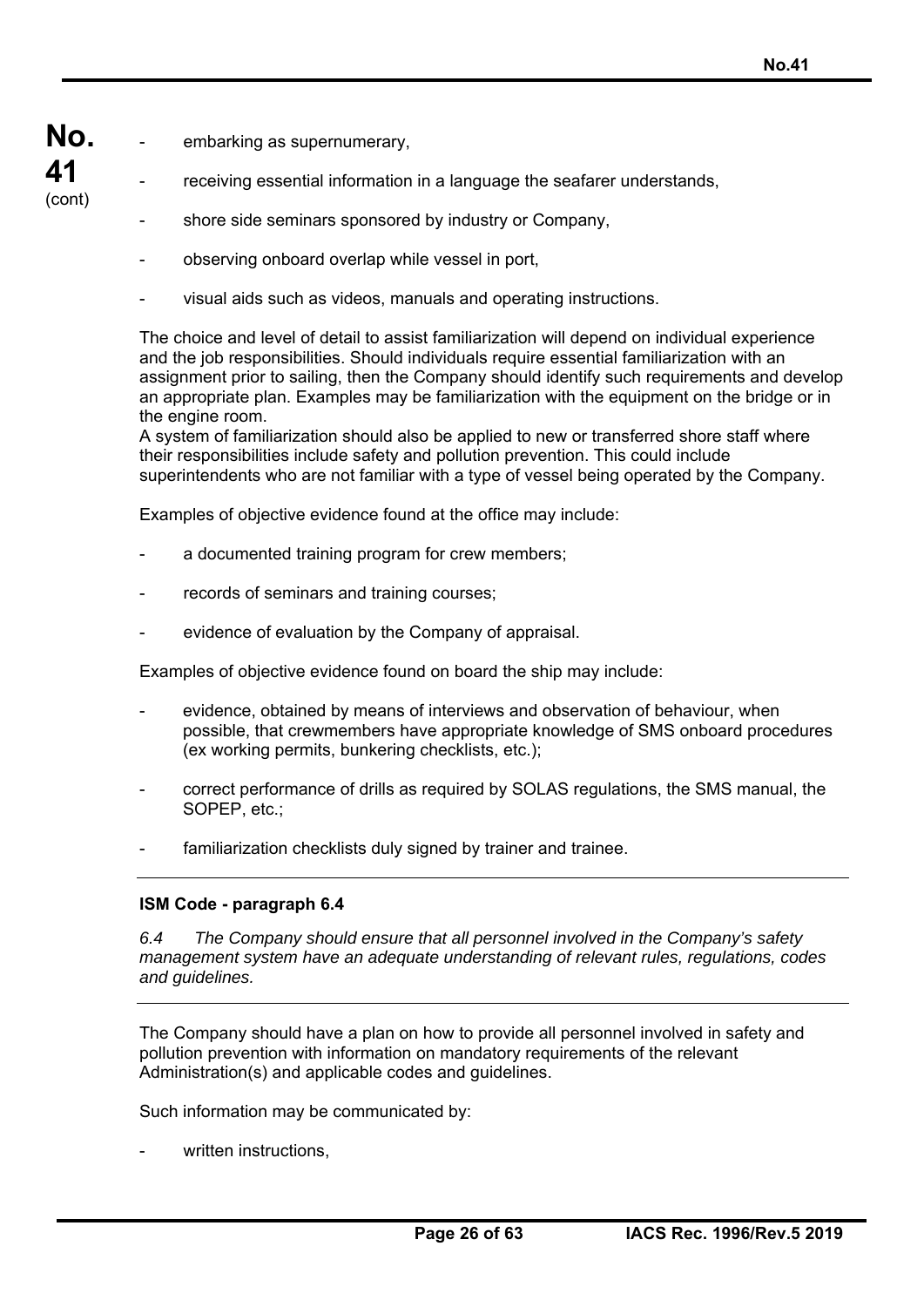**No.**  embarking as supernumerary,

**41**  (cont)

- receiving essential information in a language the seafarer understands,
	- shore side seminars sponsored by industry or Company,
	- observing onboard overlap while vessel in port,
	- visual aids such as videos, manuals and operating instructions.

The choice and level of detail to assist familiarization will depend on individual experience and the job responsibilities. Should individuals require essential familiarization with an assignment prior to sailing, then the Company should identify such requirements and develop an appropriate plan. Examples may be familiarization with the equipment on the bridge or in the engine room.

A system of familiarization should also be applied to new or transferred shore staff where their responsibilities include safety and pollution prevention. This could include superintendents who are not familiar with a type of vessel being operated by the Company.

Examples of objective evidence found at the office may include:

- a documented training program for crew members;
- records of seminars and training courses;
- evidence of evaluation by the Company of appraisal.

Examples of objective evidence found on board the ship may include:

- evidence, obtained by means of interviews and observation of behaviour, when possible, that crewmembers have appropriate knowledge of SMS onboard procedures (ex working permits, bunkering checklists, etc.);
- correct performance of drills as required by SOLAS regulations, the SMS manual, the SOPEP, etc.:
- familiarization checklists duly signed by trainer and trainee.

## **ISM Code - paragraph 6.4**

*6.4 The Company should ensure that all personnel involved in the Company's safety management system have an adequate understanding of relevant rules, regulations, codes and guidelines.* 

The Company should have a plan on how to provide all personnel involved in safety and pollution prevention with information on mandatory requirements of the relevant Administration(s) and applicable codes and guidelines.

Such information may be communicated by:

written instructions.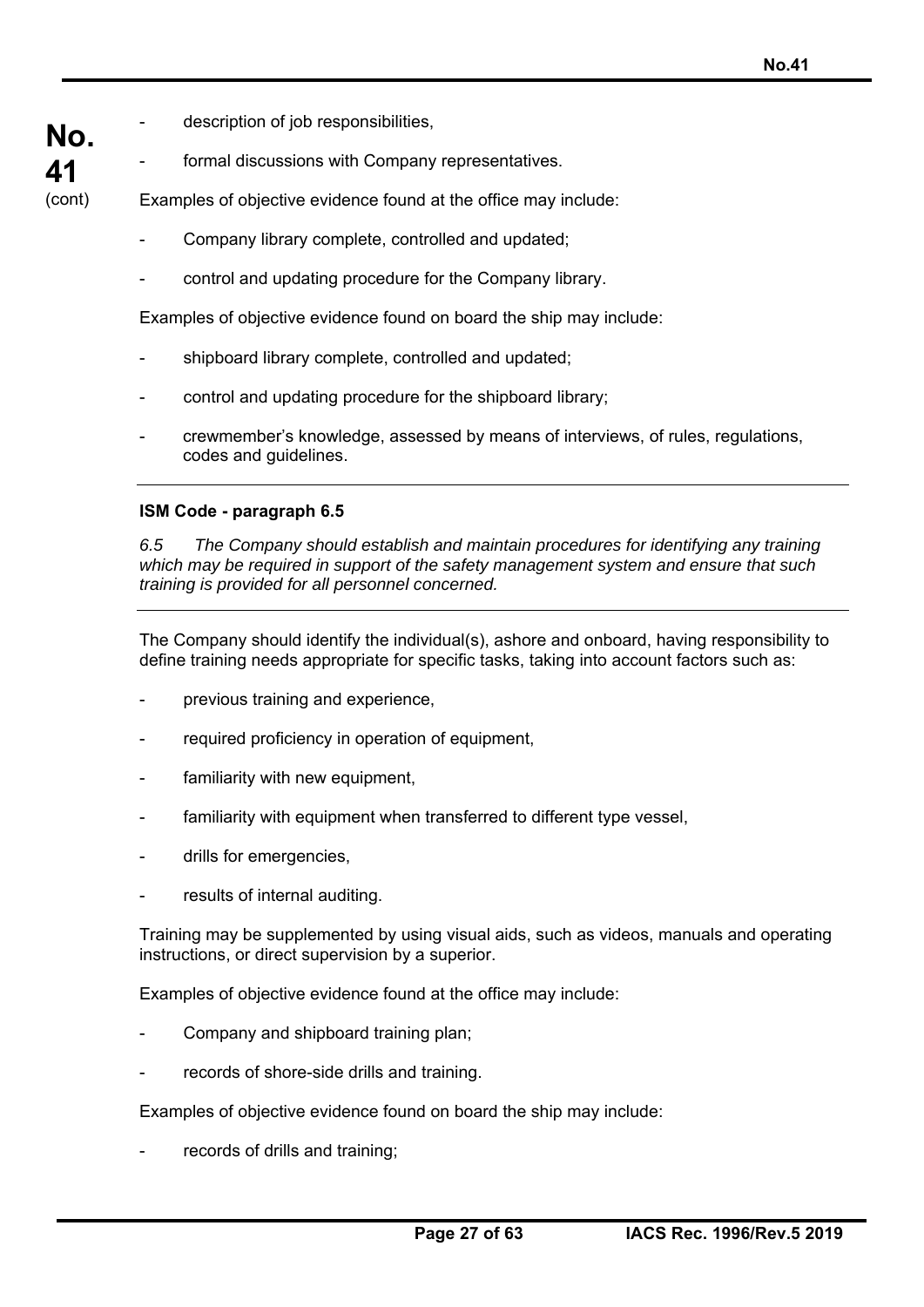**No.**  description of job responsibilities,

**41**  (cont)

formal discussions with Company representatives.

Examples of objective evidence found at the office may include:

- Company library complete, controlled and updated;
- control and updating procedure for the Company library.

Examples of objective evidence found on board the ship may include:

- shipboard library complete, controlled and updated;
- control and updating procedure for the shipboard library;
- crewmember's knowledge, assessed by means of interviews, of rules, regulations, codes and guidelines.

### **ISM Code - paragraph 6.5**

*6.5 The Company should establish and maintain procedures for identifying any training which may be required in support of the safety management system and ensure that such training is provided for all personnel concerned.* 

The Company should identify the individual(s), ashore and onboard, having responsibility to define training needs appropriate for specific tasks, taking into account factors such as:

- previous training and experience,
- required proficiency in operation of equipment,
- familiarity with new equipment,
- familiarity with equipment when transferred to different type vessel,
- drills for emergencies,
- results of internal auditing.

Training may be supplemented by using visual aids, such as videos, manuals and operating instructions, or direct supervision by a superior.

Examples of objective evidence found at the office may include:

- Company and shipboard training plan;
- records of shore-side drills and training.

Examples of objective evidence found on board the ship may include:

records of drills and training;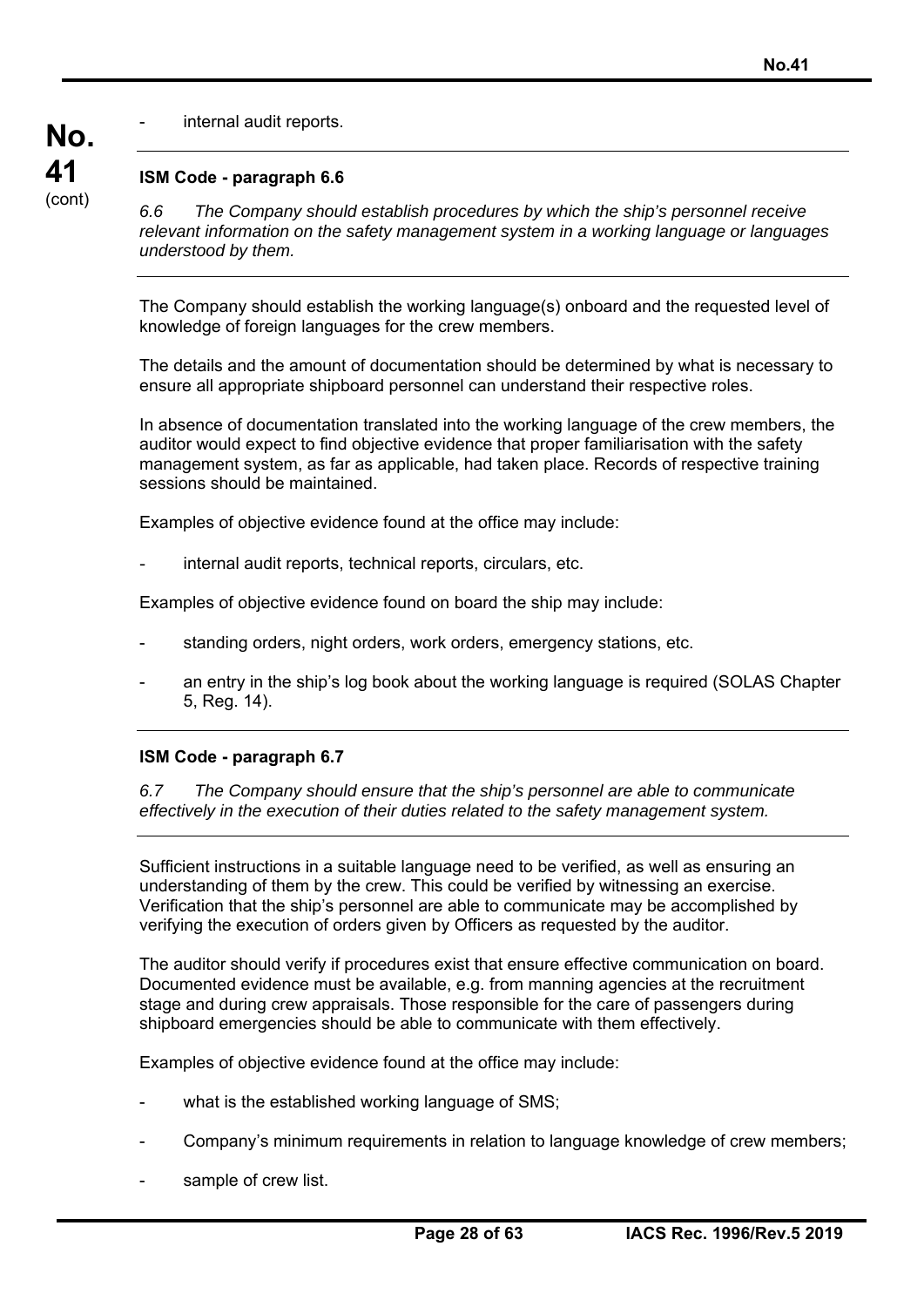internal audit reports.

## **ISM Code - paragraph 6.6**

**No.** 

**41**  (cont)

*6.6 The Company should establish procedures by which the ship's personnel receive relevant information on the safety management system in a working language or languages understood by them.* 

The Company should establish the working language(s) onboard and the requested level of knowledge of foreign languages for the crew members.

The details and the amount of documentation should be determined by what is necessary to ensure all appropriate shipboard personnel can understand their respective roles.

In absence of documentation translated into the working language of the crew members, the auditor would expect to find objective evidence that proper familiarisation with the safety management system, as far as applicable, had taken place. Records of respective training sessions should be maintained.

Examples of objective evidence found at the office may include:

internal audit reports, technical reports, circulars, etc.

Examples of objective evidence found on board the ship may include:

- standing orders, night orders, work orders, emergency stations, etc.
- an entry in the ship's log book about the working language is required (SOLAS Chapter 5, Reg. 14).

### **ISM Code - paragraph 6.7**

*6.7 The Company should ensure that the ship's personnel are able to communicate effectively in the execution of their duties related to the safety management system.* 

Sufficient instructions in a suitable language need to be verified, as well as ensuring an understanding of them by the crew. This could be verified by witnessing an exercise. Verification that the ship's personnel are able to communicate may be accomplished by verifying the execution of orders given by Officers as requested by the auditor.

The auditor should verify if procedures exist that ensure effective communication on board. Documented evidence must be available, e.g. from manning agencies at the recruitment stage and during crew appraisals. Those responsible for the care of passengers during shipboard emergencies should be able to communicate with them effectively.

Examples of objective evidence found at the office may include:

- what is the established working language of SMS;
- Company's minimum requirements in relation to language knowledge of crew members;
- sample of crew list.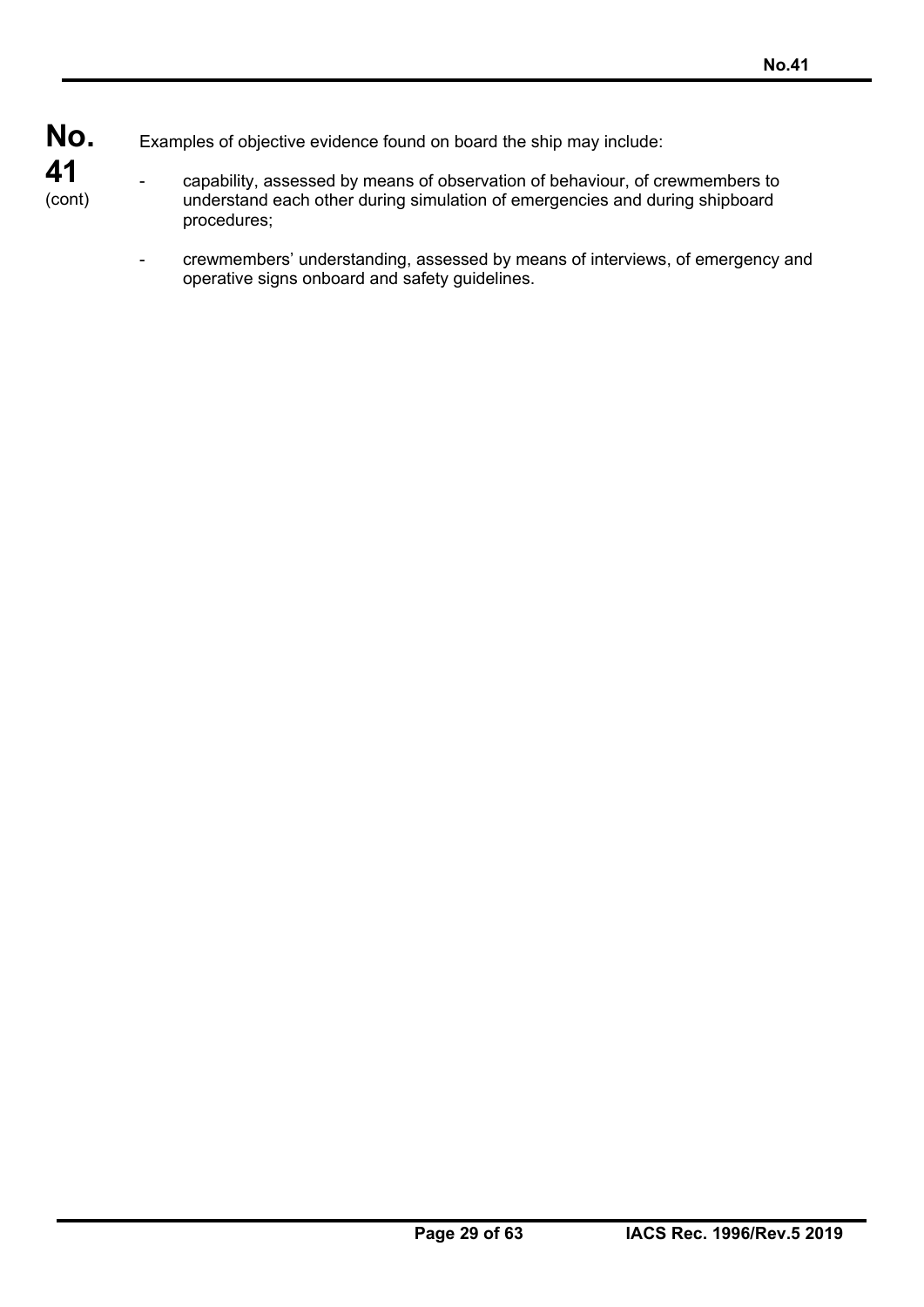- **No.**  Examples of objective evidence found on board the ship may include:
- **41**  (cont)
- capability, assessed by means of observation of behaviour, of crewmembers to understand each other during simulation of emergencies and during shipboard procedures;
	- crewmembers' understanding, assessed by means of interviews, of emergency and operative signs onboard and safety guidelines.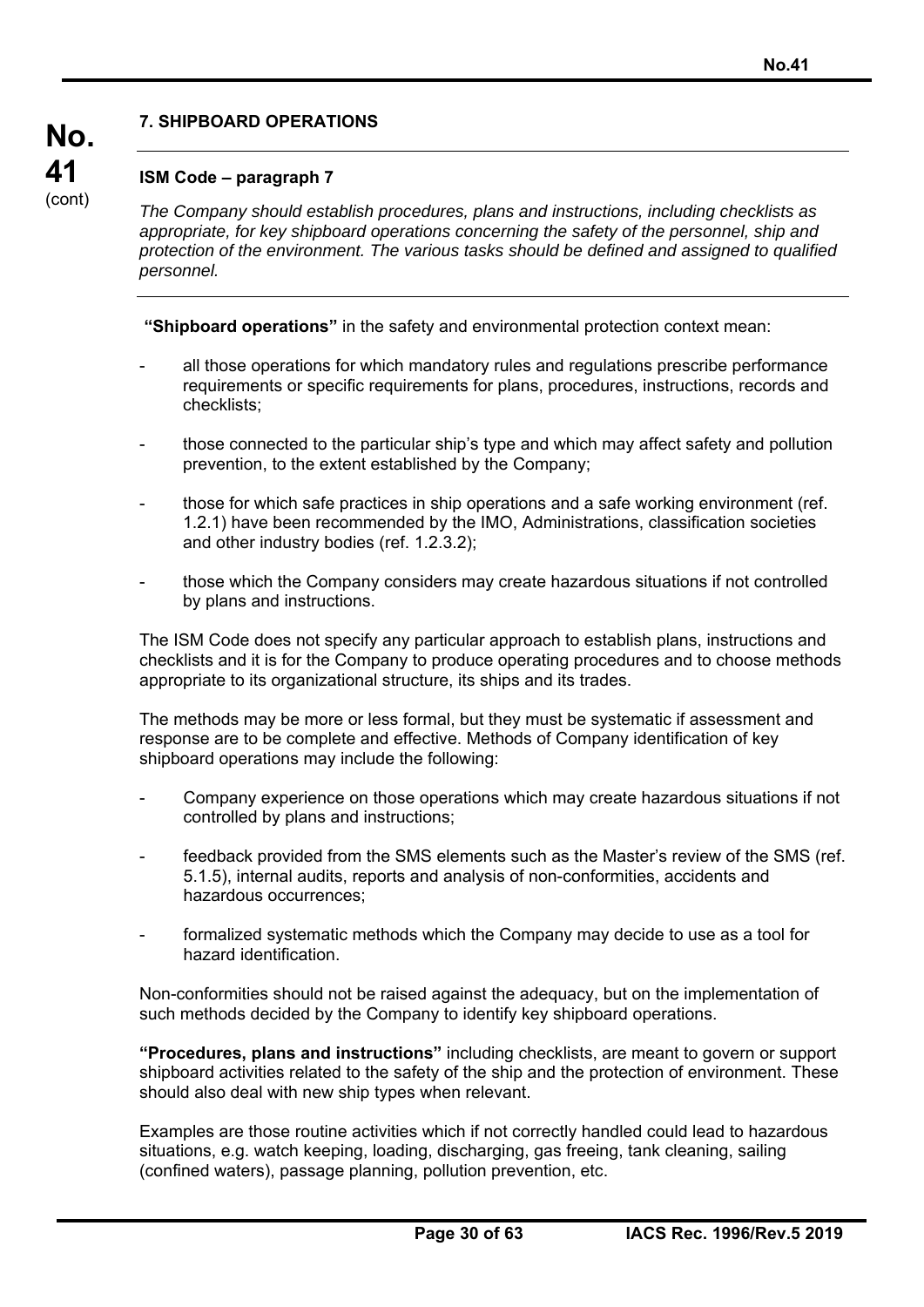# **7. SHIPBOARD OPERATIONS**

## **ISM Code – paragraph 7**

**No.** 

**41**  (cont)

*The Company should establish procedures, plans and instructions, including checklists as appropriate, for key shipboard operations concerning the safety of the personnel, ship and protection of the environment. The various tasks should be defined and assigned to qualified personnel.* 

**"Shipboard operations"** in the safety and environmental protection context mean:

- all those operations for which mandatory rules and regulations prescribe performance requirements or specific requirements for plans, procedures, instructions, records and checklists;
- those connected to the particular ship's type and which may affect safety and pollution prevention, to the extent established by the Company;
- those for which safe practices in ship operations and a safe working environment (ref. 1.2.1) have been recommended by the IMO, Administrations, classification societies and other industry bodies (ref. 1.2.3.2);
- those which the Company considers may create hazardous situations if not controlled by plans and instructions.

The ISM Code does not specify any particular approach to establish plans, instructions and checklists and it is for the Company to produce operating procedures and to choose methods appropriate to its organizational structure, its ships and its trades.

The methods may be more or less formal, but they must be systematic if assessment and response are to be complete and effective. Methods of Company identification of key shipboard operations may include the following:

- Company experience on those operations which may create hazardous situations if not controlled by plans and instructions;
- feedback provided from the SMS elements such as the Master's review of the SMS (ref. 5.1.5), internal audits, reports and analysis of non-conformities, accidents and hazardous occurrences;
- formalized systematic methods which the Company may decide to use as a tool for hazard identification.

Non-conformities should not be raised against the adequacy, but on the implementation of such methods decided by the Company to identify key shipboard operations.

**"Procedures, plans and instructions"** including checklists, are meant to govern or support shipboard activities related to the safety of the ship and the protection of environment. These should also deal with new ship types when relevant.

Examples are those routine activities which if not correctly handled could lead to hazardous situations, e.g. watch keeping, loading, discharging, gas freeing, tank cleaning, sailing (confined waters), passage planning, pollution prevention, etc.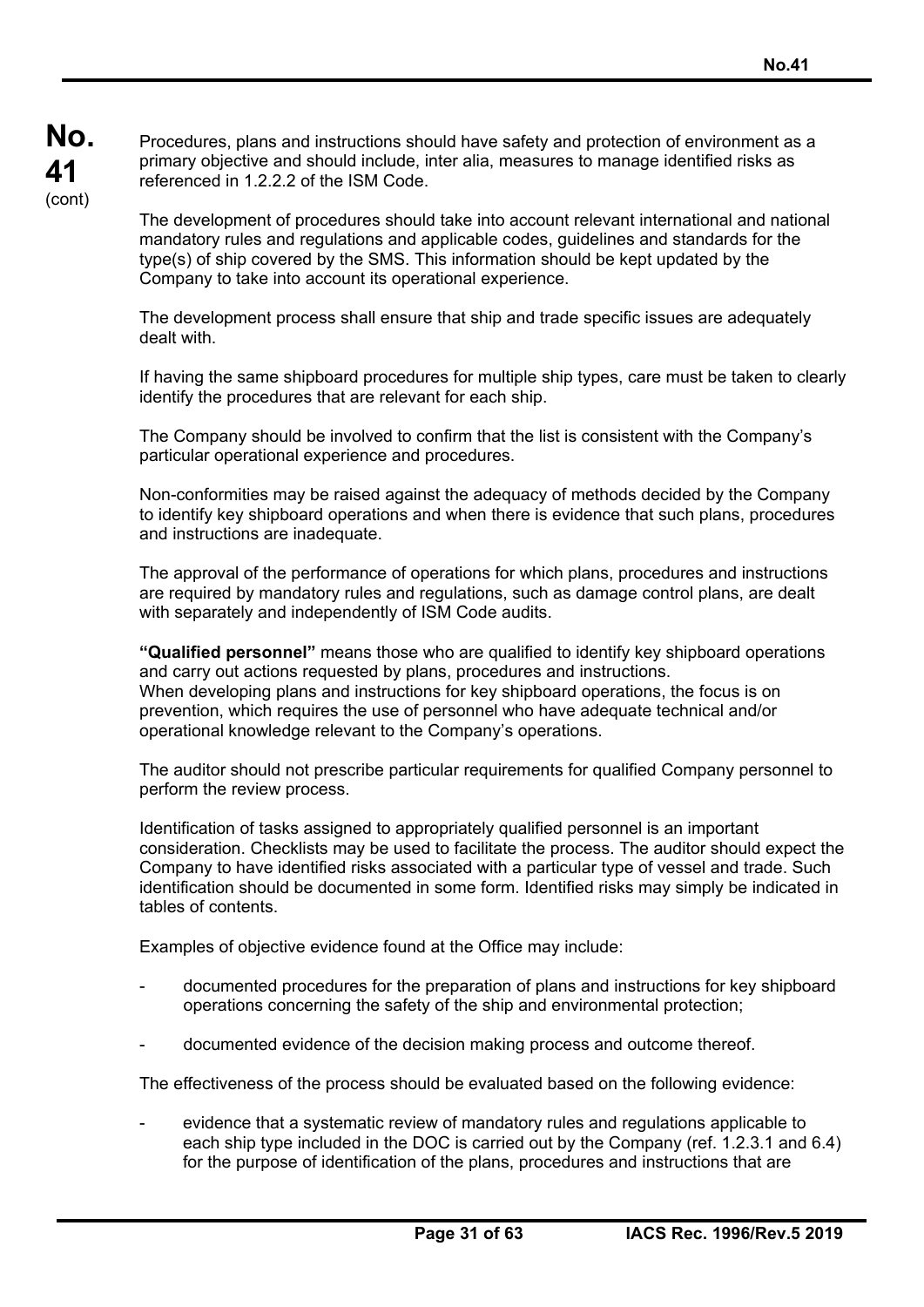Procedures, plans and instructions should have safety and protection of environment as a primary objective and should include, inter alia, measures to manage identified risks as referenced in 1.2.2.2 of the ISM Code.

The development of procedures should take into account relevant international and national mandatory rules and regulations and applicable codes, guidelines and standards for the type(s) of ship covered by the SMS. This information should be kept updated by the Company to take into account its operational experience.

The development process shall ensure that ship and trade specific issues are adequately dealt with.

If having the same shipboard procedures for multiple ship types, care must be taken to clearly identify the procedures that are relevant for each ship.

The Company should be involved to confirm that the list is consistent with the Company's particular operational experience and procedures.

Non-conformities may be raised against the adequacy of methods decided by the Company to identify key shipboard operations and when there is evidence that such plans, procedures and instructions are inadequate.

The approval of the performance of operations for which plans, procedures and instructions are required by mandatory rules and regulations, such as damage control plans, are dealt with separately and independently of ISM Code audits.

**"Qualified personnel"** means those who are qualified to identify key shipboard operations and carry out actions requested by plans, procedures and instructions. When developing plans and instructions for key shipboard operations, the focus is on prevention, which requires the use of personnel who have adequate technical and/or operational knowledge relevant to the Company's operations.

The auditor should not prescribe particular requirements for qualified Company personnel to perform the review process.

Identification of tasks assigned to appropriately qualified personnel is an important consideration. Checklists may be used to facilitate the process. The auditor should expect the Company to have identified risks associated with a particular type of vessel and trade. Such identification should be documented in some form. Identified risks may simply be indicated in tables of contents.

Examples of objective evidence found at the Office may include:

- documented procedures for the preparation of plans and instructions for key shipboard operations concerning the safety of the ship and environmental protection;
- documented evidence of the decision making process and outcome thereof.

The effectiveness of the process should be evaluated based on the following evidence:

evidence that a systematic review of mandatory rules and regulations applicable to each ship type included in the DOC is carried out by the Company (ref. 1.2.3.1 and 6.4) for the purpose of identification of the plans, procedures and instructions that are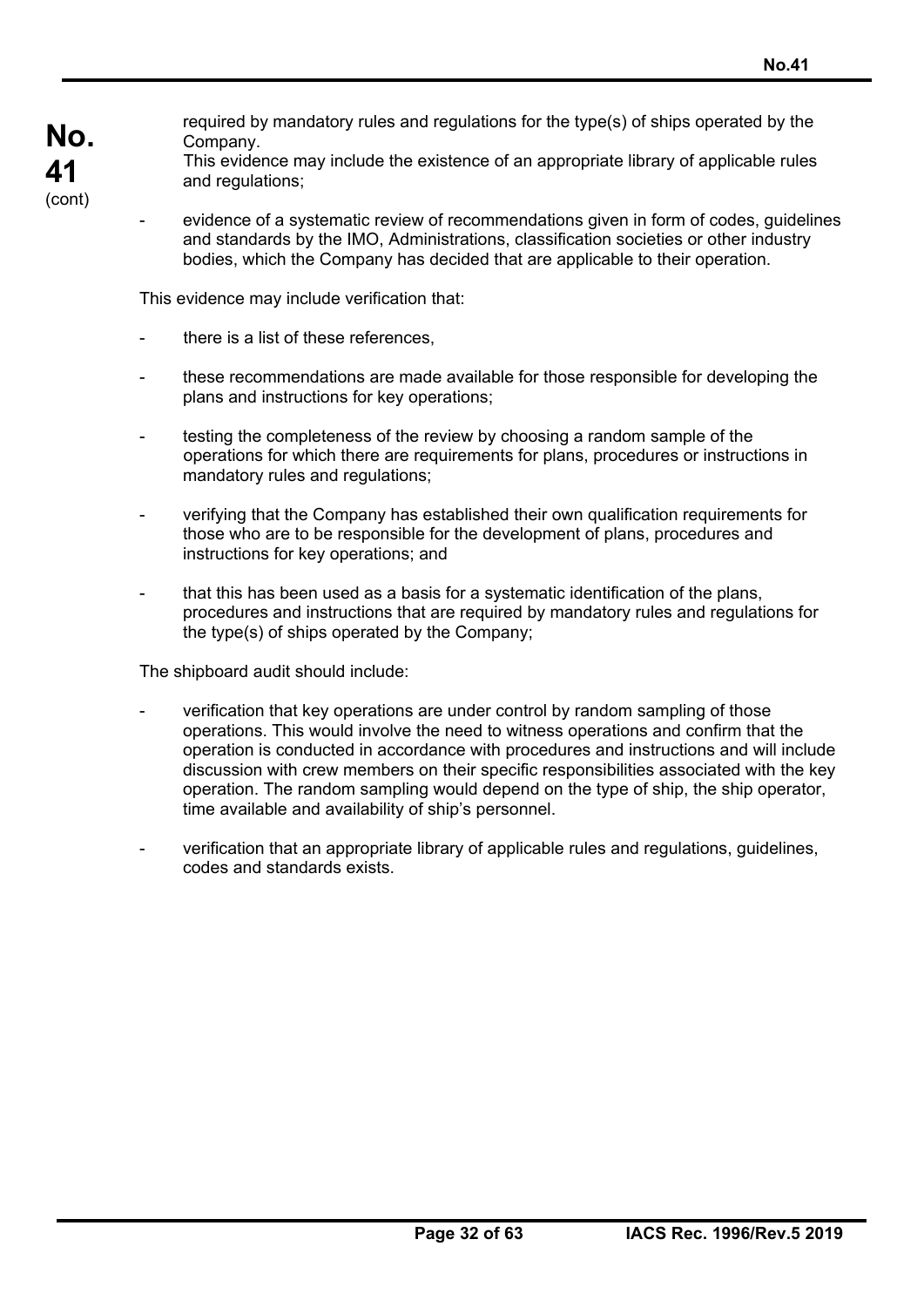required by mandatory rules and regulations for the type(s) of ships operated by the Company.

This evidence may include the existence of an appropriate library of applicable rules and regulations;

evidence of a systematic review of recommendations given in form of codes, guidelines and standards by the IMO, Administrations, classification societies or other industry bodies, which the Company has decided that are applicable to their operation.

This evidence may include verification that:

there is a list of these references.

**No.** 

**41**  (cont)

- these recommendations are made available for those responsible for developing the plans and instructions for key operations;
- testing the completeness of the review by choosing a random sample of the operations for which there are requirements for plans, procedures or instructions in mandatory rules and regulations;
- verifying that the Company has established their own qualification requirements for those who are to be responsible for the development of plans, procedures and instructions for key operations; and
- that this has been used as a basis for a systematic identification of the plans, procedures and instructions that are required by mandatory rules and regulations for the type(s) of ships operated by the Company;

The shipboard audit should include:

- verification that key operations are under control by random sampling of those operations. This would involve the need to witness operations and confirm that the operation is conducted in accordance with procedures and instructions and will include discussion with crew members on their specific responsibilities associated with the key operation. The random sampling would depend on the type of ship, the ship operator, time available and availability of ship's personnel.
- verification that an appropriate library of applicable rules and regulations, guidelines, codes and standards exists.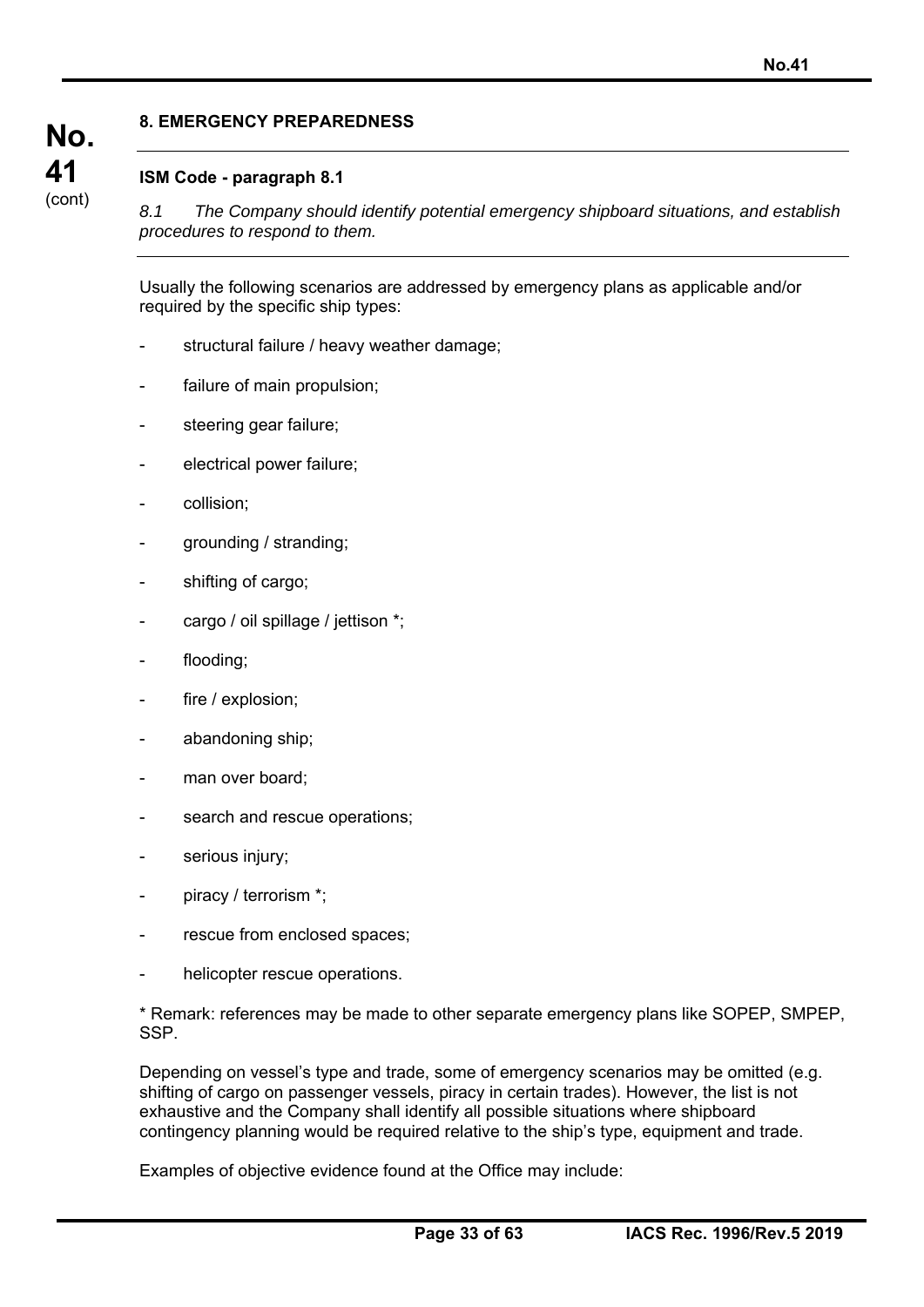## **8. EMERGENCY PREPAREDNESS**

## **ISM Code - paragraph 8.1**

*8.1 The Company should identify potential emergency shipboard situations, and establish procedures to respond to them.*

Usually the following scenarios are addressed by emergency plans as applicable and/or required by the specific ship types:

- structural failure / heavy weather damage;
- failure of main propulsion;
- steering gear failure;
- electrical power failure;
- collision:
- grounding / stranding;
- shifting of cargo;
- cargo / oil spillage / jettison \*;
- flooding:
- fire / explosion;
- abandoning ship;
- man over board;
- search and rescue operations;
- serious injury;
- piracy / terrorism \*;
- rescue from enclosed spaces;
- helicopter rescue operations.

\* Remark: references may be made to other separate emergency plans like SOPEP, SMPEP, SSP.

Depending on vessel's type and trade, some of emergency scenarios may be omitted (e.g. shifting of cargo on passenger vessels, piracy in certain trades). However, the list is not exhaustive and the Company shall identify all possible situations where shipboard contingency planning would be required relative to the ship's type, equipment and trade.

Examples of objective evidence found at the Office may include: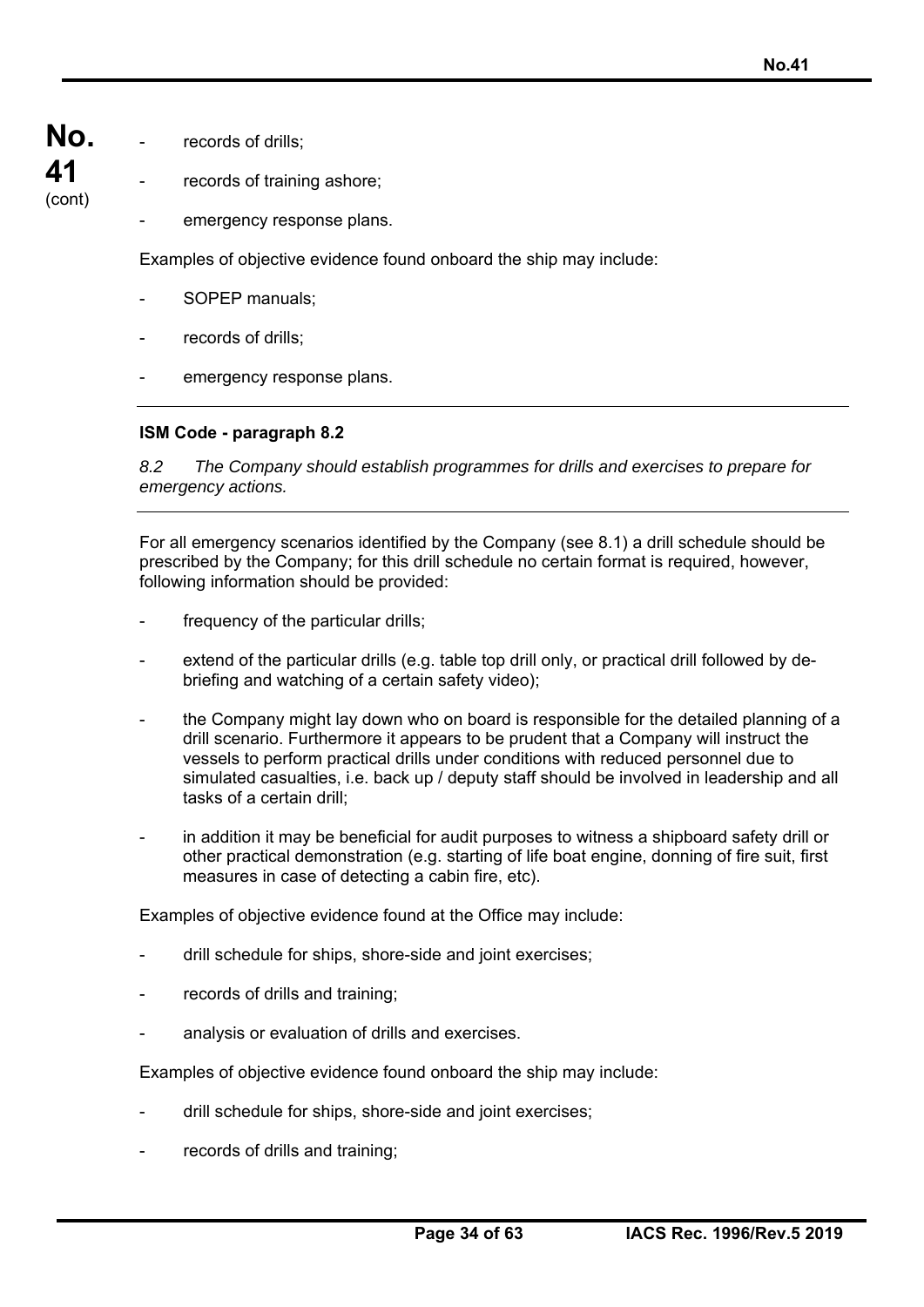**No.**  records of drills;

**41**  (cont)

records of training ashore:

emergency response plans.

Examples of objective evidence found onboard the ship may include:

- SOPEP manuals;
- records of drills:
- emergency response plans.

# **ISM Code - paragraph 8.2**

*8.2 The Company should establish programmes for drills and exercises to prepare for emergency actions.* 

For all emergency scenarios identified by the Company (see 8.1) a drill schedule should be prescribed by the Company; for this drill schedule no certain format is required, however, following information should be provided:

- frequency of the particular drills;
- extend of the particular drills (e.g. table top drill only, or practical drill followed by debriefing and watching of a certain safety video);
- the Company might lay down who on board is responsible for the detailed planning of a drill scenario. Furthermore it appears to be prudent that a Company will instruct the vessels to perform practical drills under conditions with reduced personnel due to simulated casualties, i.e. back up / deputy staff should be involved in leadership and all tasks of a certain drill;
- in addition it may be beneficial for audit purposes to witness a shipboard safety drill or other practical demonstration (e.g. starting of life boat engine, donning of fire suit, first measures in case of detecting a cabin fire, etc).

Examples of objective evidence found at the Office may include:

- drill schedule for ships, shore-side and joint exercises;
- records of drills and training;
- analysis or evaluation of drills and exercises.

Examples of objective evidence found onboard the ship may include:

- drill schedule for ships, shore-side and joint exercises;
- records of drills and training;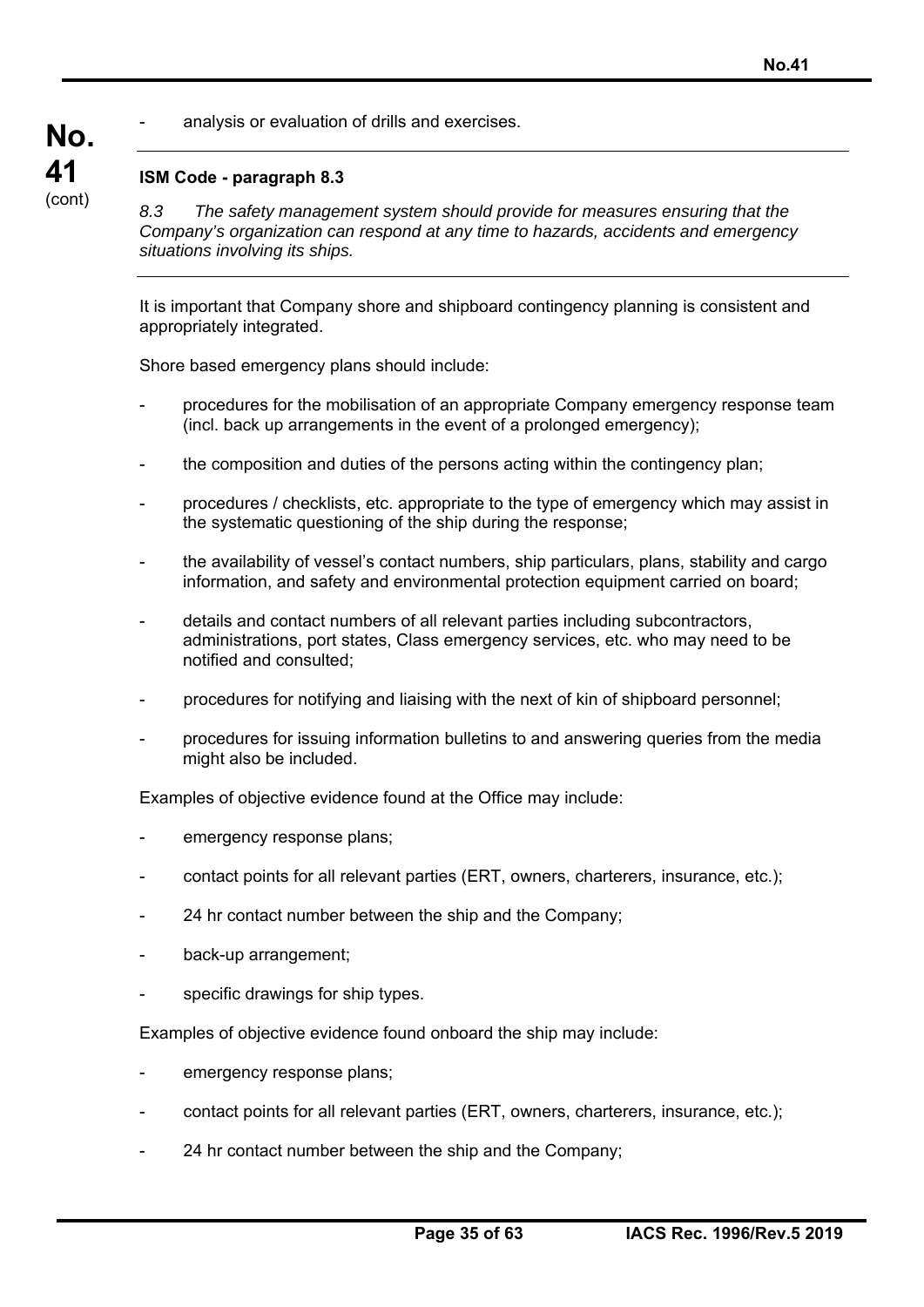analysis or evaluation of drills and exercises.

## **ISM Code - paragraph 8.3**

*8.3 The safety management system should provide for measures ensuring that the Company's organization can respond at any time to hazards, accidents and emergency situations involving its ships.* 

It is important that Company shore and shipboard contingency planning is consistent and appropriately integrated.

Shore based emergency plans should include:

- procedures for the mobilisation of an appropriate Company emergency response team (incl. back up arrangements in the event of a prolonged emergency);
- the composition and duties of the persons acting within the contingency plan;
- procedures / checklists, etc. appropriate to the type of emergency which may assist in the systematic questioning of the ship during the response;
- the availability of vessel's contact numbers, ship particulars, plans, stability and cargo information, and safety and environmental protection equipment carried on board;
- details and contact numbers of all relevant parties including subcontractors, administrations, port states, Class emergency services, etc. who may need to be notified and consulted;
- procedures for notifying and liaising with the next of kin of shipboard personnel;
- procedures for issuing information bulletins to and answering queries from the media might also be included.

Examples of objective evidence found at the Office may include:

- emergency response plans;
- contact points for all relevant parties (ERT, owners, charterers, insurance, etc.);
- 24 hr contact number between the ship and the Company;
- back-up arrangement;
- specific drawings for ship types.

Examples of objective evidence found onboard the ship may include:

- emergency response plans;
- contact points for all relevant parties (ERT, owners, charterers, insurance, etc.);
- 24 hr contact number between the ship and the Company;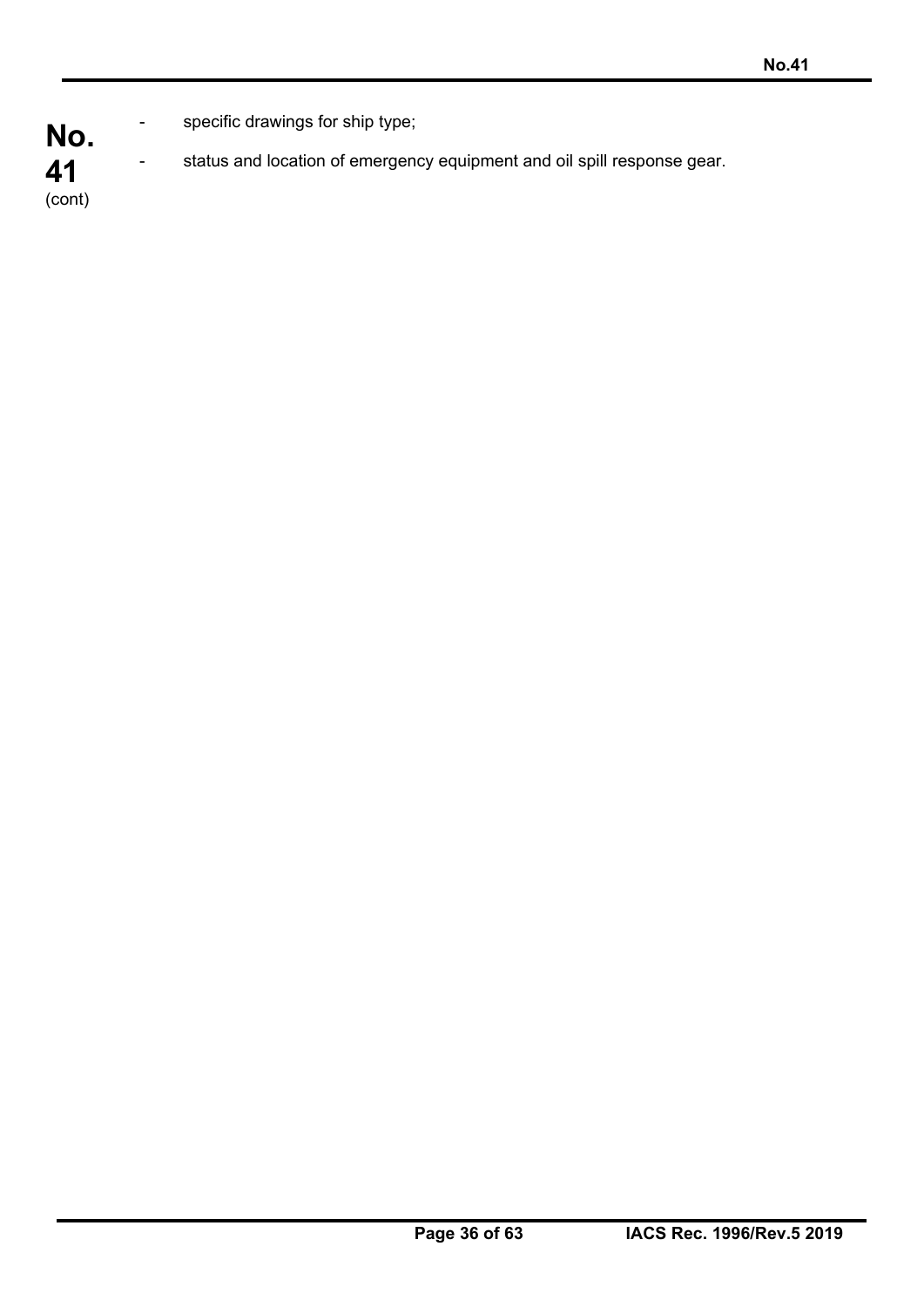**No.**  specific drawings for ship type;

status and location of emergency equipment and oil spill response gear.

**41**  (cont)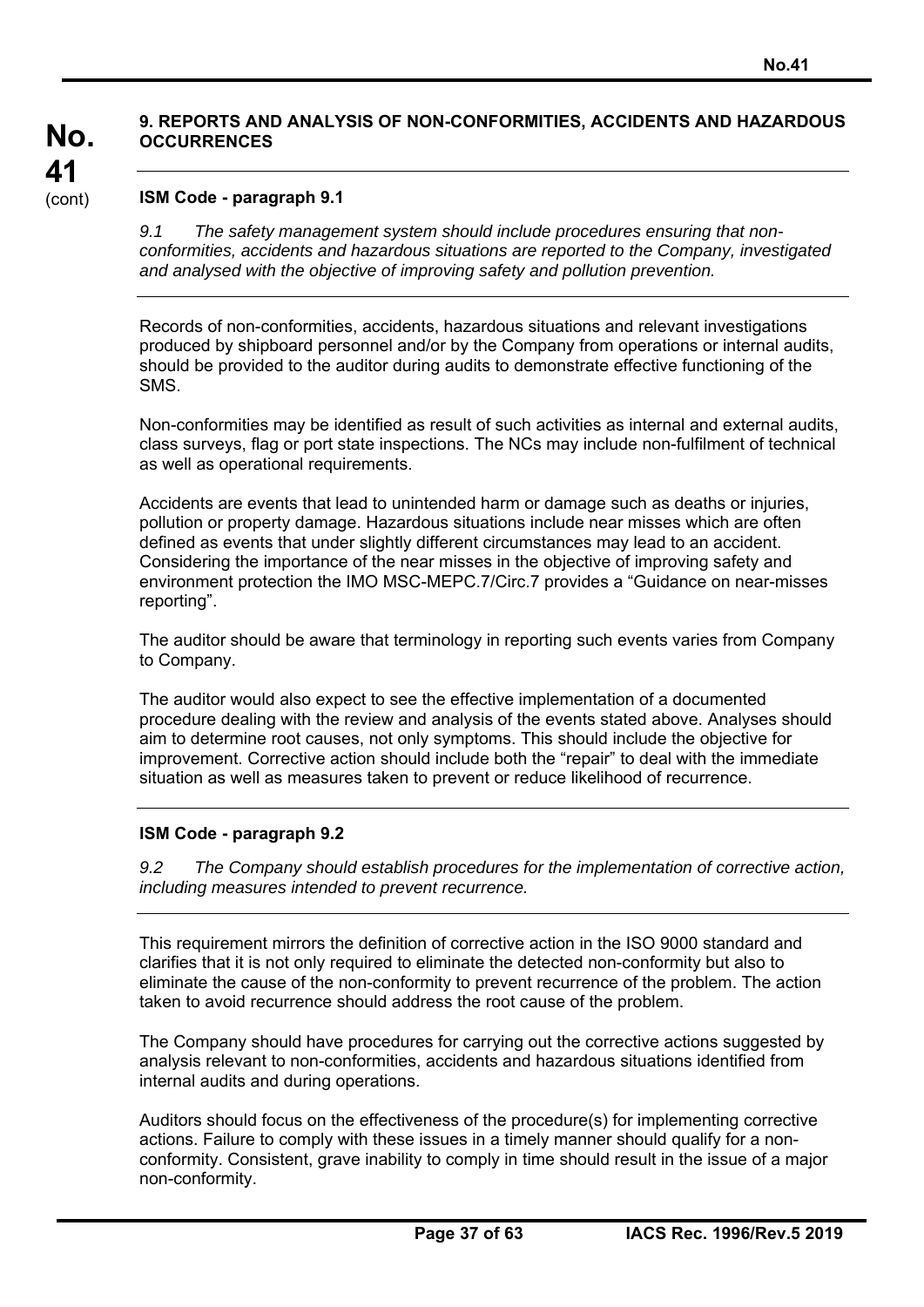## **9. REPORTS AND ANALYSIS OF NON-CONFORMITIES, ACCIDENTS AND HAZARDOUS OCCURRENCES**

### **ISM Code - paragraph 9.1**

**No.** 

**41**  (cont)

> *9.1 The safety management system should include procedures ensuring that nonconformities, accidents and hazardous situations are reported to the Company, investigated and analysed with the objective of improving safety and pollution prevention.*

> Records of non-conformities, accidents, hazardous situations and relevant investigations produced by shipboard personnel and/or by the Company from operations or internal audits, should be provided to the auditor during audits to demonstrate effective functioning of the SMS.

> Non-conformities may be identified as result of such activities as internal and external audits, class surveys, flag or port state inspections. The NCs may include non-fulfilment of technical as well as operational requirements.

Accidents are events that lead to unintended harm or damage such as deaths or injuries, pollution or property damage. Hazardous situations include near misses which are often defined as events that under slightly different circumstances may lead to an accident. Considering the importance of the near misses in the objective of improving safety and environment protection the IMO MSC-MEPC.7/Circ.7 provides a "Guidance on near-misses reporting".

The auditor should be aware that terminology in reporting such events varies from Company to Company.

The auditor would also expect to see the effective implementation of a documented procedure dealing with the review and analysis of the events stated above. Analyses should aim to determine root causes, not only symptoms. This should include the objective for improvement. Corrective action should include both the "repair" to deal with the immediate situation as well as measures taken to prevent or reduce likelihood of recurrence.

### **ISM Code - paragraph 9.2**

*9.2 The Company should establish procedures for the implementation of corrective action, including measures intended to prevent recurrence.* 

This requirement mirrors the definition of corrective action in the ISO 9000 standard and clarifies that it is not only required to eliminate the detected non-conformity but also to eliminate the cause of the non-conformity to prevent recurrence of the problem. The action taken to avoid recurrence should address the root cause of the problem.

The Company should have procedures for carrying out the corrective actions suggested by analysis relevant to non-conformities, accidents and hazardous situations identified from internal audits and during operations.

Auditors should focus on the effectiveness of the procedure(s) for implementing corrective actions. Failure to comply with these issues in a timely manner should qualify for a nonconformity. Consistent, grave inability to comply in time should result in the issue of a major non-conformity.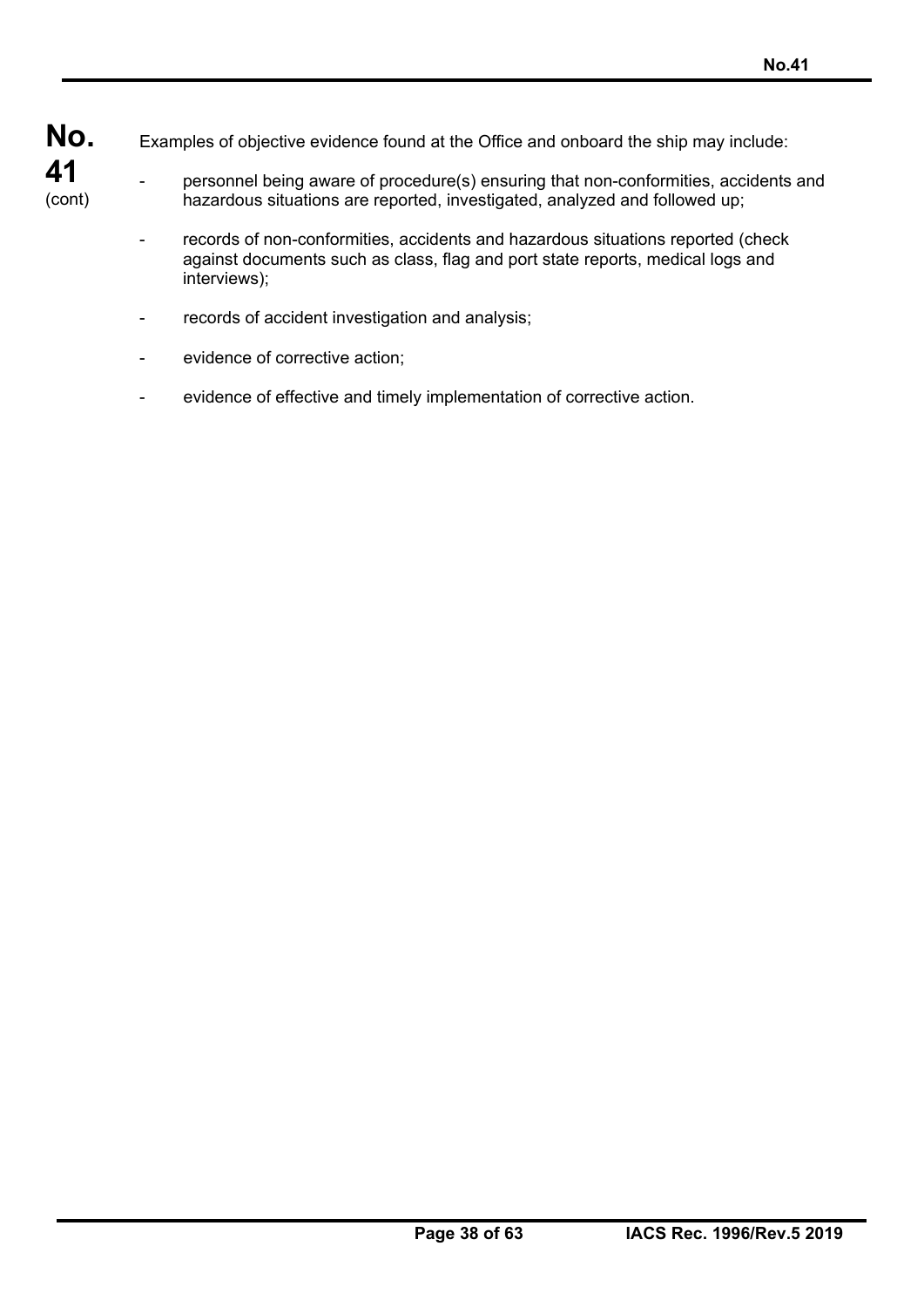Examples of objective evidence found at the Office and onboard the ship may include:

- personnel being aware of procedure(s) ensuring that non-conformities, accidents and hazardous situations are reported, investigated, analyzed and followed up;
	- records of non-conformities, accidents and hazardous situations reported (check against documents such as class, flag and port state reports, medical logs and interviews);
	- records of accident investigation and analysis;
	- evidence of corrective action;
	- evidence of effective and timely implementation of corrective action.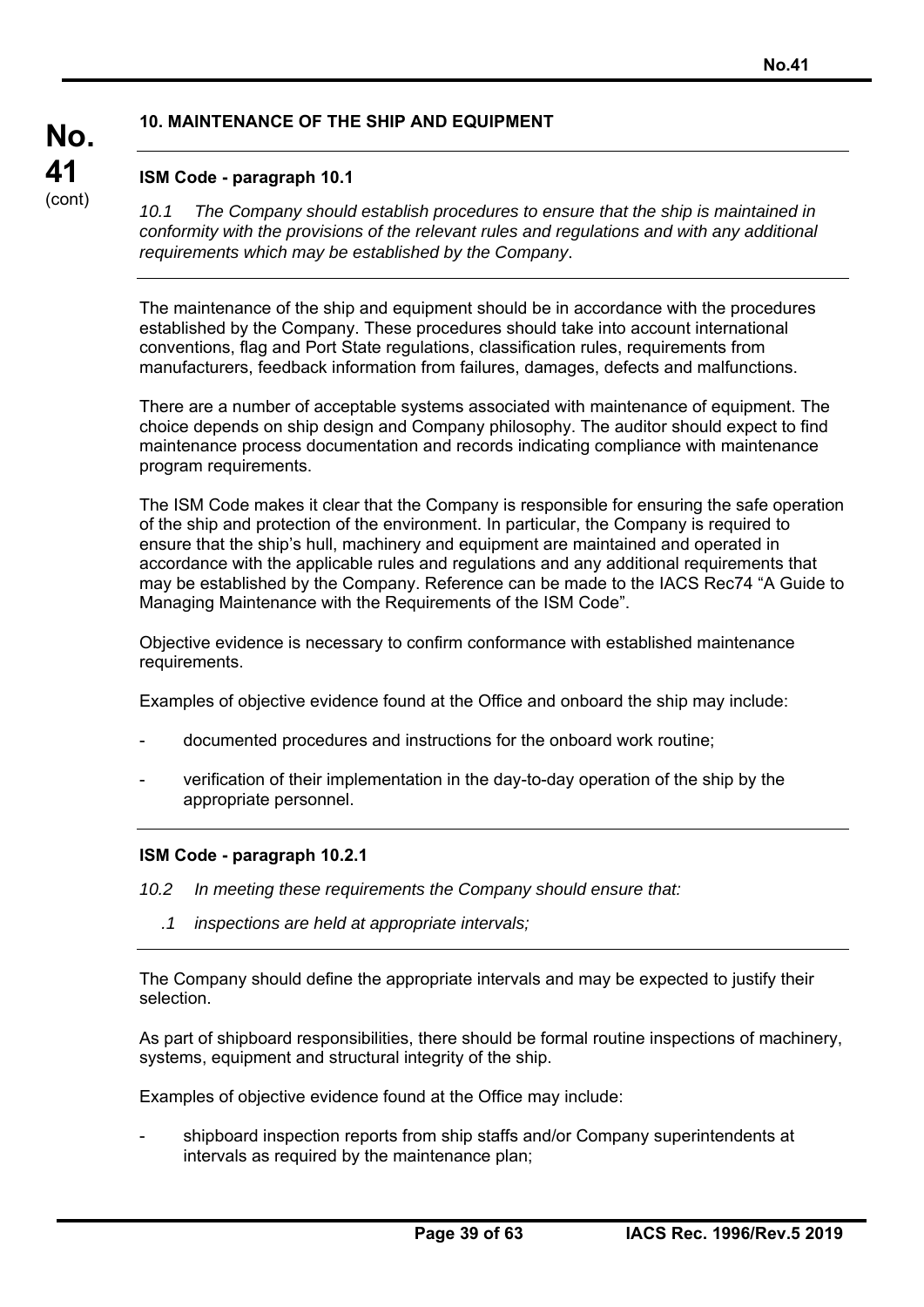## **10. MAINTENANCE OF THE SHIP AND EQUIPMENT**

## **ISM Code - paragraph 10.1**

**No.** 

**41**  (cont)

*10.1 The Company should establish procedures to ensure that the ship is maintained in conformity with the provisions of the relevant rules and regulations and with any additional requirements which may be established by the Company*.

The maintenance of the ship and equipment should be in accordance with the procedures established by the Company. These procedures should take into account international conventions, flag and Port State regulations, classification rules, requirements from manufacturers, feedback information from failures, damages, defects and malfunctions.

There are a number of acceptable systems associated with maintenance of equipment. The choice depends on ship design and Company philosophy. The auditor should expect to find maintenance process documentation and records indicating compliance with maintenance program requirements.

The ISM Code makes it clear that the Company is responsible for ensuring the safe operation of the ship and protection of the environment. In particular, the Company is required to ensure that the ship's hull, machinery and equipment are maintained and operated in accordance with the applicable rules and regulations and any additional requirements that may be established by the Company. Reference can be made to the IACS Rec74 "A Guide to Managing Maintenance with the Requirements of the ISM Code".

Objective evidence is necessary to confirm conformance with established maintenance requirements.

Examples of objective evidence found at the Office and onboard the ship may include:

- documented procedures and instructions for the onboard work routine;
- verification of their implementation in the day-to-day operation of the ship by the appropriate personnel.

### **ISM Code - paragraph 10.2.1**

- *10.2 In meeting these requirements the Company should ensure that:* 
	- *.1 inspections are held at appropriate intervals;*

The Company should define the appropriate intervals and may be expected to justify their selection.

As part of shipboard responsibilities, there should be formal routine inspections of machinery, systems, equipment and structural integrity of the ship.

Examples of objective evidence found at the Office may include:

- shipboard inspection reports from ship staffs and/or Company superintendents at intervals as required by the maintenance plan;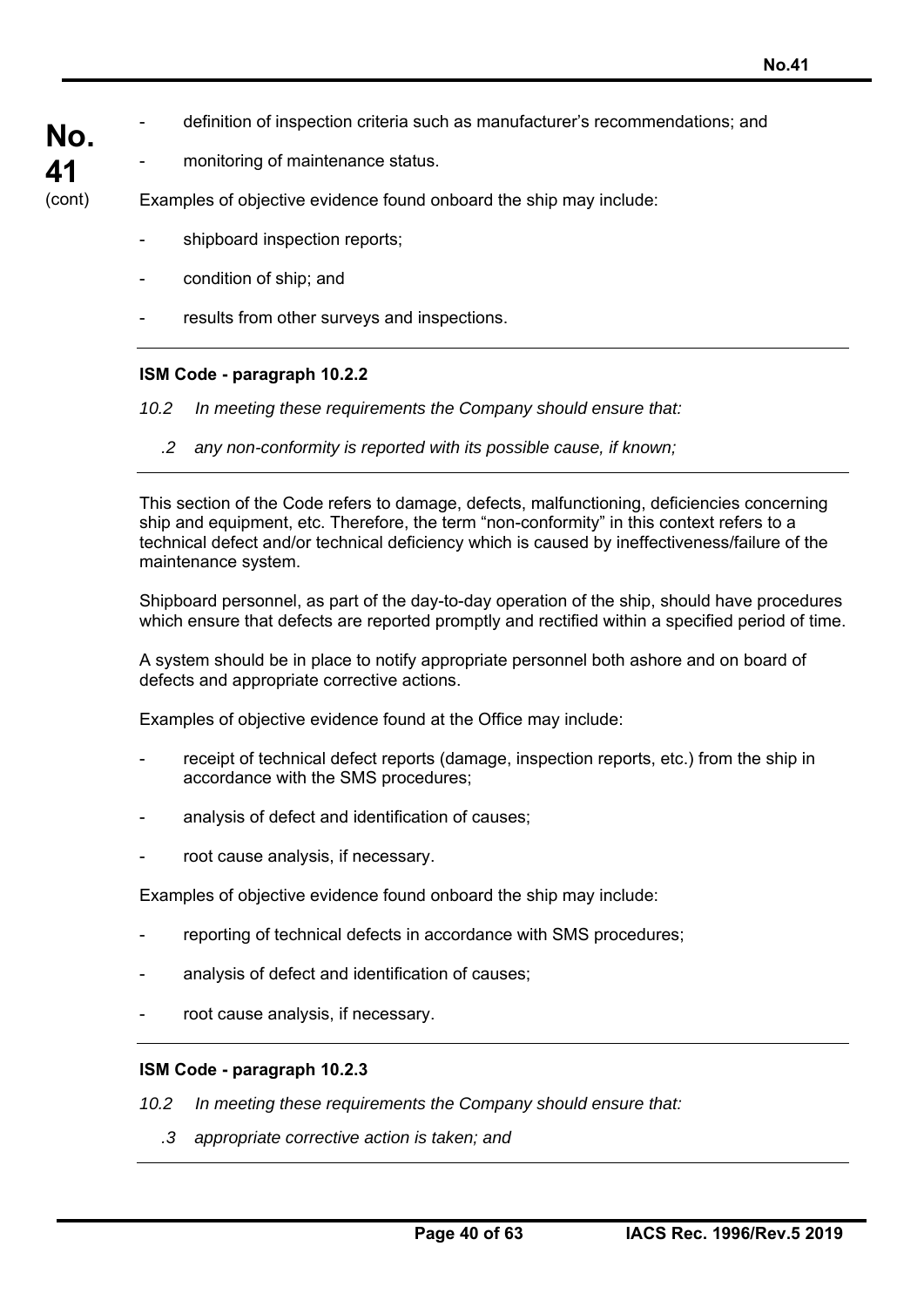- **No.**  definition of inspection criteria such as manufacturer's recommendations; and
	- monitoring of maintenance status.

**41**  (cont)

Examples of objective evidence found onboard the ship may include:

- shipboard inspection reports;
- condition of ship; and
- results from other surveys and inspections.

## **ISM Code - paragraph 10.2.2**

*10.2 In meeting these requirements the Company should ensure that:* 

*.2 any non-conformity is reported with its possible cause, if known;* 

This section of the Code refers to damage, defects, malfunctioning, deficiencies concerning ship and equipment, etc. Therefore, the term "non-conformity" in this context refers to a technical defect and/or technical deficiency which is caused by ineffectiveness/failure of the maintenance system.

Shipboard personnel, as part of the day-to-day operation of the ship, should have procedures which ensure that defects are reported promptly and rectified within a specified period of time.

A system should be in place to notify appropriate personnel both ashore and on board of defects and appropriate corrective actions.

Examples of objective evidence found at the Office may include:

- receipt of technical defect reports (damage, inspection reports, etc.) from the ship in accordance with the SMS procedures;
- analysis of defect and identification of causes:
- root cause analysis, if necessary.

Examples of objective evidence found onboard the ship may include:

- reporting of technical defects in accordance with SMS procedures;
- analysis of defect and identification of causes;
- root cause analysis, if necessary.

### **ISM Code - paragraph 10.2.3**

- *10.2 In meeting these requirements the Company should ensure that:* 
	- *.3 appropriate corrective action is taken; and*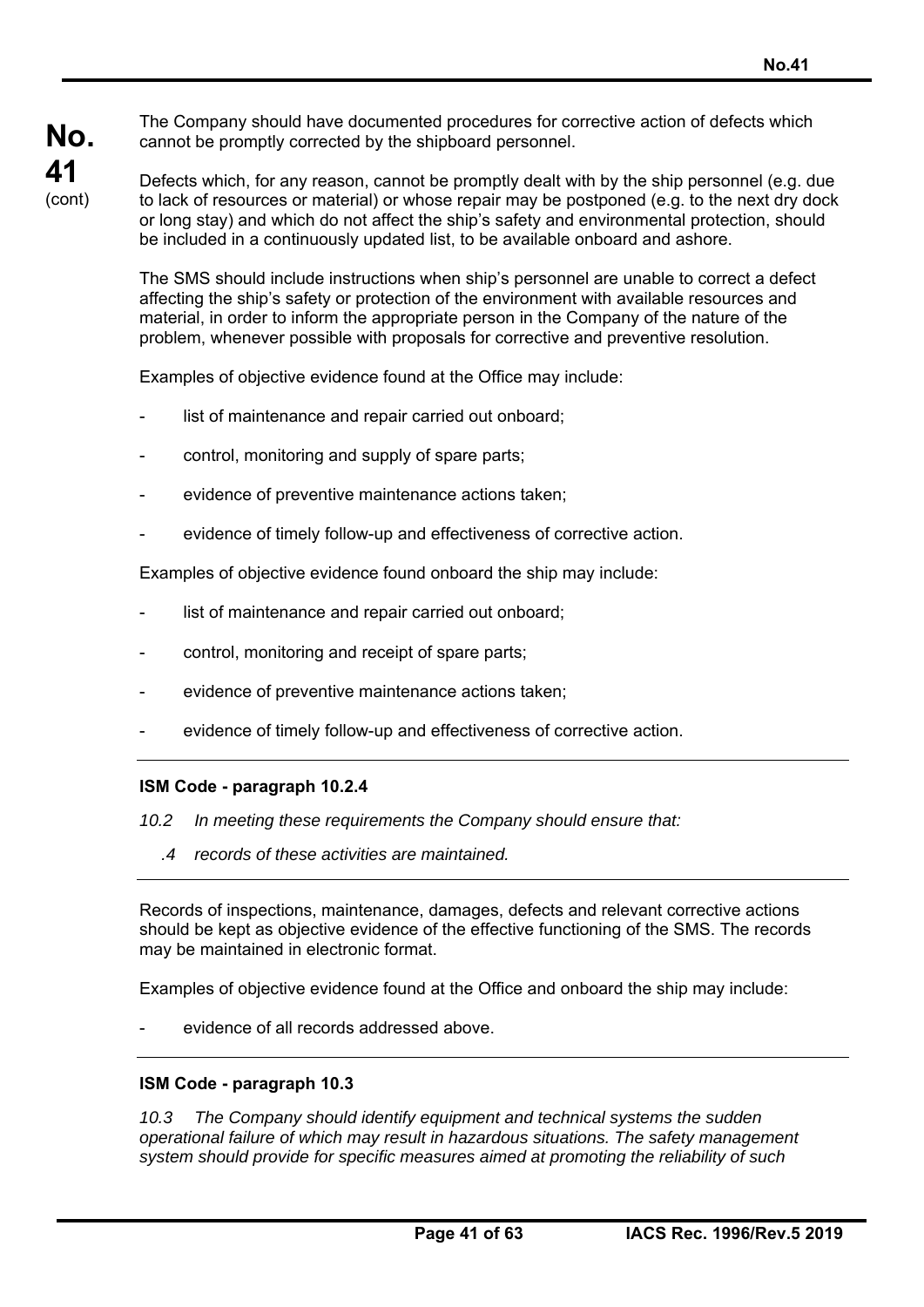The Company should have documented procedures for corrective action of defects which cannot be promptly corrected by the shipboard personnel.

# **No. 41**  (cont)

Defects which, for any reason, cannot be promptly dealt with by the ship personnel (e.g. due to lack of resources or material) or whose repair may be postponed (e.g. to the next dry dock or long stay) and which do not affect the ship's safety and environmental protection, should be included in a continuously updated list, to be available onboard and ashore.

The SMS should include instructions when ship's personnel are unable to correct a defect affecting the ship's safety or protection of the environment with available resources and material, in order to inform the appropriate person in the Company of the nature of the problem, whenever possible with proposals for corrective and preventive resolution.

Examples of objective evidence found at the Office may include:

- list of maintenance and repair carried out onboard;
- control, monitoring and supply of spare parts;
- evidence of preventive maintenance actions taken:
- evidence of timely follow-up and effectiveness of corrective action.

Examples of objective evidence found onboard the ship may include:

- list of maintenance and repair carried out onboard;
- control, monitoring and receipt of spare parts;
- evidence of preventive maintenance actions taken;
- evidence of timely follow-up and effectiveness of corrective action.

### **ISM Code - paragraph 10.2.4**

*10.2 In meeting these requirements the Company should ensure that:* 

*.4 records of these activities are maintained.* 

Records of inspections, maintenance, damages, defects and relevant corrective actions should be kept as objective evidence of the effective functioning of the SMS. The records may be maintained in electronic format.

Examples of objective evidence found at the Office and onboard the ship may include:

evidence of all records addressed above.

### **ISM Code - paragraph 10.3**

*10.3 The Company should identify equipment and technical systems the sudden operational failure of which may result in hazardous situations. The safety management system should provide for specific measures aimed at promoting the reliability of such*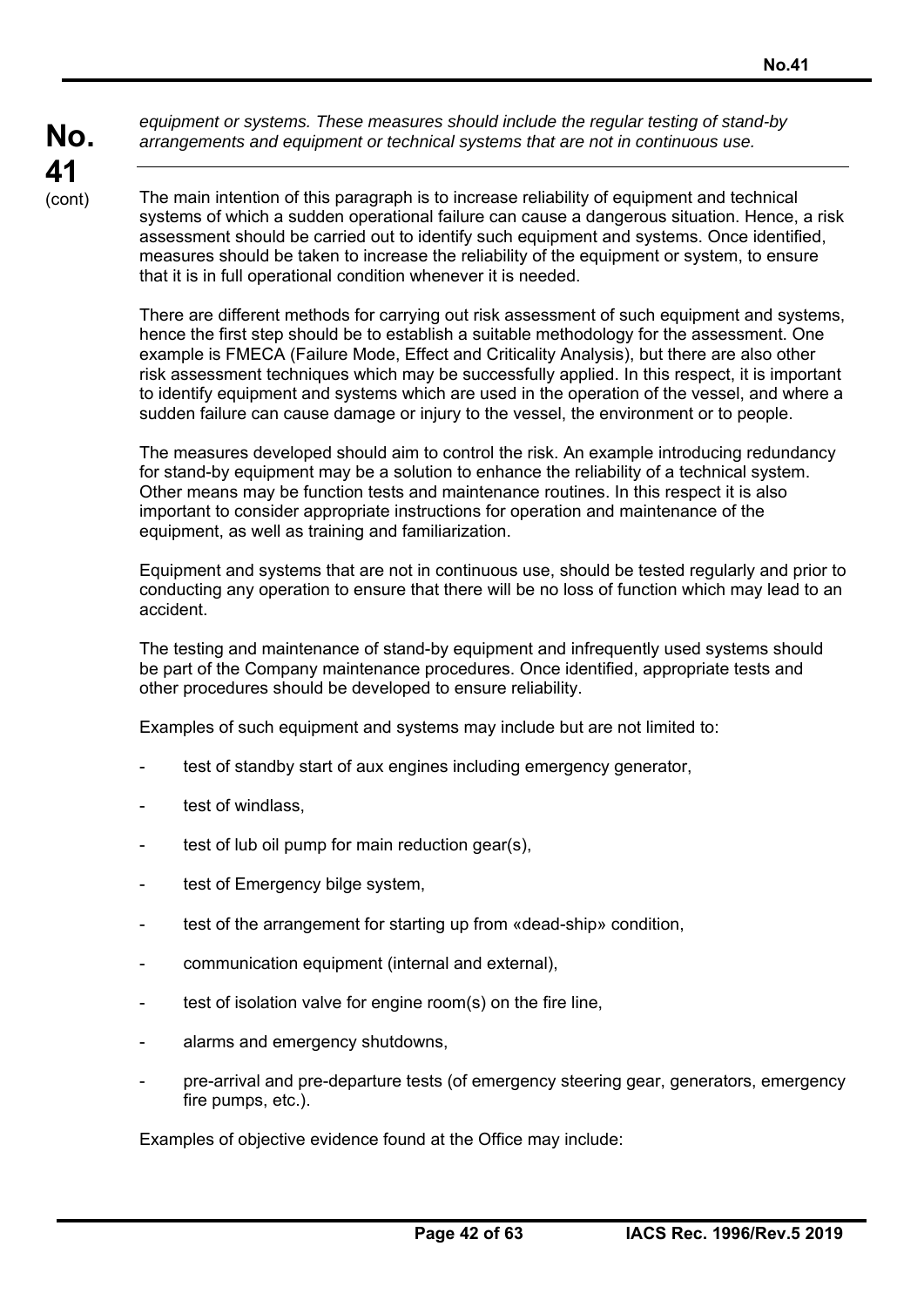*equipment or systems. These measures should include the regular testing of stand-by arrangements and equipment or technical systems that are not in continuous use.* 

The main intention of this paragraph is to increase reliability of equipment and technical systems of which a sudden operational failure can cause a dangerous situation. Hence, a risk assessment should be carried out to identify such equipment and systems. Once identified, measures should be taken to increase the reliability of the equipment or system, to ensure that it is in full operational condition whenever it is needed.

There are different methods for carrying out risk assessment of such equipment and systems, hence the first step should be to establish a suitable methodology for the assessment. One example is FMECA (Failure Mode, Effect and Criticality Analysis), but there are also other risk assessment techniques which may be successfully applied. In this respect, it is important to identify equipment and systems which are used in the operation of the vessel, and where a sudden failure can cause damage or injury to the vessel, the environment or to people.

The measures developed should aim to control the risk. An example introducing redundancy for stand-by equipment may be a solution to enhance the reliability of a technical system. Other means may be function tests and maintenance routines. In this respect it is also important to consider appropriate instructions for operation and maintenance of the equipment, as well as training and familiarization.

Equipment and systems that are not in continuous use, should be tested regularly and prior to conducting any operation to ensure that there will be no loss of function which may lead to an accident.

The testing and maintenance of stand-by equipment and infrequently used systems should be part of the Company maintenance procedures. Once identified, appropriate tests and other procedures should be developed to ensure reliability.

Examples of such equipment and systems may include but are not limited to:

- test of standby start of aux engines including emergency generator,
- test of windlass.
- test of lub oil pump for main reduction gear(s).
- test of Emergency bilge system,
- test of the arrangement for starting up from «dead-ship» condition,
- communication equipment (internal and external),
- test of isolation valve for engine room(s) on the fire line.
- alarms and emergency shutdowns,
- pre-arrival and pre-departure tests (of emergency steering gear, generators, emergency fire pumps, etc.).

Examples of objective evidence found at the Office may include: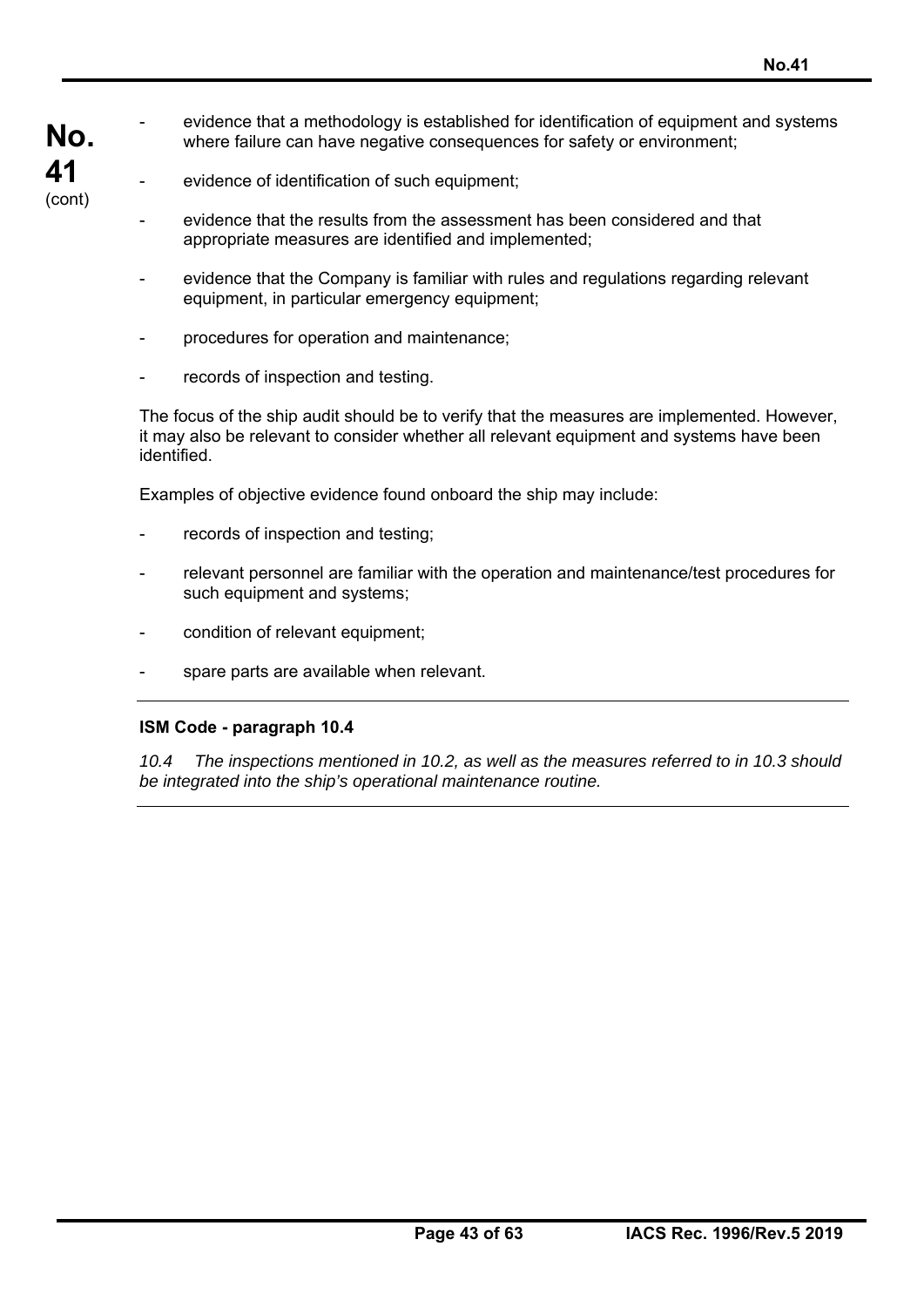**No.**  evidence that a methodology is established for identification of equipment and systems where failure can have negative consequences for safety or environment;

**41**  (cont)

- evidence of identification of such equipment;
- evidence that the results from the assessment has been considered and that appropriate measures are identified and implemented;
- evidence that the Company is familiar with rules and regulations regarding relevant equipment, in particular emergency equipment;
- procedures for operation and maintenance;
- records of inspection and testing.

The focus of the ship audit should be to verify that the measures are implemented. However, it may also be relevant to consider whether all relevant equipment and systems have been identified.

Examples of objective evidence found onboard the ship may include:

- records of inspection and testing;
- relevant personnel are familiar with the operation and maintenance/test procedures for such equipment and systems;
- condition of relevant equipment;
- spare parts are available when relevant.

### **ISM Code - paragraph 10.4**

*10.4 The inspections mentioned in 10.2, as well as the measures referred to in 10.3 should be integrated into the ship's operational maintenance routine.*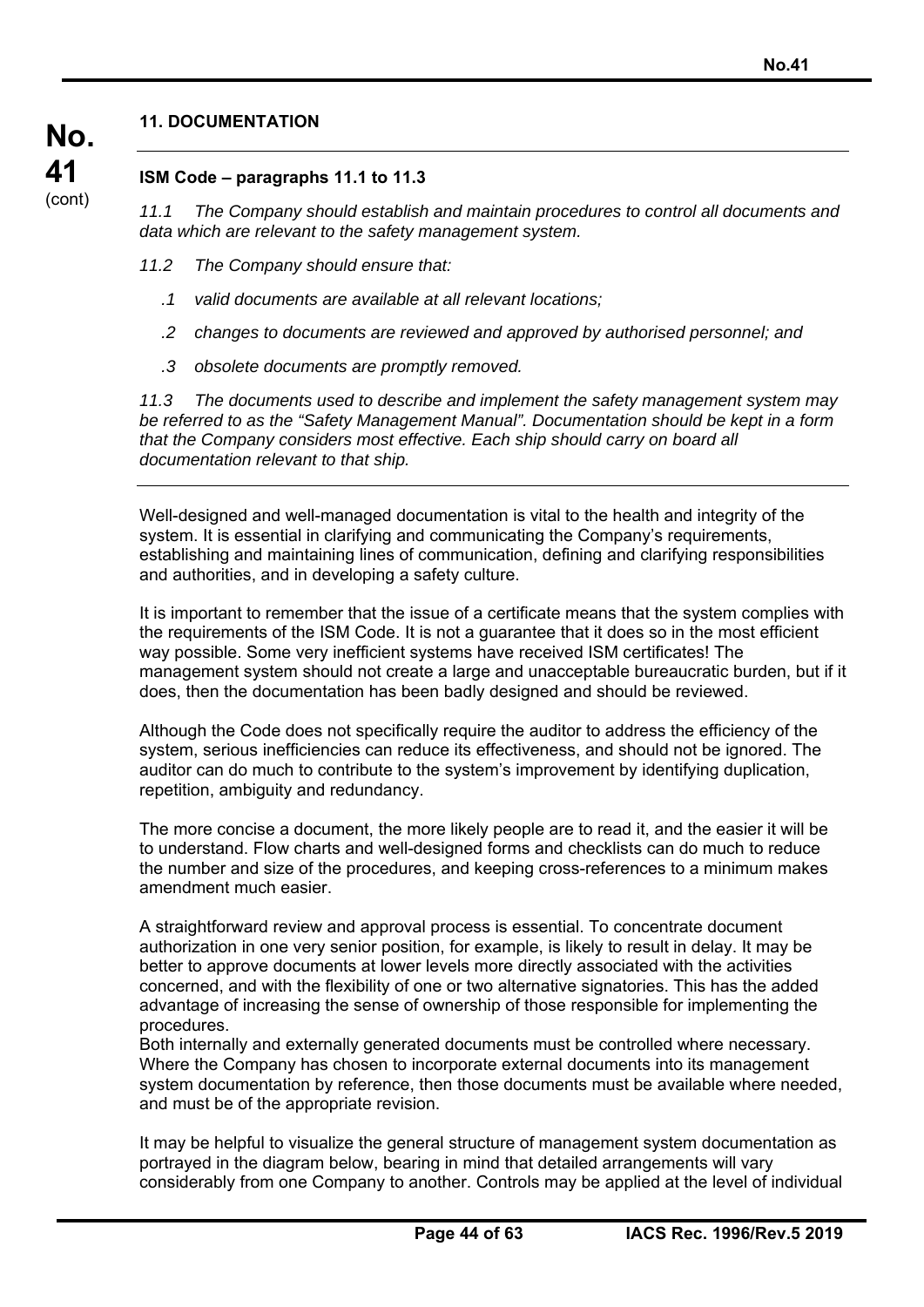## **11. DOCUMENTATION**

**No.** 

**41**  (cont)

## **ISM Code – paragraphs 11.1 to 11.3**

*11.1 The Company should establish and maintain procedures to control all documents and data which are relevant to the safety management system.* 

- *11.2 The Company should ensure that:* 
	- *.1 valid documents are available at all relevant locations;*
	- *.2 changes to documents are reviewed and approved by authorised personnel; and*
	- *.3 obsolete documents are promptly removed.*

*11.3 The documents used to describe and implement the safety management system may be referred to as the "Safety Management Manual". Documentation should be kept in a form that the Company considers most effective. Each ship should carry on board all documentation relevant to that ship.* 

Well-designed and well-managed documentation is vital to the health and integrity of the system. It is essential in clarifying and communicating the Company's requirements, establishing and maintaining lines of communication, defining and clarifying responsibilities and authorities, and in developing a safety culture.

It is important to remember that the issue of a certificate means that the system complies with the requirements of the ISM Code. It is not a guarantee that it does so in the most efficient way possible. Some very inefficient systems have received ISM certificates! The management system should not create a large and unacceptable bureaucratic burden, but if it does, then the documentation has been badly designed and should be reviewed.

Although the Code does not specifically require the auditor to address the efficiency of the system, serious inefficiencies can reduce its effectiveness, and should not be ignored. The auditor can do much to contribute to the system's improvement by identifying duplication, repetition, ambiguity and redundancy.

The more concise a document, the more likely people are to read it, and the easier it will be to understand. Flow charts and well-designed forms and checklists can do much to reduce the number and size of the procedures, and keeping cross-references to a minimum makes amendment much easier.

A straightforward review and approval process is essential. To concentrate document authorization in one very senior position, for example, is likely to result in delay. It may be better to approve documents at lower levels more directly associated with the activities concerned, and with the flexibility of one or two alternative signatories. This has the added advantage of increasing the sense of ownership of those responsible for implementing the procedures.

Both internally and externally generated documents must be controlled where necessary. Where the Company has chosen to incorporate external documents into its management system documentation by reference, then those documents must be available where needed, and must be of the appropriate revision.

It may be helpful to visualize the general structure of management system documentation as portrayed in the diagram below, bearing in mind that detailed arrangements will vary considerably from one Company to another. Controls may be applied at the level of individual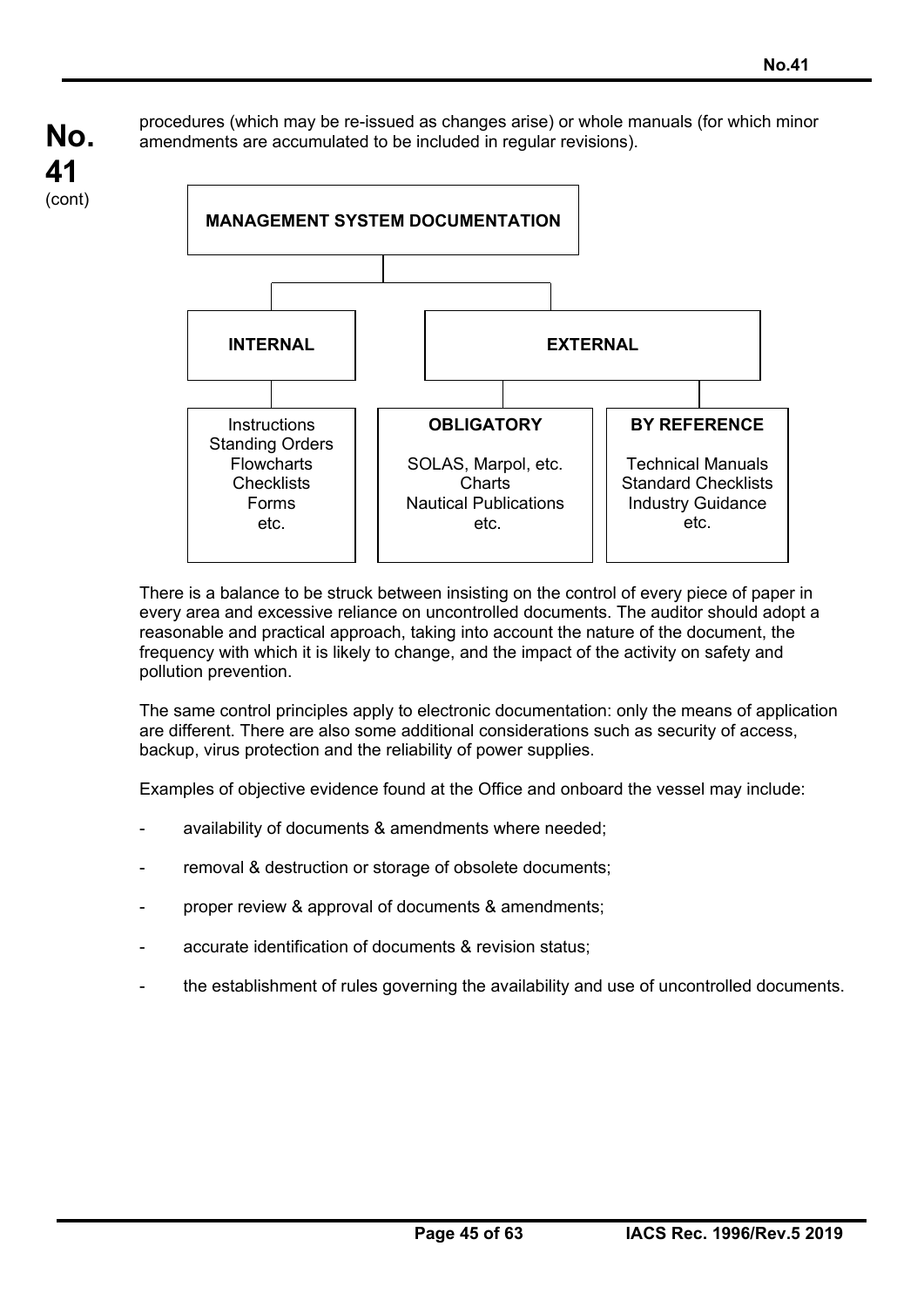procedures (which may be re-issued as changes arise) or whole manuals (for which minor amendments are accumulated to be included in regular revisions).



There is a balance to be struck between insisting on the control of every piece of paper in every area and excessive reliance on uncontrolled documents. The auditor should adopt a reasonable and practical approach, taking into account the nature of the document, the frequency with which it is likely to change, and the impact of the activity on safety and pollution prevention.

The same control principles apply to electronic documentation: only the means of application are different. There are also some additional considerations such as security of access, backup, virus protection and the reliability of power supplies.

Examples of objective evidence found at the Office and onboard the vessel may include:

- availability of documents & amendments where needed;
- removal & destruction or storage of obsolete documents;
- proper review & approval of documents & amendments;
- accurate identification of documents & revision status;
- the establishment of rules governing the availability and use of uncontrolled documents.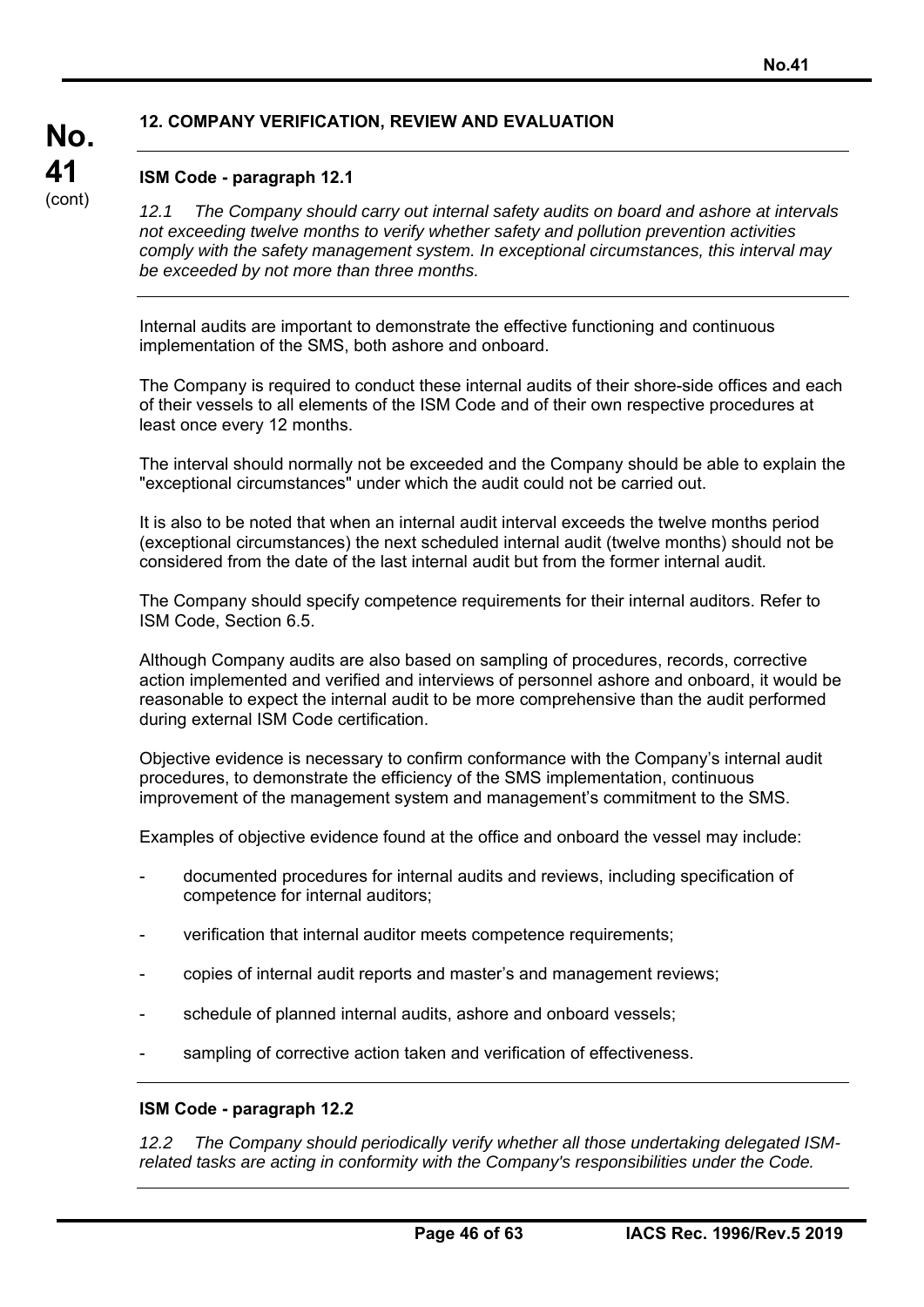## **12. COMPANY VERIFICATION, REVIEW AND EVALUATION**

### **ISM Code - paragraph 12.1**

**No.** 

**41**  (cont)

*12.1 The Company should carry out internal safety audits on board and ashore at intervals not exceeding twelve months to verify whether safety and pollution prevention activities comply with the safety management system. In exceptional circumstances, this interval may be exceeded by not more than three months.* 

Internal audits are important to demonstrate the effective functioning and continuous implementation of the SMS, both ashore and onboard.

The Company is required to conduct these internal audits of their shore-side offices and each of their vessels to all elements of the ISM Code and of their own respective procedures at least once every 12 months.

The interval should normally not be exceeded and the Company should be able to explain the "exceptional circumstances" under which the audit could not be carried out.

It is also to be noted that when an internal audit interval exceeds the twelve months period (exceptional circumstances) the next scheduled internal audit (twelve months) should not be considered from the date of the last internal audit but from the former internal audit.

The Company should specify competence requirements for their internal auditors. Refer to ISM Code, Section 6.5.

Although Company audits are also based on sampling of procedures, records, corrective action implemented and verified and interviews of personnel ashore and onboard, it would be reasonable to expect the internal audit to be more comprehensive than the audit performed during external ISM Code certification.

Objective evidence is necessary to confirm conformance with the Company's internal audit procedures, to demonstrate the efficiency of the SMS implementation, continuous improvement of the management system and management's commitment to the SMS.

Examples of objective evidence found at the office and onboard the vessel may include:

- documented procedures for internal audits and reviews, including specification of competence for internal auditors;
- verification that internal auditor meets competence requirements;
- copies of internal audit reports and master's and management reviews;
- schedule of planned internal audits, ashore and onboard vessels;
- sampling of corrective action taken and verification of effectiveness.

#### **ISM Code - paragraph 12.2**

*12.2 The Company should periodically verify whether all those undertaking delegated ISMrelated tasks are acting in conformity with the Company's responsibilities under the Code.*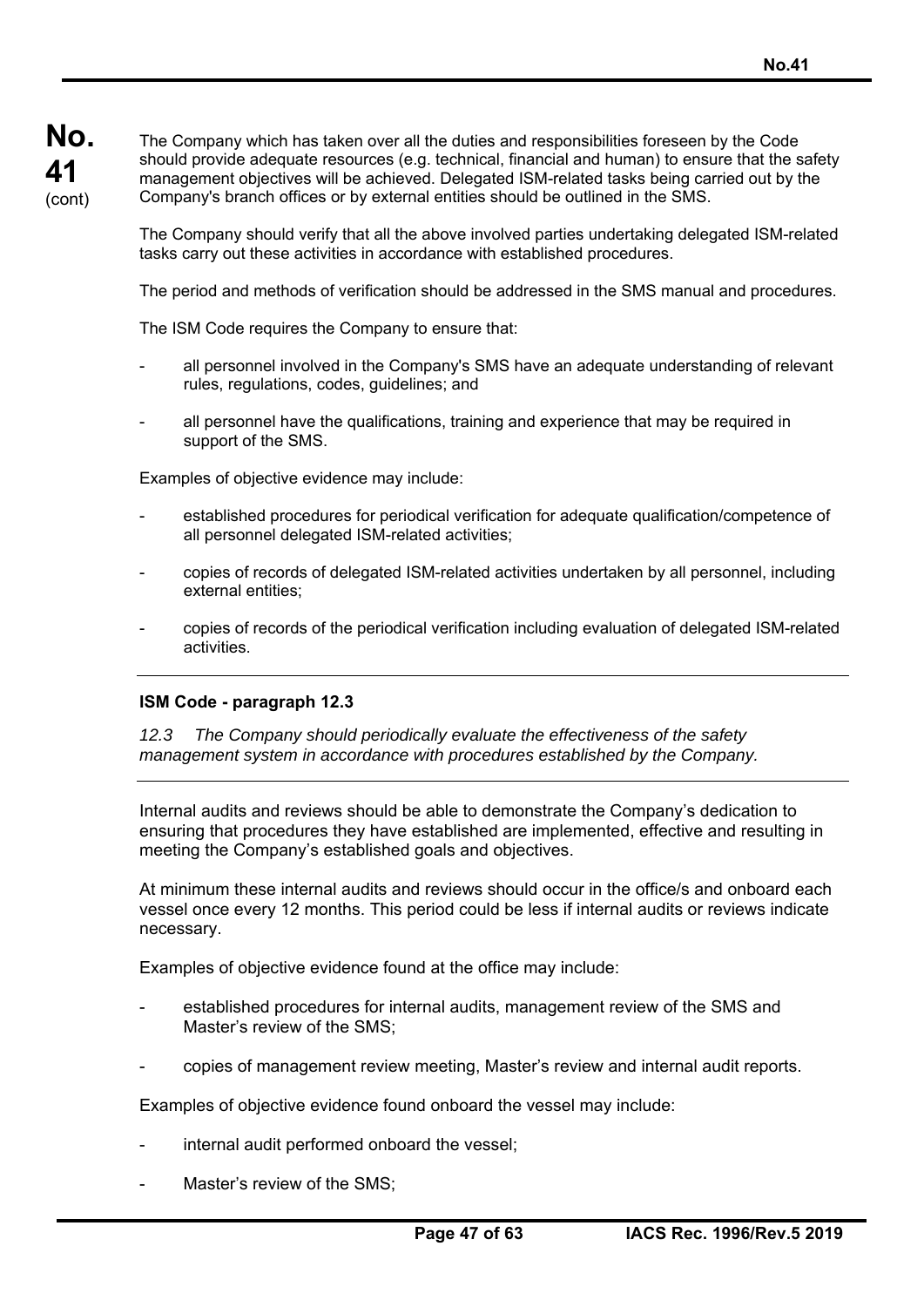The Company which has taken over all the duties and responsibilities foreseen by the Code should provide adequate resources (e.g. technical, financial and human) to ensure that the safety management objectives will be achieved. Delegated ISM-related tasks being carried out by the Company's branch offices or by external entities should be outlined in the SMS.

The Company should verify that all the above involved parties undertaking delegated ISM-related tasks carry out these activities in accordance with established procedures.

The period and methods of verification should be addressed in the SMS manual and procedures.

The ISM Code requires the Company to ensure that:

- all personnel involved in the Company's SMS have an adequate understanding of relevant rules, regulations, codes, guidelines; and
- all personnel have the qualifications, training and experience that may be required in support of the SMS.

Examples of objective evidence may include:

- established procedures for periodical verification for adequate qualification/competence of all personnel delegated ISM-related activities;
- copies of records of delegated ISM-related activities undertaken by all personnel, including external entities;
- copies of records of the periodical verification including evaluation of delegated ISM-related activities.

### **ISM Code - paragraph 12.3**

*12.3 The Company should periodically evaluate the effectiveness of the safety management system in accordance with procedures established by the Company.* 

Internal audits and reviews should be able to demonstrate the Company's dedication to ensuring that procedures they have established are implemented, effective and resulting in meeting the Company's established goals and objectives.

At minimum these internal audits and reviews should occur in the office/s and onboard each vessel once every 12 months. This period could be less if internal audits or reviews indicate necessary.

Examples of objective evidence found at the office may include:

- established procedures for internal audits, management review of the SMS and Master's review of the SMS;
- copies of management review meeting, Master's review and internal audit reports.

Examples of objective evidence found onboard the vessel may include:

- internal audit performed onboard the vessel;
- Master's review of the SMS: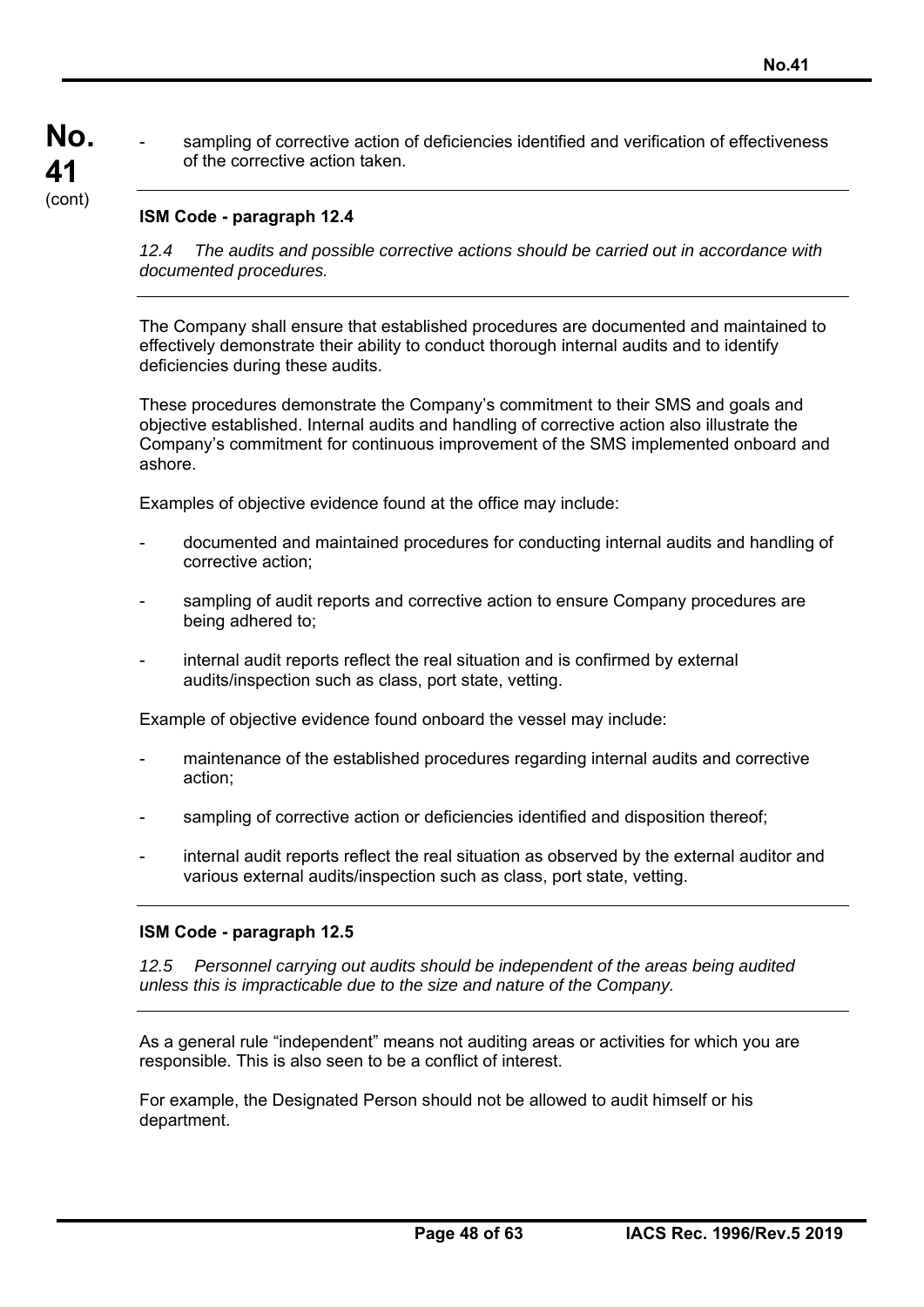sampling of corrective action of deficiencies identified and verification of effectiveness of the corrective action taken.

## **ISM Code - paragraph 12.4**

*12.4 The audits and possible corrective actions should be carried out in accordance with documented procedures.* 

The Company shall ensure that established procedures are documented and maintained to effectively demonstrate their ability to conduct thorough internal audits and to identify deficiencies during these audits.

These procedures demonstrate the Company's commitment to their SMS and goals and objective established. Internal audits and handling of corrective action also illustrate the Company's commitment for continuous improvement of the SMS implemented onboard and ashore.

Examples of objective evidence found at the office may include:

- documented and maintained procedures for conducting internal audits and handling of corrective action;
- sampling of audit reports and corrective action to ensure Company procedures are being adhered to;
- internal audit reports reflect the real situation and is confirmed by external audits/inspection such as class, port state, vetting.

Example of objective evidence found onboard the vessel may include:

- maintenance of the established procedures regarding internal audits and corrective action;
- sampling of corrective action or deficiencies identified and disposition thereof;
- internal audit reports reflect the real situation as observed by the external auditor and various external audits/inspection such as class, port state, vetting.

### **ISM Code - paragraph 12.5**

*12.5 Personnel carrying out audits should be independent of the areas being audited unless this is impracticable due to the size and nature of the Company.* 

As a general rule "independent" means not auditing areas or activities for which you are responsible. This is also seen to be a conflict of interest.

For example, the Designated Person should not be allowed to audit himself or his department.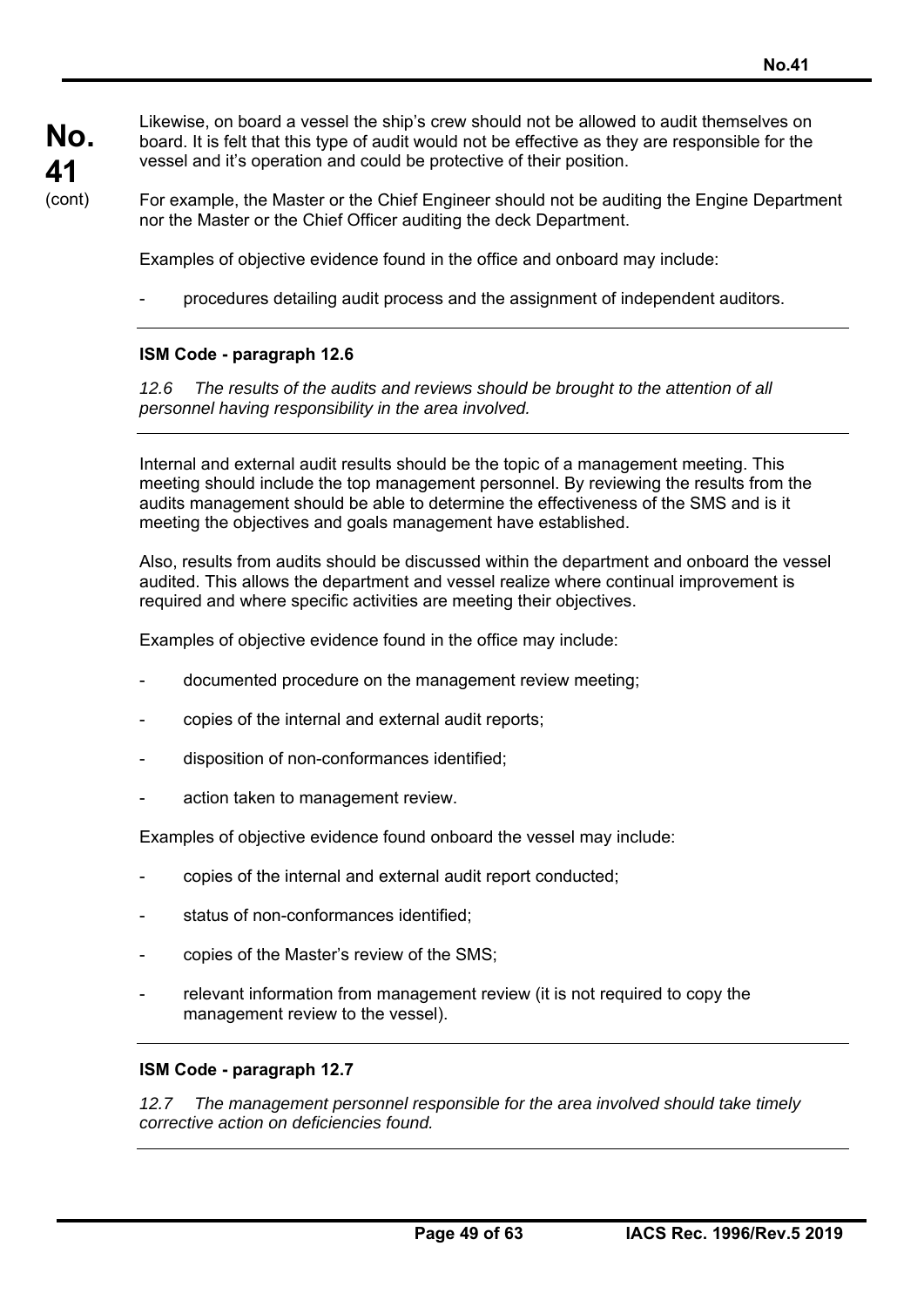Likewise, on board a vessel the ship's crew should not be allowed to audit themselves on board. It is felt that this type of audit would not be effective as they are responsible for the vessel and it's operation and could be protective of their position.

For example, the Master or the Chief Engineer should not be auditing the Engine Department nor the Master or the Chief Officer auditing the deck Department.

Examples of objective evidence found in the office and onboard may include:

- procedures detailing audit process and the assignment of independent auditors.

### **ISM Code - paragraph 12.6**

*12.6 The results of the audits and reviews should be brought to the attention of all personnel having responsibility in the area involved.* 

Internal and external audit results should be the topic of a management meeting. This meeting should include the top management personnel. By reviewing the results from the audits management should be able to determine the effectiveness of the SMS and is it meeting the objectives and goals management have established.

Also, results from audits should be discussed within the department and onboard the vessel audited. This allows the department and vessel realize where continual improvement is required and where specific activities are meeting their objectives.

Examples of objective evidence found in the office may include:

- documented procedure on the management review meeting;
- copies of the internal and external audit reports;
- disposition of non-conformances identified;
- action taken to management review.

Examples of objective evidence found onboard the vessel may include:

- copies of the internal and external audit report conducted;
- status of non-conformances identified;
- copies of the Master's review of the SMS;
- relevant information from management review (it is not required to copy the management review to the vessel).

### **ISM Code - paragraph 12.7**

*12.7 The management personnel responsible for the area involved should take timely corrective action on deficiencies found.*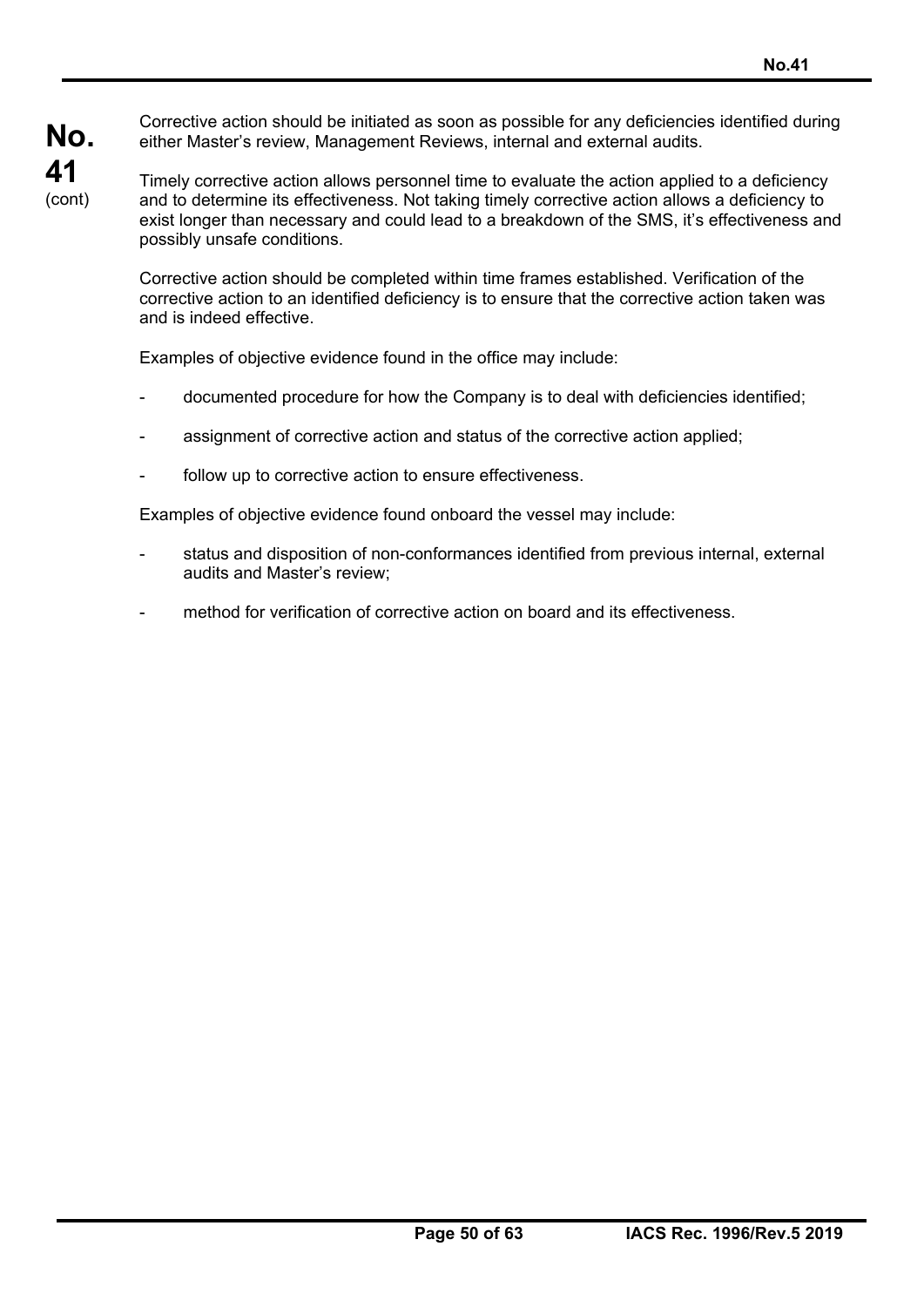Corrective action should be initiated as soon as possible for any deficiencies identified during either Master's review, Management Reviews, internal and external audits.

Timely corrective action allows personnel time to evaluate the action applied to a deficiency and to determine its effectiveness. Not taking timely corrective action allows a deficiency to exist longer than necessary and could lead to a breakdown of the SMS, it's effectiveness and possibly unsafe conditions.

Corrective action should be completed within time frames established. Verification of the corrective action to an identified deficiency is to ensure that the corrective action taken was and is indeed effective.

Examples of objective evidence found in the office may include:

- documented procedure for how the Company is to deal with deficiencies identified;
- assignment of corrective action and status of the corrective action applied;
- follow up to corrective action to ensure effectiveness.

Examples of objective evidence found onboard the vessel may include:

- status and disposition of non-conformances identified from previous internal, external audits and Master's review;
- method for verification of corrective action on board and its effectiveness.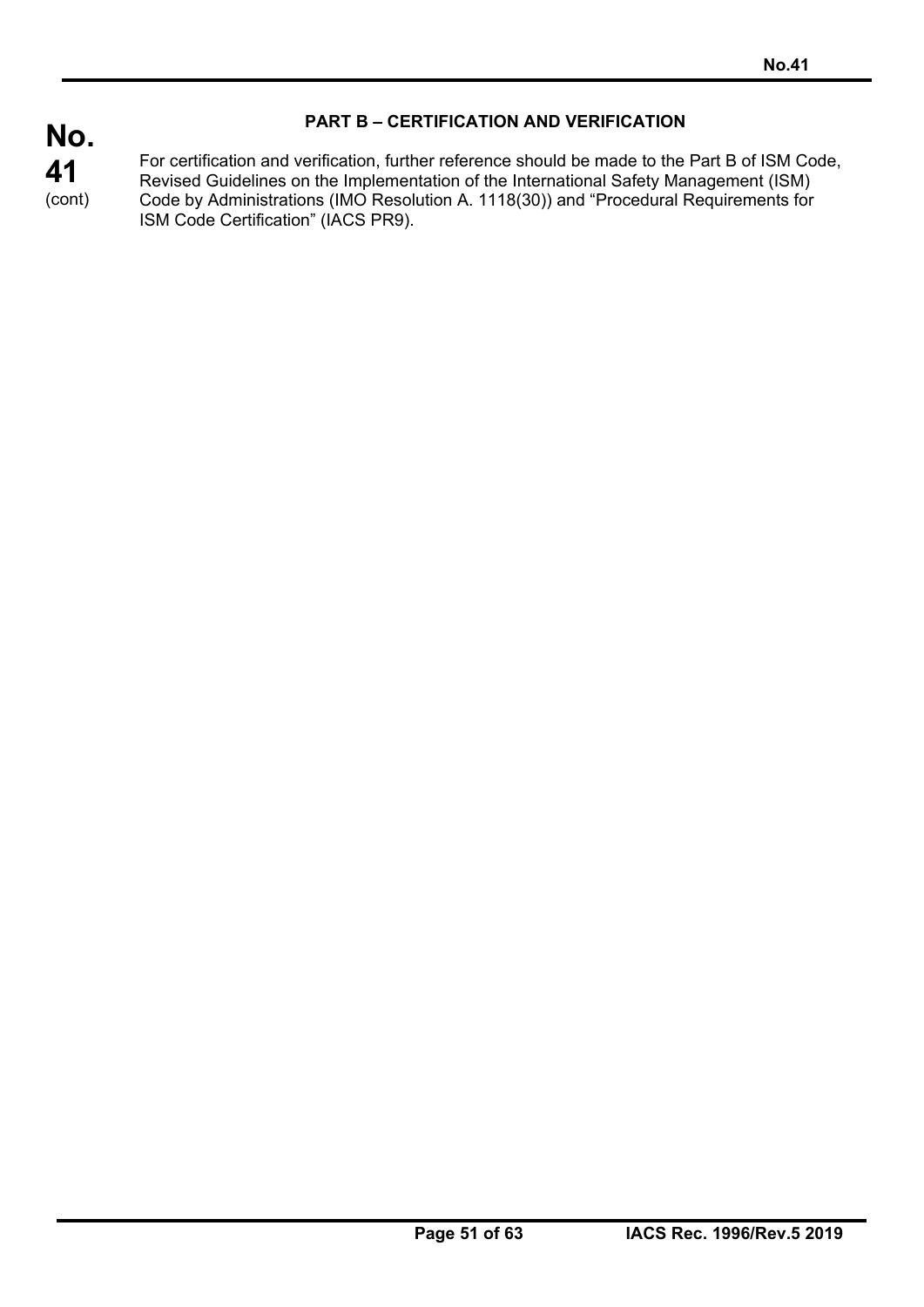# **PART B – CERTIFICATION AND VERIFICATION**

For certification and verification, further reference should be made to the Part B of ISM Code, Revised Guidelines on the Implementation of the International Safety Management (ISM) Code by Administrations (IMO Resolution A. 1118(30)) and "Procedural Requirements for ISM Code Certification" (IACS PR9).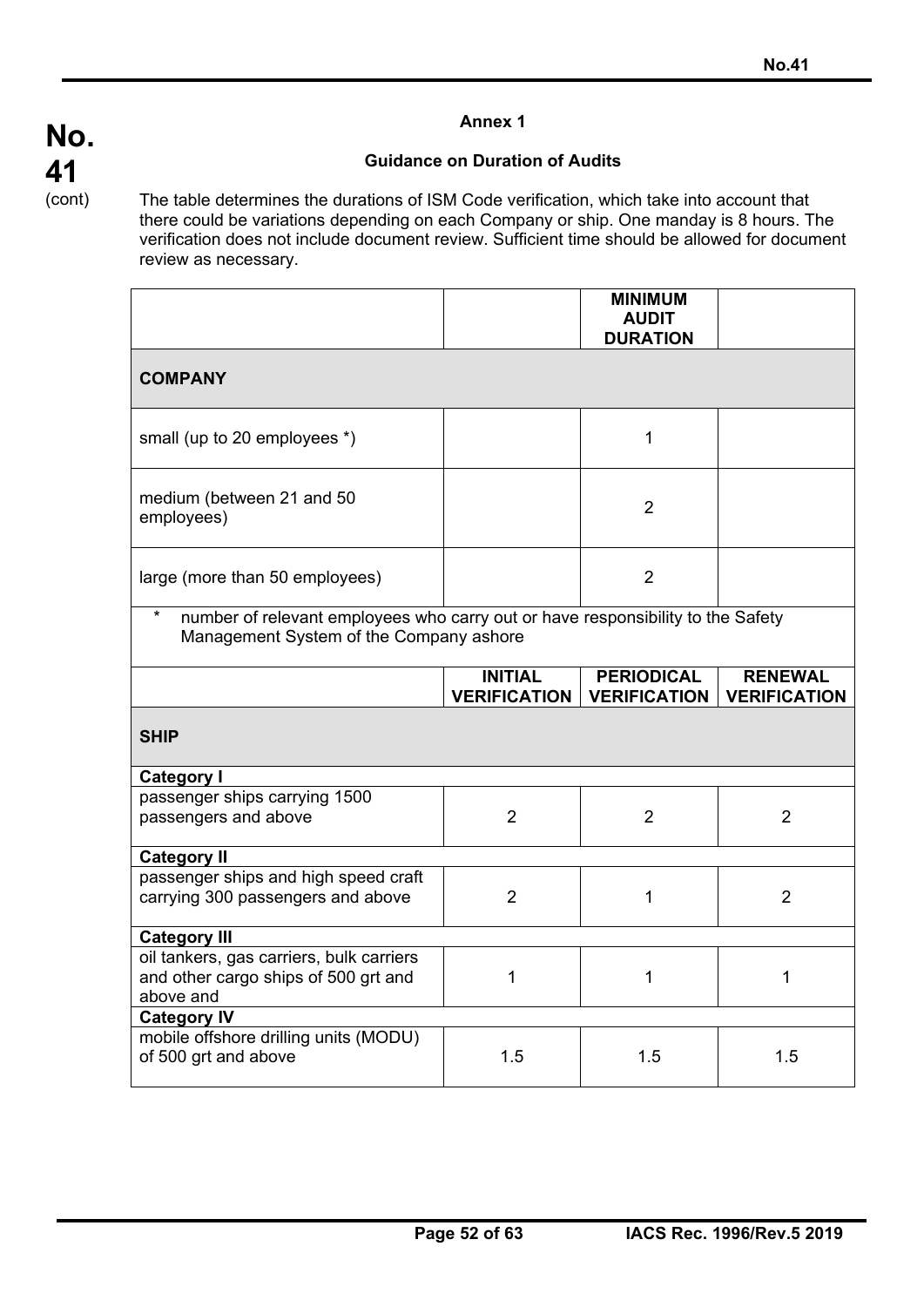## **Guidance on Duration of Audits**

The table determines the durations of ISM Code verification, which take into account that there could be variations depending on each Company or ship. One manday is 8 hours. The verification does not include document review. Sufficient time should be allowed for document review as necessary.

|                                                                                                                                       |                                       | <b>MINIMUM</b><br><b>AUDIT</b><br><b>DURATION</b> |                                       |
|---------------------------------------------------------------------------------------------------------------------------------------|---------------------------------------|---------------------------------------------------|---------------------------------------|
| <b>COMPANY</b>                                                                                                                        |                                       |                                                   |                                       |
| small (up to 20 employees *)                                                                                                          |                                       | 1                                                 |                                       |
| medium (between 21 and 50<br>employees)                                                                                               |                                       | 2                                                 |                                       |
| large (more than 50 employees)                                                                                                        |                                       | $\overline{2}$                                    |                                       |
| $\star$<br>number of relevant employees who carry out or have responsibility to the Safety<br>Management System of the Company ashore |                                       |                                                   |                                       |
|                                                                                                                                       | <b>INITIAL</b><br><b>VERIFICATION</b> | <b>PERIODICAL</b><br><b>VERIFICATION</b>          | <b>RENEWAL</b><br><b>VERIFICATION</b> |
| <b>SHIP</b>                                                                                                                           |                                       |                                                   |                                       |
| Category I                                                                                                                            |                                       |                                                   |                                       |
| passenger ships carrying 1500<br>passengers and above                                                                                 | $\overline{2}$                        |                                                   |                                       |
|                                                                                                                                       |                                       | $\overline{2}$                                    | $\overline{2}$                        |
| <b>Category II</b>                                                                                                                    |                                       |                                                   |                                       |
| passenger ships and high speed craft<br>carrying 300 passengers and above                                                             | $\overline{2}$                        | 1                                                 | $\overline{2}$                        |
| <b>Category III</b>                                                                                                                   |                                       |                                                   |                                       |
| oil tankers, gas carriers, bulk carriers<br>and other cargo ships of 500 grt and<br>above and                                         | 1                                     | 1                                                 | 1                                     |
| <b>Category IV</b><br>mobile offshore drilling units (MODU)                                                                           |                                       |                                                   |                                       |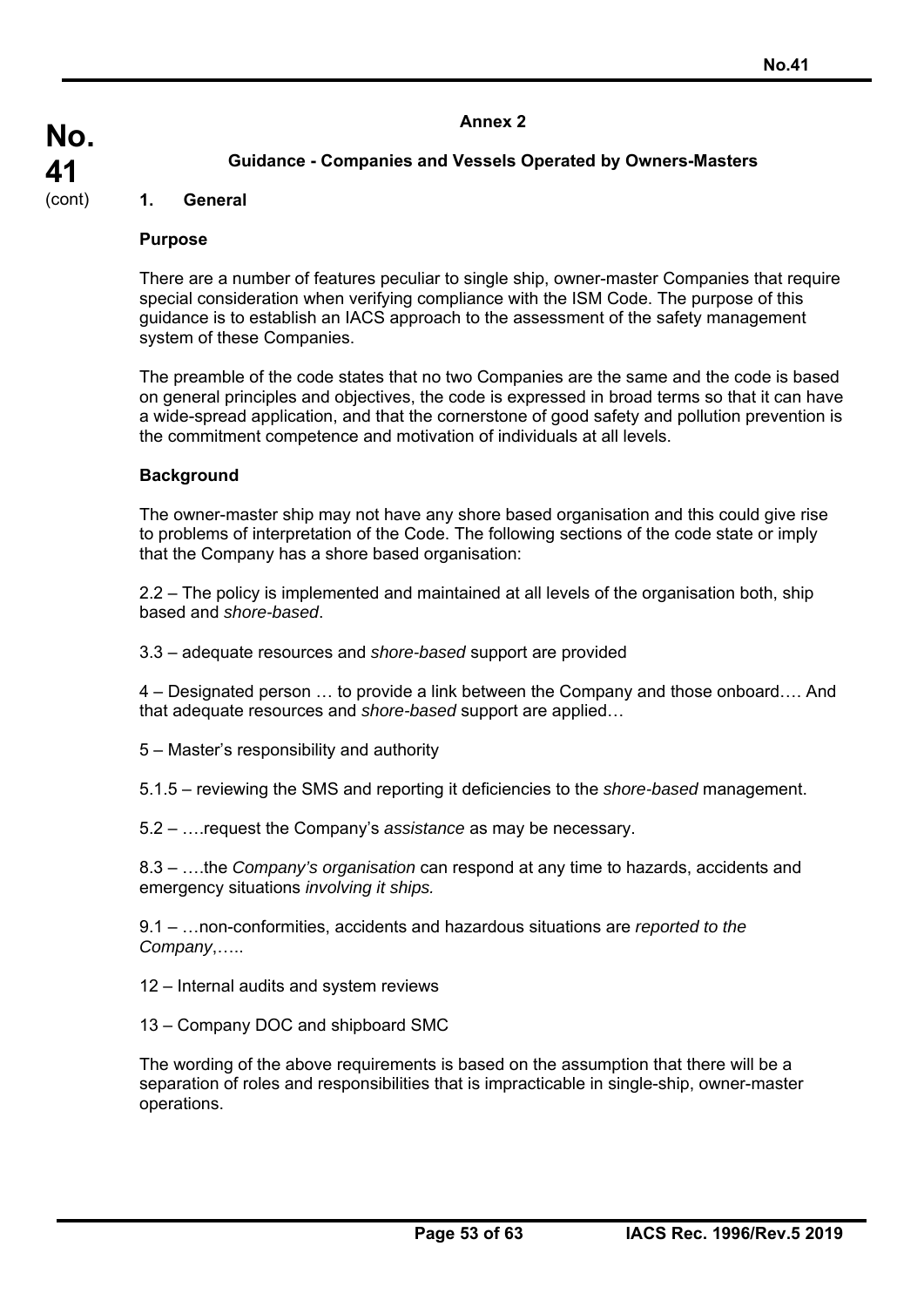# **No. 41**  (cont)

### **1. General**

### **Purpose**

There are a number of features peculiar to single ship, owner-master Companies that require special consideration when verifying compliance with the ISM Code. The purpose of this guidance is to establish an IACS approach to the assessment of the safety management system of these Companies.

The preamble of the code states that no two Companies are the same and the code is based on general principles and objectives, the code is expressed in broad terms so that it can have a wide-spread application, and that the cornerstone of good safety and pollution prevention is the commitment competence and motivation of individuals at all levels.

### **Background**

The owner-master ship may not have any shore based organisation and this could give rise to problems of interpretation of the Code. The following sections of the code state or imply that the Company has a shore based organisation:

2.2 – The policy is implemented and maintained at all levels of the organisation both, ship based and *shore-based*.

3.3 – adequate resources and *shore-based* support are provided

4 – Designated person … to provide a link between the Company and those onboard…. And that adequate resources and *shore-based* support are applied…

- 5 Master's responsibility and authority
- 5.1.5 reviewing the SMS and reporting it deficiencies to the *shore-based* management.
- 5.2 ….request the Company's *assistance* as may be necessary.

8.3 – ….the *Company's organisation* can respond at any time to hazards, accidents and emergency situations *involving it ships.*

9.1 – …non-conformities, accidents and hazardous situations are *reported to the Company*,…..

12 – Internal audits and system reviews

13 – Company DOC and shipboard SMC

The wording of the above requirements is based on the assumption that there will be a separation of roles and responsibilities that is impracticable in single-ship, owner-master operations.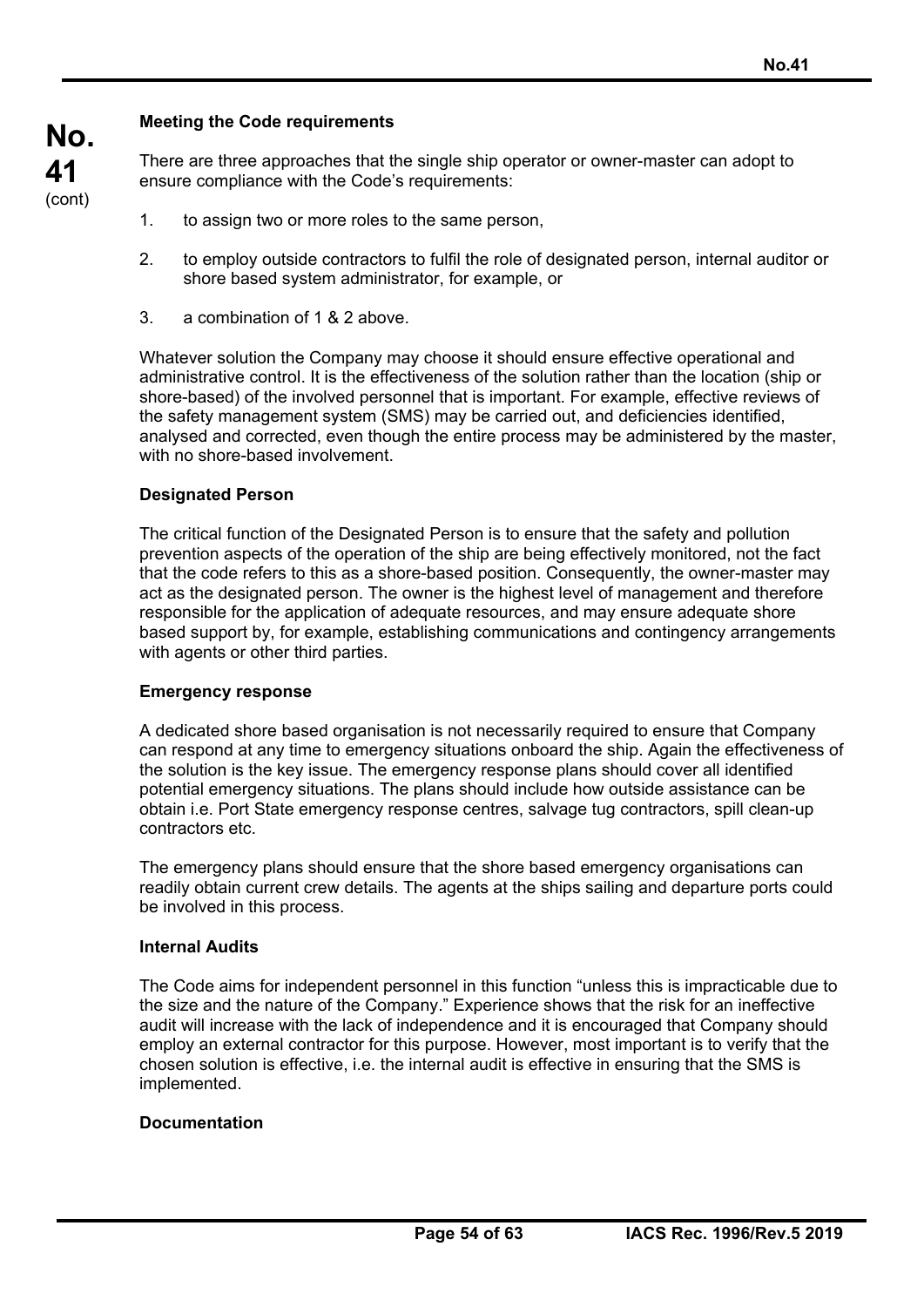## **Meeting the Code requirements**

There are three approaches that the single ship operator or owner-master can adopt to ensure compliance with the Code's requirements:

- 1. to assign two or more roles to the same person,
- 2. to employ outside contractors to fulfil the role of designated person, internal auditor or shore based system administrator, for example, or
- 3. a combination of 1 & 2 above.

Whatever solution the Company may choose it should ensure effective operational and administrative control. It is the effectiveness of the solution rather than the location (ship or shore-based) of the involved personnel that is important. For example, effective reviews of the safety management system (SMS) may be carried out, and deficiencies identified, analysed and corrected, even though the entire process may be administered by the master, with no shore-based involvement.

### **Designated Person**

The critical function of the Designated Person is to ensure that the safety and pollution prevention aspects of the operation of the ship are being effectively monitored, not the fact that the code refers to this as a shore-based position. Consequently, the owner-master may act as the designated person. The owner is the highest level of management and therefore responsible for the application of adequate resources, and may ensure adequate shore based support by, for example, establishing communications and contingency arrangements with agents or other third parties.

### **Emergency response**

A dedicated shore based organisation is not necessarily required to ensure that Company can respond at any time to emergency situations onboard the ship. Again the effectiveness of the solution is the key issue. The emergency response plans should cover all identified potential emergency situations. The plans should include how outside assistance can be obtain i.e. Port State emergency response centres, salvage tug contractors, spill clean-up contractors etc.

The emergency plans should ensure that the shore based emergency organisations can readily obtain current crew details. The agents at the ships sailing and departure ports could be involved in this process.

### **Internal Audits**

The Code aims for independent personnel in this function "unless this is impracticable due to the size and the nature of the Company." Experience shows that the risk for an ineffective audit will increase with the lack of independence and it is encouraged that Company should employ an external contractor for this purpose. However, most important is to verify that the chosen solution is effective, i.e. the internal audit is effective in ensuring that the SMS is implemented.

### **Documentation**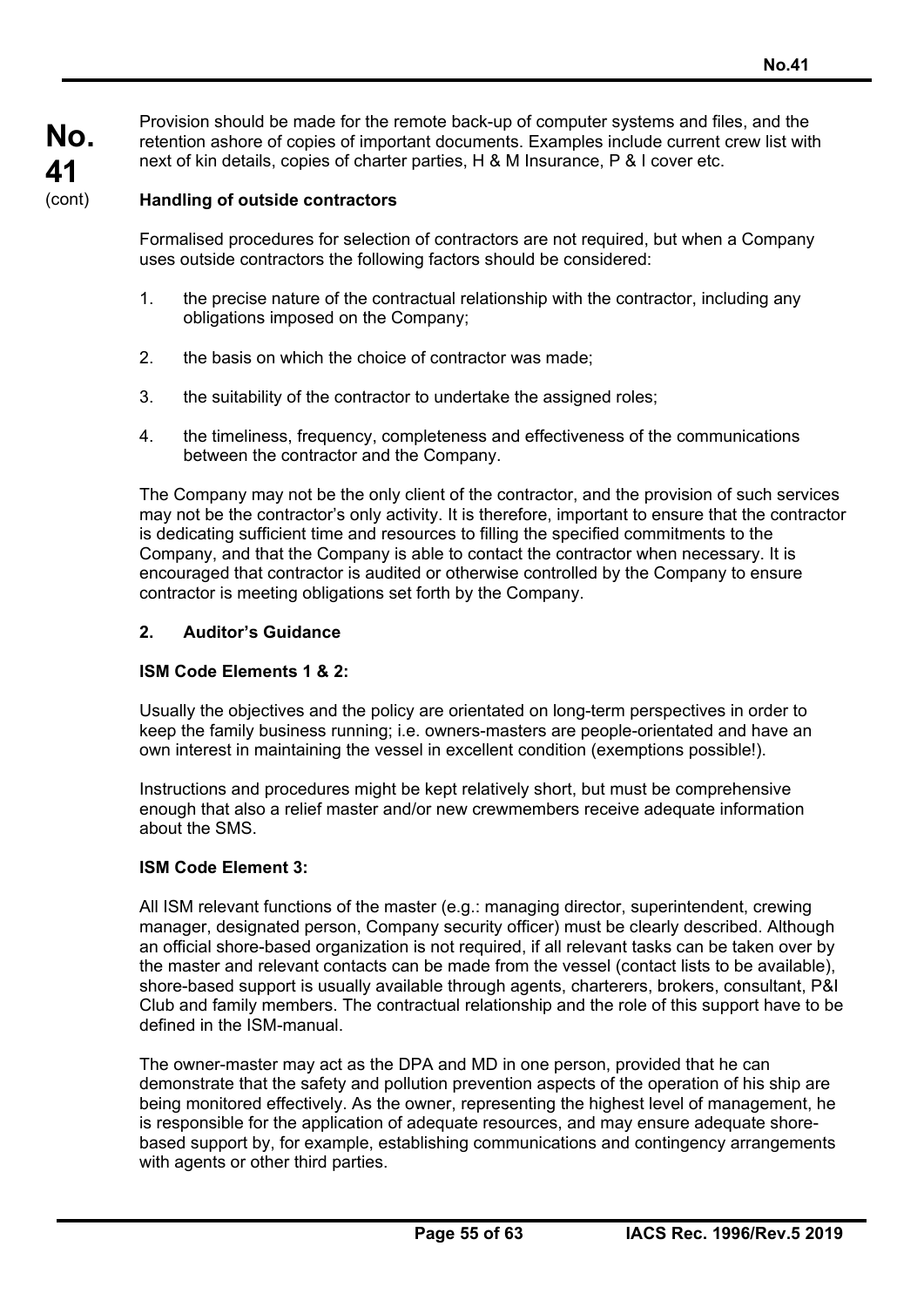Provision should be made for the remote back-up of computer systems and files, and the retention ashore of copies of important documents. Examples include current crew list with next of kin details, copies of charter parties, H & M Insurance, P & I cover etc.

### **Handling of outside contractors**

Formalised procedures for selection of contractors are not required, but when a Company uses outside contractors the following factors should be considered:

- 1. the precise nature of the contractual relationship with the contractor, including any obligations imposed on the Company;
- 2. the basis on which the choice of contractor was made;
- 3. the suitability of the contractor to undertake the assigned roles;
- 4. the timeliness, frequency, completeness and effectiveness of the communications between the contractor and the Company.

The Company may not be the only client of the contractor, and the provision of such services may not be the contractor's only activity. It is therefore, important to ensure that the contractor is dedicating sufficient time and resources to filling the specified commitments to the Company, and that the Company is able to contact the contractor when necessary. It is encouraged that contractor is audited or otherwise controlled by the Company to ensure contractor is meeting obligations set forth by the Company.

### **2. Auditor's Guidance**

#### **ISM Code Elements 1 & 2:**

Usually the objectives and the policy are orientated on long-term perspectives in order to keep the family business running; i.e. owners-masters are people-orientated and have an own interest in maintaining the vessel in excellent condition (exemptions possible!).

Instructions and procedures might be kept relatively short, but must be comprehensive enough that also a relief master and/or new crewmembers receive adequate information about the SMS.

#### **ISM Code Element 3:**

All ISM relevant functions of the master (e.g.: managing director, superintendent, crewing manager, designated person, Company security officer) must be clearly described. Although an official shore-based organization is not required, if all relevant tasks can be taken over by the master and relevant contacts can be made from the vessel (contact lists to be available), shore-based support is usually available through agents, charterers, brokers, consultant, P&I Club and family members. The contractual relationship and the role of this support have to be defined in the ISM-manual.

The owner-master may act as the DPA and MD in one person, provided that he can demonstrate that the safety and pollution prevention aspects of the operation of his ship are being monitored effectively. As the owner, representing the highest level of management, he is responsible for the application of adequate resources, and may ensure adequate shorebased support by, for example, establishing communications and contingency arrangements with agents or other third parties.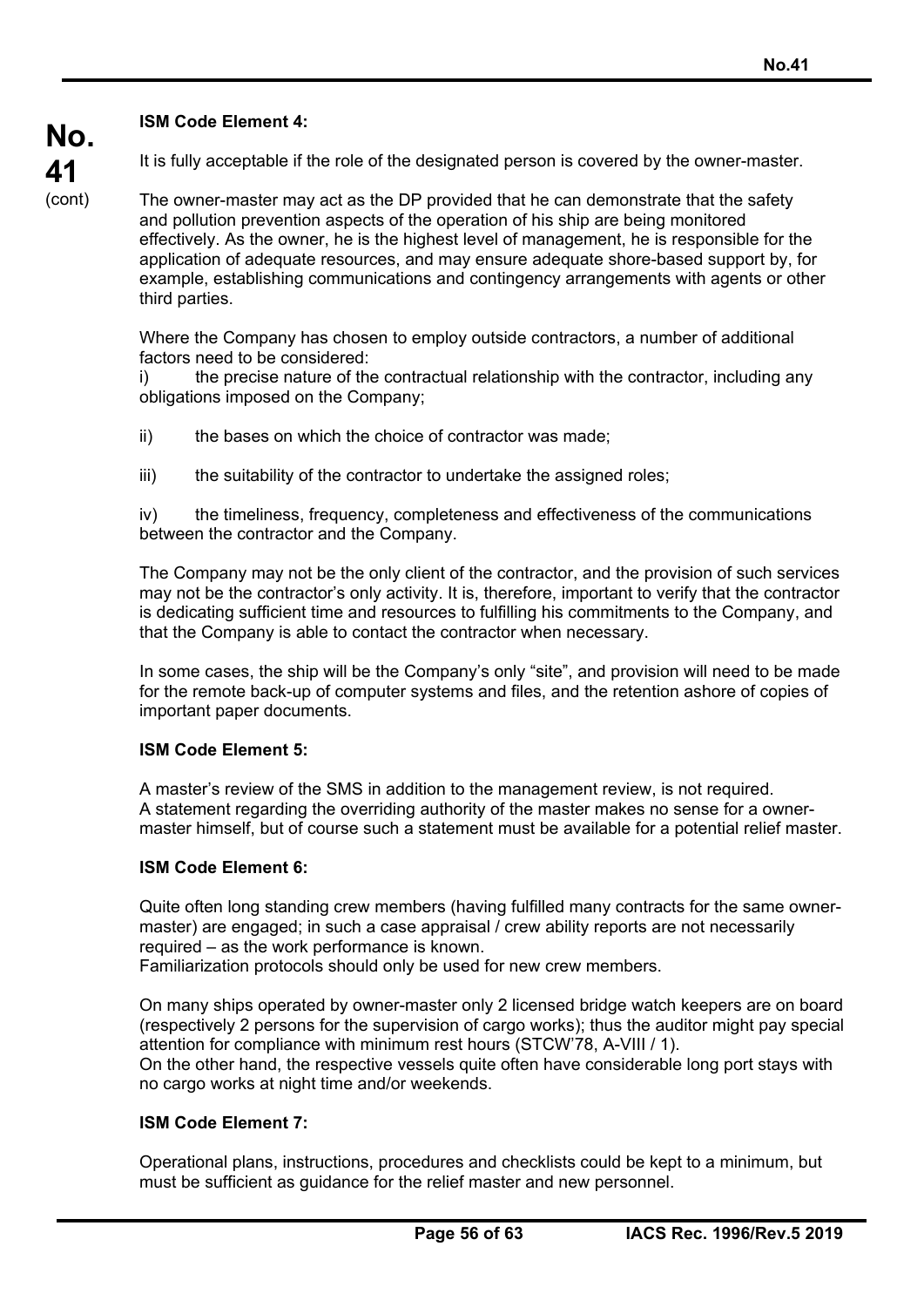## **ISM Code Element 4:**

It is fully acceptable if the role of the designated person is covered by the owner-master.

The owner-master may act as the DP provided that he can demonstrate that the safety and pollution prevention aspects of the operation of his ship are being monitored effectively. As the owner, he is the highest level of management, he is responsible for the application of adequate resources, and may ensure adequate shore-based support by, for example, establishing communications and contingency arrangements with agents or other third parties.

Where the Company has chosen to employ outside contractors, a number of additional factors need to be considered:

i) the precise nature of the contractual relationship with the contractor, including any obligations imposed on the Company;

- ii) the bases on which the choice of contractor was made;
- iii) the suitability of the contractor to undertake the assigned roles;

iv) the timeliness, frequency, completeness and effectiveness of the communications between the contractor and the Company.

The Company may not be the only client of the contractor, and the provision of such services may not be the contractor's only activity. It is, therefore, important to verify that the contractor is dedicating sufficient time and resources to fulfilling his commitments to the Company, and that the Company is able to contact the contractor when necessary.

In some cases, the ship will be the Company's only "site", and provision will need to be made for the remote back-up of computer systems and files, and the retention ashore of copies of important paper documents.

## **ISM Code Element 5:**

A master's review of the SMS in addition to the management review, is not required. A statement regarding the overriding authority of the master makes no sense for a ownermaster himself, but of course such a statement must be available for a potential relief master.

## **ISM Code Element 6:**

Quite often long standing crew members (having fulfilled many contracts for the same ownermaster) are engaged; in such a case appraisal / crew ability reports are not necessarily required – as the work performance is known. Familiarization protocols should only be used for new crew members.

On many ships operated by owner-master only 2 licensed bridge watch keepers are on board (respectively 2 persons for the supervision of cargo works); thus the auditor might pay special attention for compliance with minimum rest hours (STCW'78, A-VIII / 1). On the other hand, the respective vessels quite often have considerable long port stays with no cargo works at night time and/or weekends.

### **ISM Code Element 7:**

Operational plans, instructions, procedures and checklists could be kept to a minimum, but must be sufficient as guidance for the relief master and new personnel.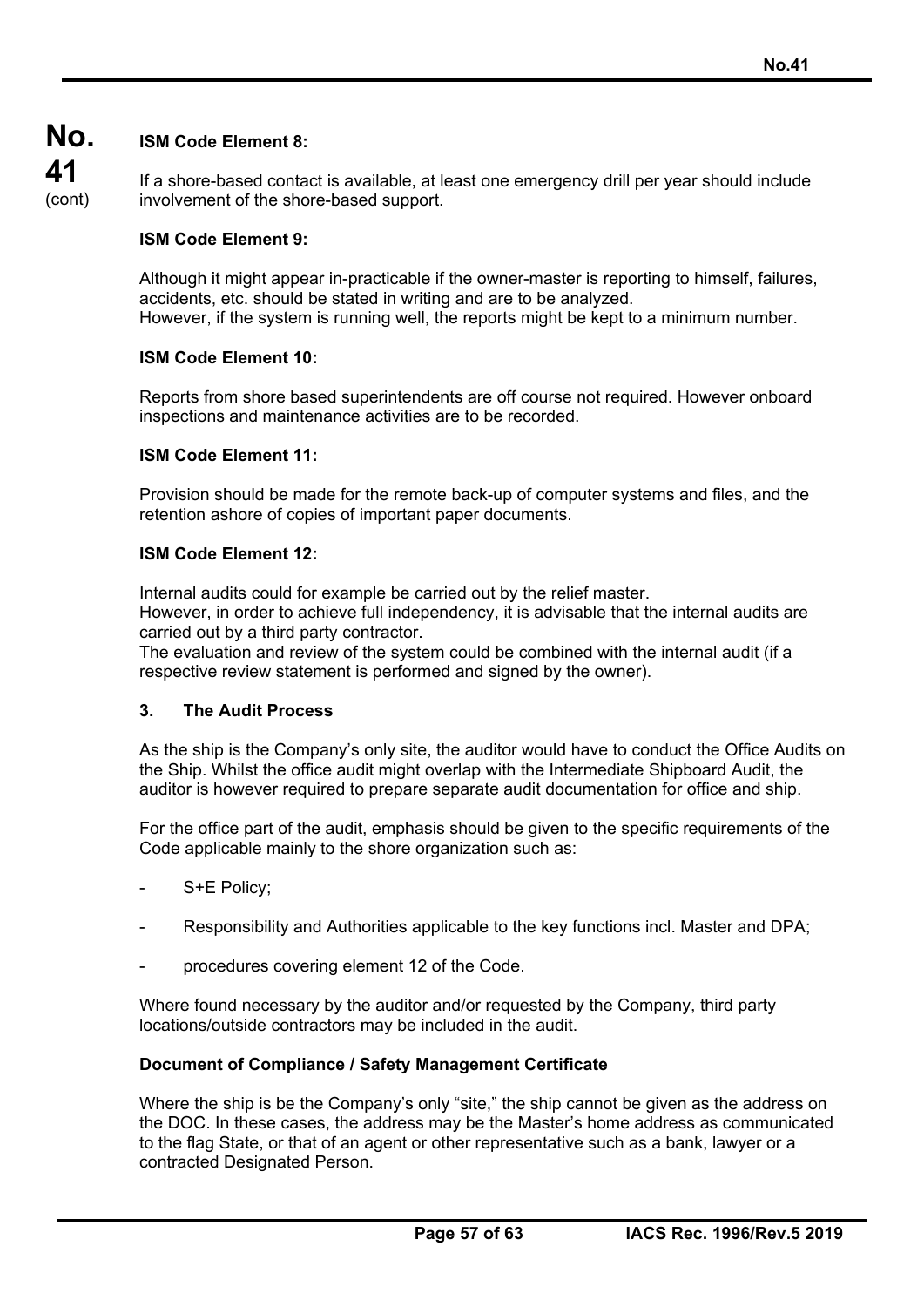#### **No. ISM Code Element 8:**

**41** 

(cont) If a shore-based contact is available, at least one emergency drill per year should include involvement of the shore-based support.

## **ISM Code Element 9:**

Although it might appear in-practicable if the owner-master is reporting to himself, failures, accidents, etc. should be stated in writing and are to be analyzed.

However, if the system is running well, the reports might be kept to a minimum number.

### **ISM Code Element 10:**

Reports from shore based superintendents are off course not required. However onboard inspections and maintenance activities are to be recorded.

### **ISM Code Element 11:**

Provision should be made for the remote back-up of computer systems and files, and the retention ashore of copies of important paper documents.

### **ISM Code Element 12:**

Internal audits could for example be carried out by the relief master.

However, in order to achieve full independency, it is advisable that the internal audits are carried out by a third party contractor.

The evaluation and review of the system could be combined with the internal audit (if a respective review statement is performed and signed by the owner).

### **3. The Audit Process**

As the ship is the Company's only site, the auditor would have to conduct the Office Audits on the Ship. Whilst the office audit might overlap with the Intermediate Shipboard Audit, the auditor is however required to prepare separate audit documentation for office and ship.

For the office part of the audit, emphasis should be given to the specific requirements of the Code applicable mainly to the shore organization such as:

- S+E Policy;
- Responsibility and Authorities applicable to the key functions incl. Master and DPA:
- procedures covering element 12 of the Code.

Where found necessary by the auditor and/or requested by the Company, third party locations/outside contractors may be included in the audit.

### **Document of Compliance / Safety Management Certificate**

Where the ship is be the Company's only "site," the ship cannot be given as the address on the DOC. In these cases, the address may be the Master's home address as communicated to the flag State, or that of an agent or other representative such as a bank, lawyer or a contracted Designated Person.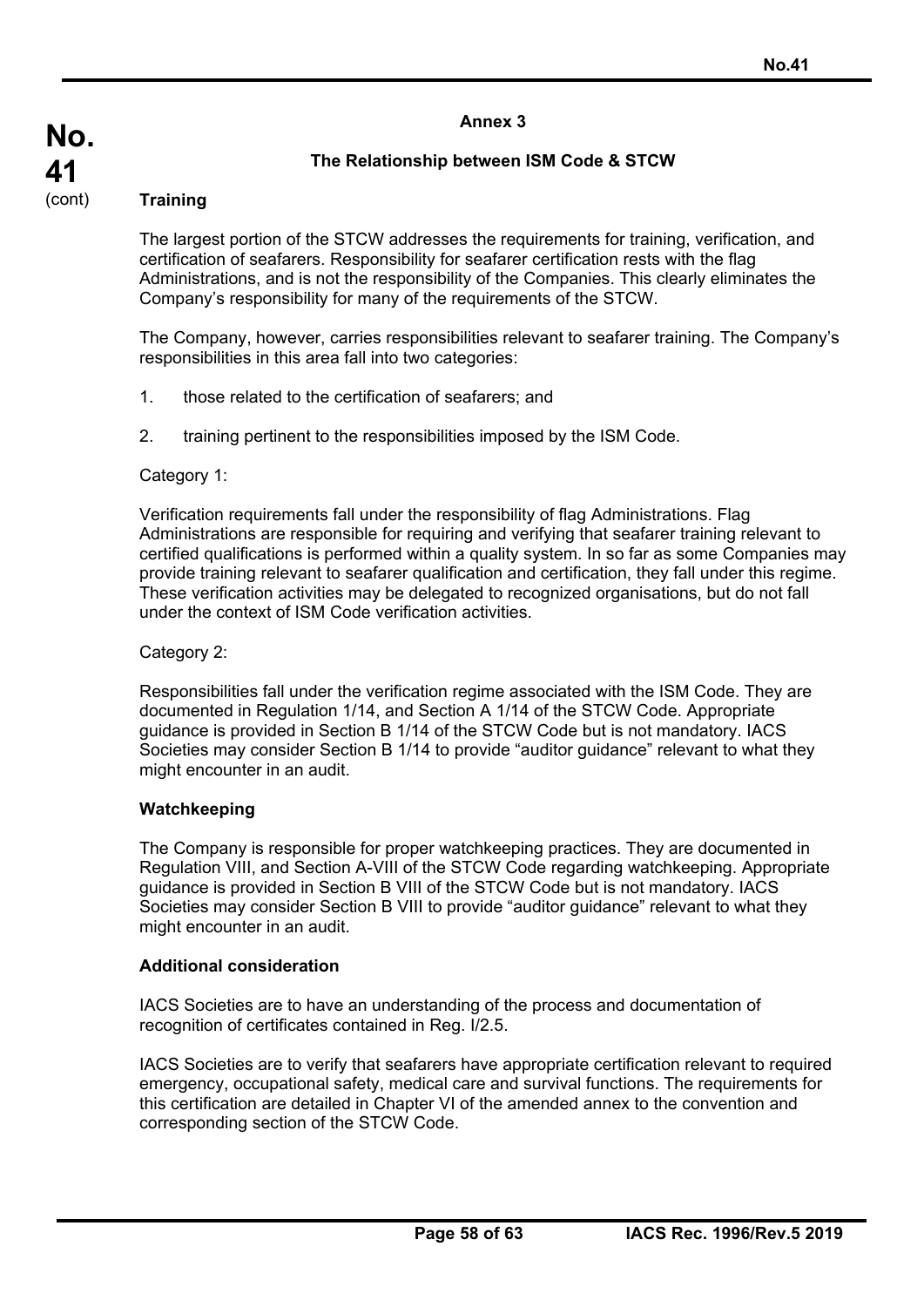## **The Relationship between ISM Code & STCW**

## **Training**

The largest portion of the STCW addresses the requirements for training, verification, and certification of seafarers. Responsibility for seafarer certification rests with the flag Administrations, and is not the responsibility of the Companies. This clearly eliminates the Company's responsibility for many of the requirements of the STCW.

The Company, however, carries responsibilities relevant to seafarer training. The Company's responsibilities in this area fall into two categories:

- 1. those related to the certification of seafarers; and
- 2. training pertinent to the responsibilities imposed by the ISM Code.

### Category 1:

Verification requirements fall under the responsibility of flag Administrations. Flag Administrations are responsible for requiring and verifying that seafarer training relevant to certified qualifications is performed within a quality system. In so far as some Companies may provide training relevant to seafarer qualification and certification, they fall under this regime. These verification activities may be delegated to recognized organisations, but do not fall under the context of ISM Code verification activities.

Category 2:

Responsibilities fall under the verification regime associated with the ISM Code. They are documented in Regulation 1/14, and Section A 1/14 of the STCW Code. Appropriate guidance is provided in Section B 1/14 of the STCW Code but is not mandatory. IACS Societies may consider Section B 1/14 to provide "auditor guidance" relevant to what they might encounter in an audit.

### **Watchkeeping**

The Company is responsible for proper watchkeeping practices. They are documented in Regulation VIII, and Section A-VIII of the STCW Code regarding watchkeeping. Appropriate guidance is provided in Section B VIII of the STCW Code but is not mandatory. IACS Societies may consider Section B VIII to provide "auditor guidance" relevant to what they might encounter in an audit.

### **Additional consideration**

IACS Societies are to have an understanding of the process and documentation of recognition of certificates contained in Reg. I/2.5.

IACS Societies are to verify that seafarers have appropriate certification relevant to required emergency, occupational safety, medical care and survival functions. The requirements for this certification are detailed in Chapter VI of the amended annex to the convention and corresponding section of the STCW Code.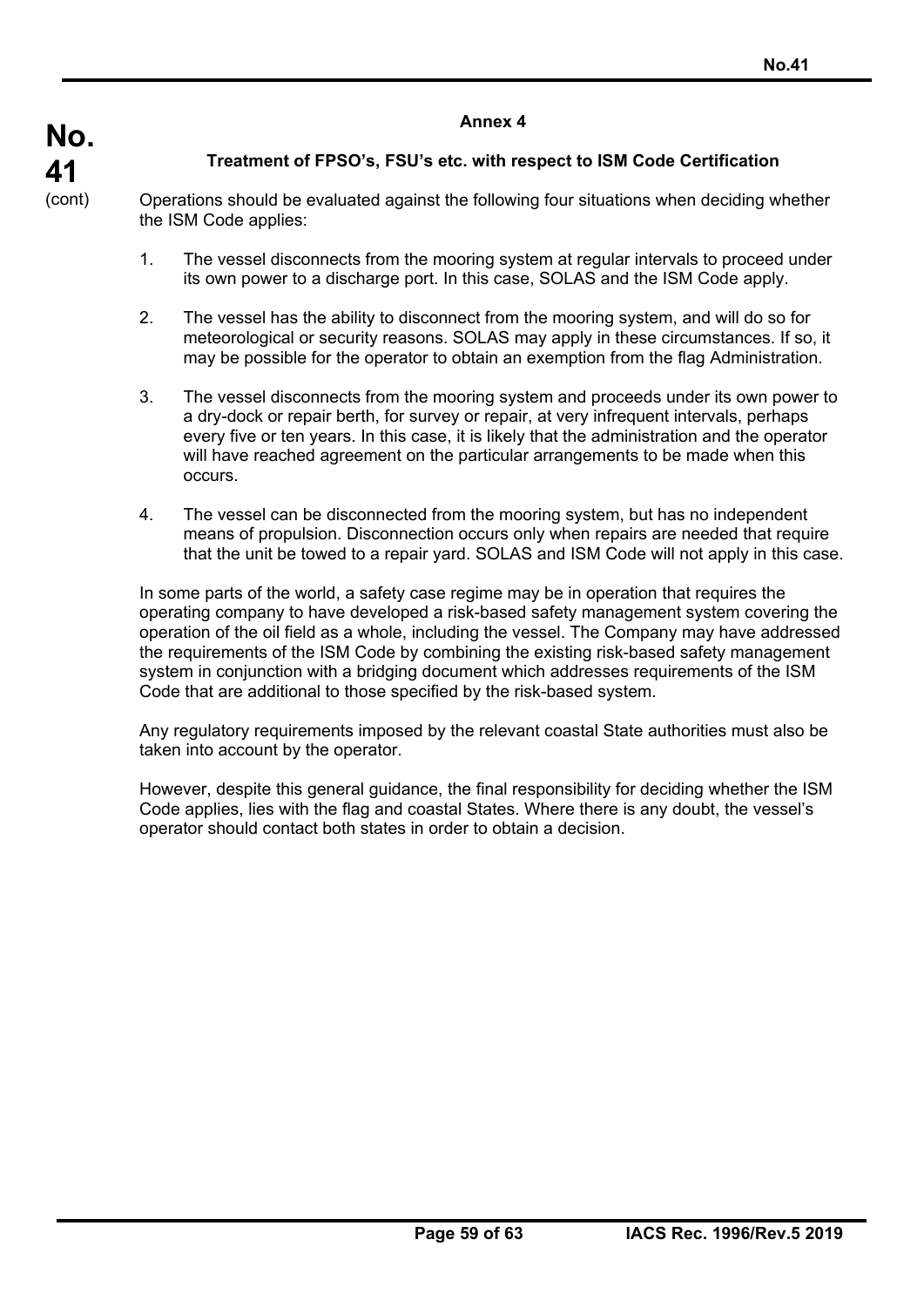## **Treatment of FPSO's, FSU's etc. with respect to ISM Code Certification**

Operations should be evaluated against the following four situations when deciding whether the ISM Code applies:

- 1. The vessel disconnects from the mooring system at regular intervals to proceed under its own power to a discharge port. In this case, SOLAS and the ISM Code apply.
- 2. The vessel has the ability to disconnect from the mooring system, and will do so for meteorological or security reasons. SOLAS may apply in these circumstances. If so, it may be possible for the operator to obtain an exemption from the flag Administration.
- 3. The vessel disconnects from the mooring system and proceeds under its own power to a dry-dock or repair berth, for survey or repair, at very infrequent intervals, perhaps every five or ten years. In this case, it is likely that the administration and the operator will have reached agreement on the particular arrangements to be made when this occurs.
- 4. The vessel can be disconnected from the mooring system, but has no independent means of propulsion. Disconnection occurs only when repairs are needed that require that the unit be towed to a repair yard. SOLAS and ISM Code will not apply in this case.

In some parts of the world, a safety case regime may be in operation that requires the operating company to have developed a risk-based safety management system covering the operation of the oil field as a whole, including the vessel. The Company may have addressed the requirements of the ISM Code by combining the existing risk-based safety management system in conjunction with a bridging document which addresses requirements of the ISM Code that are additional to those specified by the risk-based system.

Any regulatory requirements imposed by the relevant coastal State authorities must also be taken into account by the operator.

However, despite this general guidance, the final responsibility for deciding whether the ISM Code applies, lies with the flag and coastal States. Where there is any doubt, the vessel's operator should contact both states in order to obtain a decision.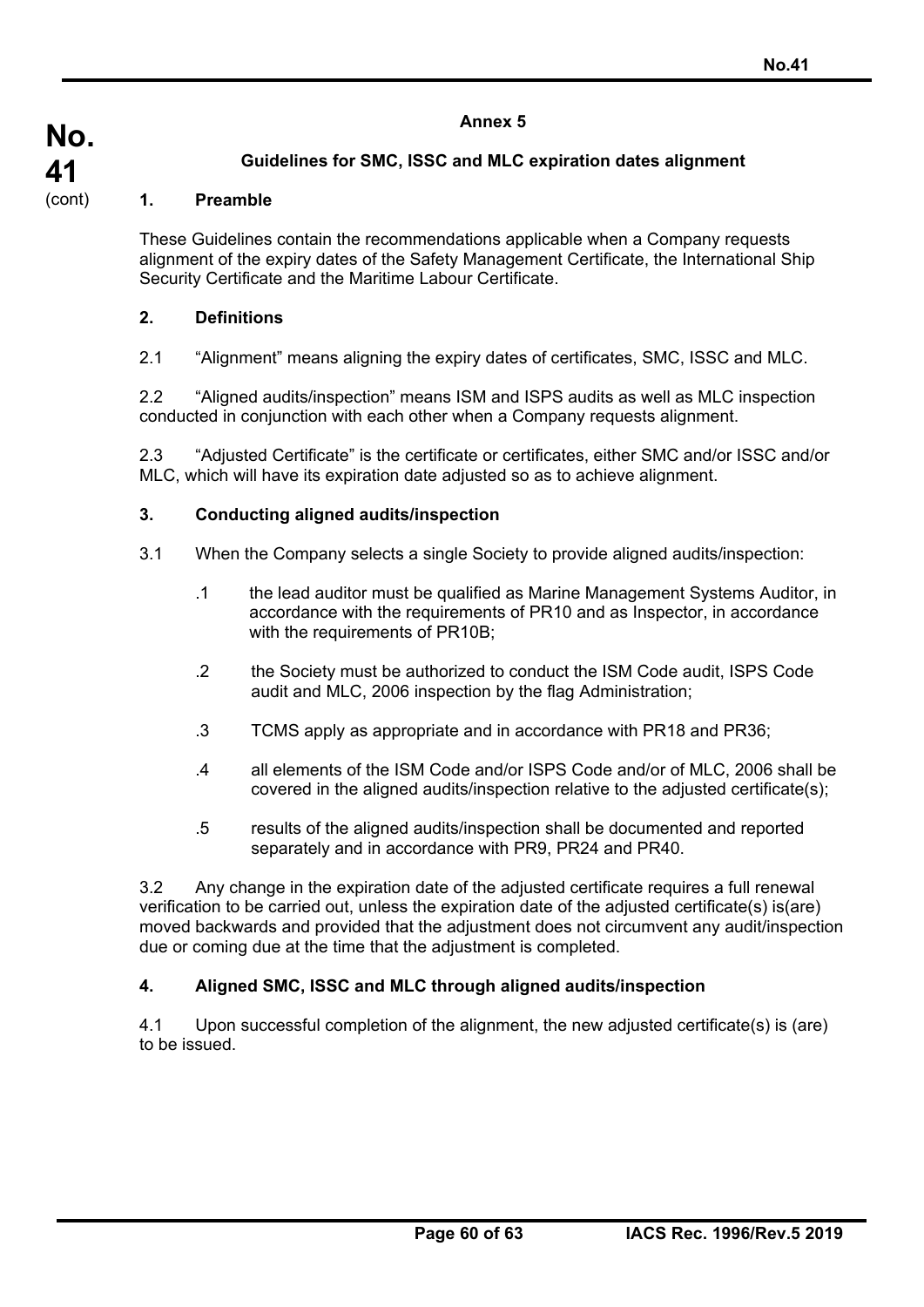## **Guidelines for SMC, ISSC and MLC expiration dates alignment**

## **1. Preamble**

These Guidelines contain the recommendations applicable when a Company requests alignment of the expiry dates of the Safety Management Certificate, the International Ship Security Certificate and the Maritime Labour Certificate.

### **2. Definitions**

2.1 "Alignment" means aligning the expiry dates of certificates, SMC, ISSC and MLC.

2.2 "Aligned audits/inspection" means ISM and ISPS audits as well as MLC inspection conducted in conjunction with each other when a Company requests alignment.

2.3 "Adjusted Certificate" is the certificate or certificates, either SMC and/or ISSC and/or MLC, which will have its expiration date adjusted so as to achieve alignment.

### **3. Conducting aligned audits/inspection**

- 3.1 When the Company selects a single Society to provide aligned audits/inspection:
	- .1 the lead auditor must be qualified as Marine Management Systems Auditor, in accordance with the requirements of PR10 and as Inspector, in accordance with the requirements of PR10B;
	- .2 the Society must be authorized to conduct the ISM Code audit, ISPS Code audit and MLC, 2006 inspection by the flag Administration;
	- .3 TCMS apply as appropriate and in accordance with PR18 and PR36;
	- .4 all elements of the ISM Code and/or ISPS Code and/or of MLC, 2006 shall be covered in the aligned audits/inspection relative to the adjusted certificate(s);
	- .5 results of the aligned audits/inspection shall be documented and reported separately and in accordance with PR9, PR24 and PR40.

3.2 Any change in the expiration date of the adjusted certificate requires a full renewal verification to be carried out, unless the expiration date of the adjusted certificate(s) is(are) moved backwards and provided that the adjustment does not circumvent any audit/inspection due or coming due at the time that the adjustment is completed.

## **4. Aligned SMC, ISSC and MLC through aligned audits/inspection**

4.1 Upon successful completion of the alignment, the new adjusted certificate(s) is (are) to be issued.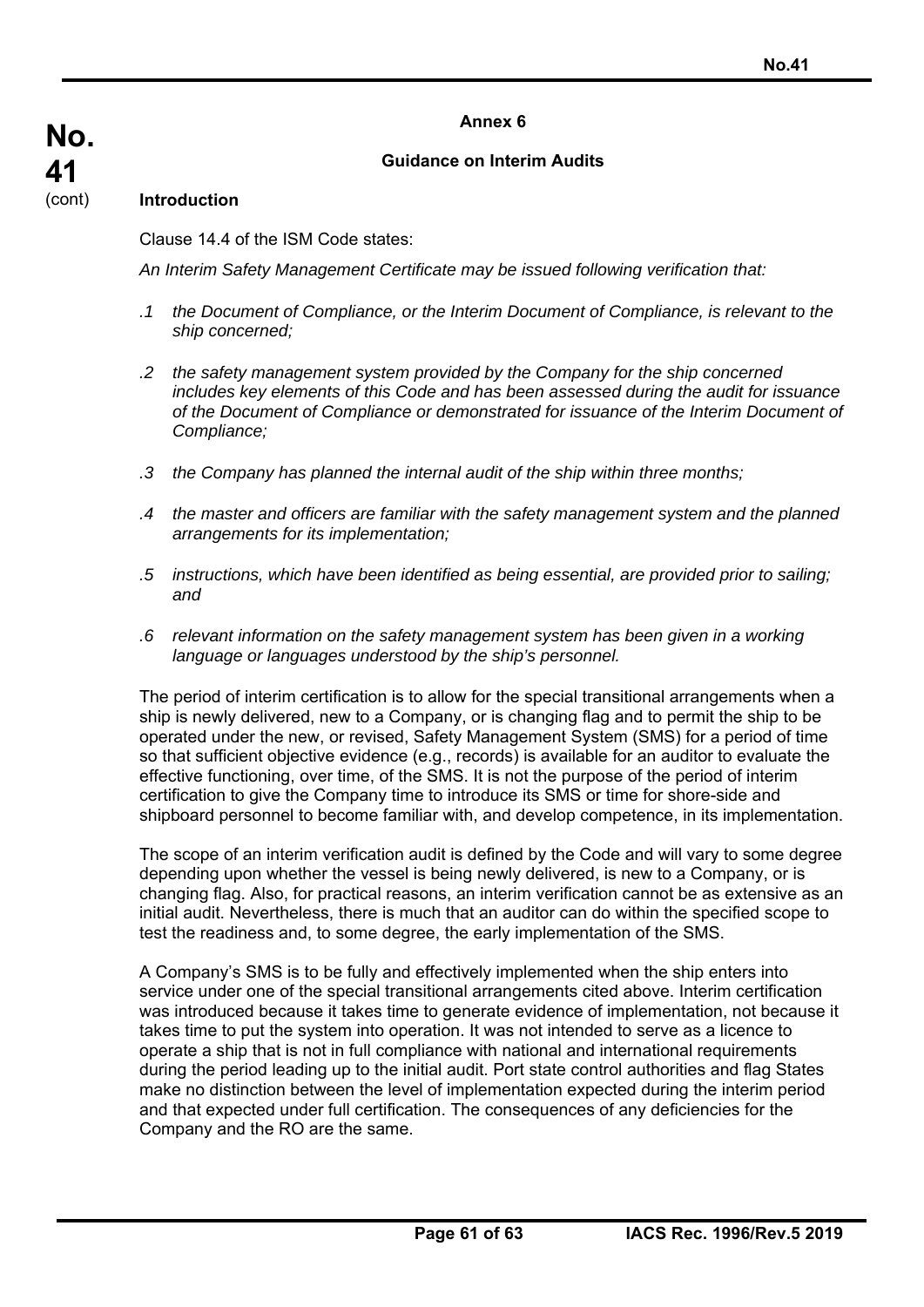## **Guidance on Interim Audits**

## **Introduction**

Clause 14.4 of the ISM Code states:

*An Interim Safety Management Certificate may be issued following verification that:* 

- *.1 the Document of Compliance, or the Interim Document of Compliance, is relevant to the ship concerned;*
- *.2 the safety management system provided by the Company for the ship concerned includes key elements of this Code and has been assessed during the audit for issuance of the Document of Compliance or demonstrated for issuance of the Interim Document of Compliance;*
- *.3 the Company has planned the internal audit of the ship within three months;*
- *.4 the master and officers are familiar with the safety management system and the planned arrangements for its implementation;*
- *.5 instructions, which have been identified as being essential, are provided prior to sailing; and*
- *.6 relevant information on the safety management system has been given in a working language or languages understood by the ship's personnel.*

The period of interim certification is to allow for the special transitional arrangements when a ship is newly delivered, new to a Company, or is changing flag and to permit the ship to be operated under the new, or revised, Safety Management System (SMS) for a period of time so that sufficient objective evidence (e.g., records) is available for an auditor to evaluate the effective functioning, over time, of the SMS. It is not the purpose of the period of interim certification to give the Company time to introduce its SMS or time for shore-side and shipboard personnel to become familiar with, and develop competence, in its implementation.

The scope of an interim verification audit is defined by the Code and will vary to some degree depending upon whether the vessel is being newly delivered, is new to a Company, or is changing flag. Also, for practical reasons, an interim verification cannot be as extensive as an initial audit. Nevertheless, there is much that an auditor can do within the specified scope to test the readiness and, to some degree, the early implementation of the SMS.

A Company's SMS is to be fully and effectively implemented when the ship enters into service under one of the special transitional arrangements cited above. Interim certification was introduced because it takes time to generate evidence of implementation, not because it takes time to put the system into operation. It was not intended to serve as a licence to operate a ship that is not in full compliance with national and international requirements during the period leading up to the initial audit. Port state control authorities and flag States make no distinction between the level of implementation expected during the interim period and that expected under full certification. The consequences of any deficiencies for the Company and the RO are the same.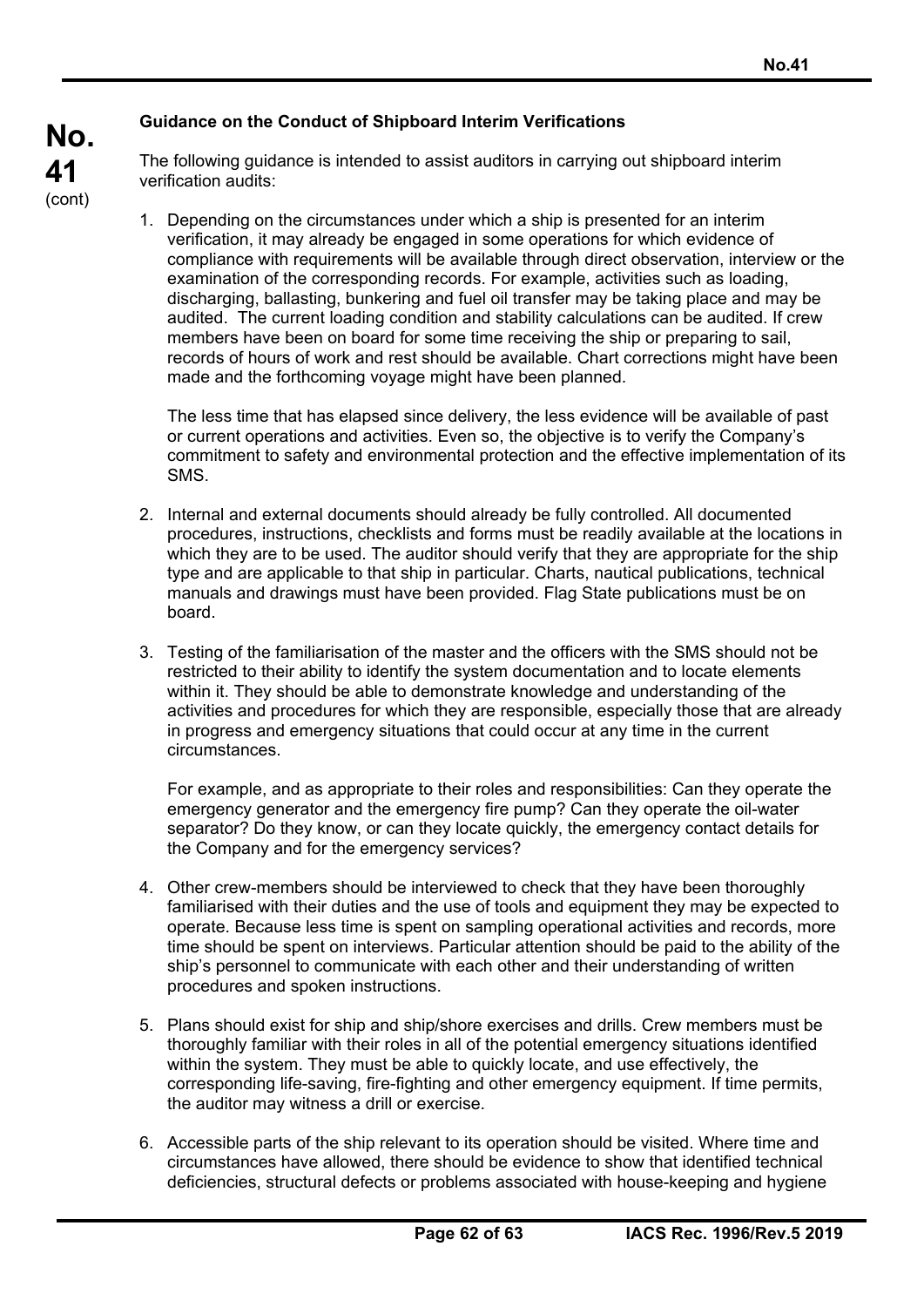## **Guidance on the Conduct of Shipboard Interim Verifications**

The following guidance is intended to assist auditors in carrying out shipboard interim verification audits:

1. Depending on the circumstances under which a ship is presented for an interim verification, it may already be engaged in some operations for which evidence of compliance with requirements will be available through direct observation, interview or the examination of the corresponding records. For example, activities such as loading, discharging, ballasting, bunkering and fuel oil transfer may be taking place and may be audited. The current loading condition and stability calculations can be audited. If crew members have been on board for some time receiving the ship or preparing to sail, records of hours of work and rest should be available. Chart corrections might have been made and the forthcoming voyage might have been planned.

The less time that has elapsed since delivery, the less evidence will be available of past or current operations and activities. Even so, the objective is to verify the Company's commitment to safety and environmental protection and the effective implementation of its SMS.

- 2. Internal and external documents should already be fully controlled. All documented procedures, instructions, checklists and forms must be readily available at the locations in which they are to be used. The auditor should verify that they are appropriate for the ship type and are applicable to that ship in particular. Charts, nautical publications, technical manuals and drawings must have been provided. Flag State publications must be on board.
- 3. Testing of the familiarisation of the master and the officers with the SMS should not be restricted to their ability to identify the system documentation and to locate elements within it. They should be able to demonstrate knowledge and understanding of the activities and procedures for which they are responsible, especially those that are already in progress and emergency situations that could occur at any time in the current circumstances.

For example, and as appropriate to their roles and responsibilities: Can they operate the emergency generator and the emergency fire pump? Can they operate the oil-water separator? Do they know, or can they locate quickly, the emergency contact details for the Company and for the emergency services?

- 4. Other crew-members should be interviewed to check that they have been thoroughly familiarised with their duties and the use of tools and equipment they may be expected to operate. Because less time is spent on sampling operational activities and records, more time should be spent on interviews. Particular attention should be paid to the ability of the ship's personnel to communicate with each other and their understanding of written procedures and spoken instructions.
- 5. Plans should exist for ship and ship/shore exercises and drills. Crew members must be thoroughly familiar with their roles in all of the potential emergency situations identified within the system. They must be able to quickly locate, and use effectively, the corresponding life-saving, fire-fighting and other emergency equipment. If time permits, the auditor may witness a drill or exercise.
- 6. Accessible parts of the ship relevant to its operation should be visited. Where time and circumstances have allowed, there should be evidence to show that identified technical deficiencies, structural defects or problems associated with house-keeping and hygiene